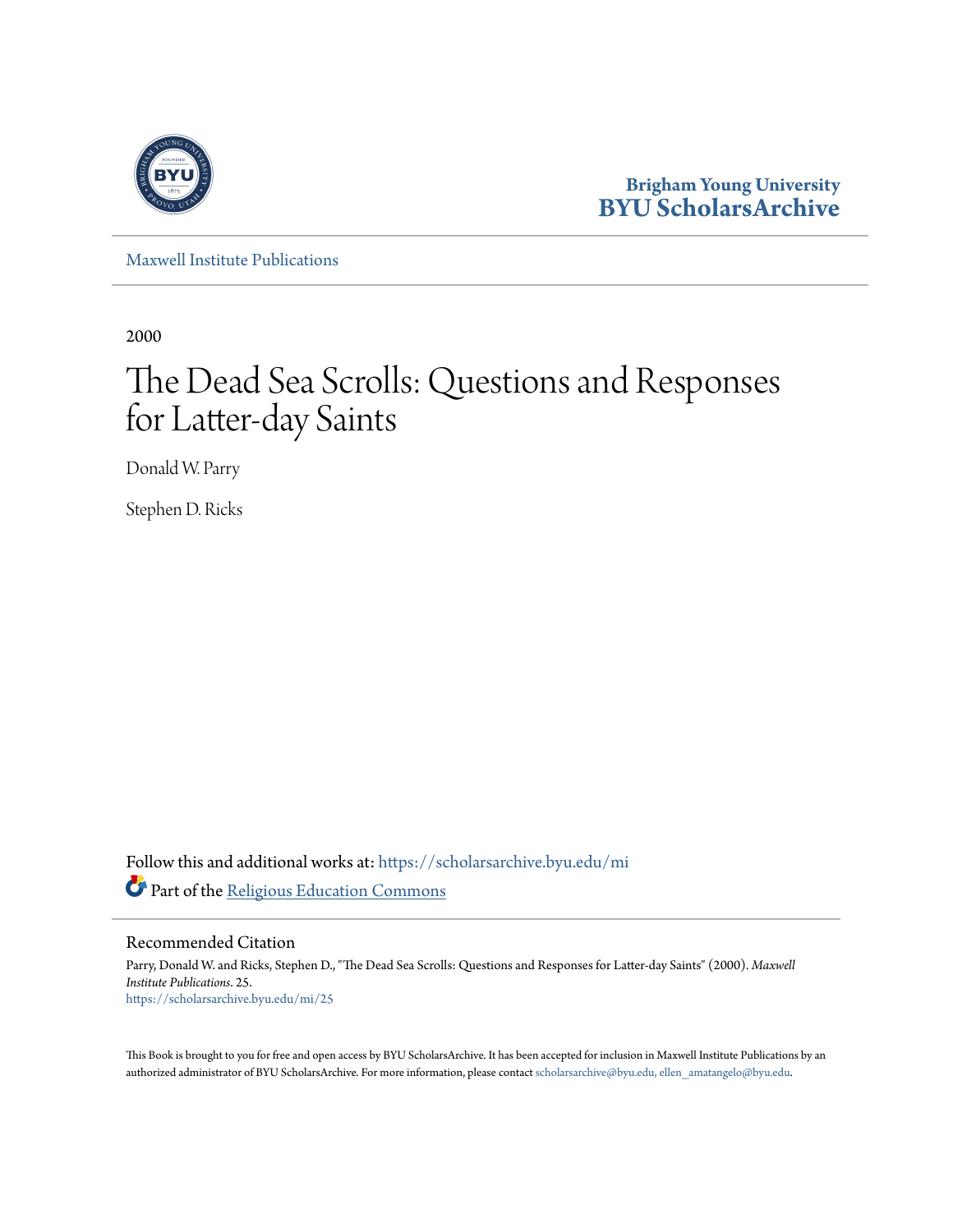

**Brigham Young University [BYU ScholarsArchive](https://scholarsarchive.byu.edu?utm_source=scholarsarchive.byu.edu%2Fmi%2F25&utm_medium=PDF&utm_campaign=PDFCoverPages)**

[Maxwell Institute Publications](https://scholarsarchive.byu.edu/mi?utm_source=scholarsarchive.byu.edu%2Fmi%2F25&utm_medium=PDF&utm_campaign=PDFCoverPages)

2000

# The Dead Sea Scrolls: Questions and Responses for Latter-day Saints

Donald W. Parry

Stephen D. Ricks

Follow this and additional works at: [https://scholarsarchive.byu.edu/mi](https://scholarsarchive.byu.edu/mi?utm_source=scholarsarchive.byu.edu%2Fmi%2F25&utm_medium=PDF&utm_campaign=PDFCoverPages) Part of the [Religious Education Commons](http://network.bepress.com/hgg/discipline/1414?utm_source=scholarsarchive.byu.edu%2Fmi%2F25&utm_medium=PDF&utm_campaign=PDFCoverPages)

Recommended Citation

Parry, Donald W. and Ricks, Stephen D., "The Dead Sea Scrolls: Questions and Responses for Latter-day Saints" (2000). *Maxwell Institute Publications*. 25. [https://scholarsarchive.byu.edu/mi/25](https://scholarsarchive.byu.edu/mi/25?utm_source=scholarsarchive.byu.edu%2Fmi%2F25&utm_medium=PDF&utm_campaign=PDFCoverPages)

This Book is brought to you for free and open access by BYU ScholarsArchive. It has been accepted for inclusion in Maxwell Institute Publications by an authorized administrator of BYU ScholarsArchive. For more information, please contact [scholarsarchive@byu.edu, ellen\\_amatangelo@byu.edu.](mailto:scholarsarchive@byu.edu,%20ellen_amatangelo@byu.edu)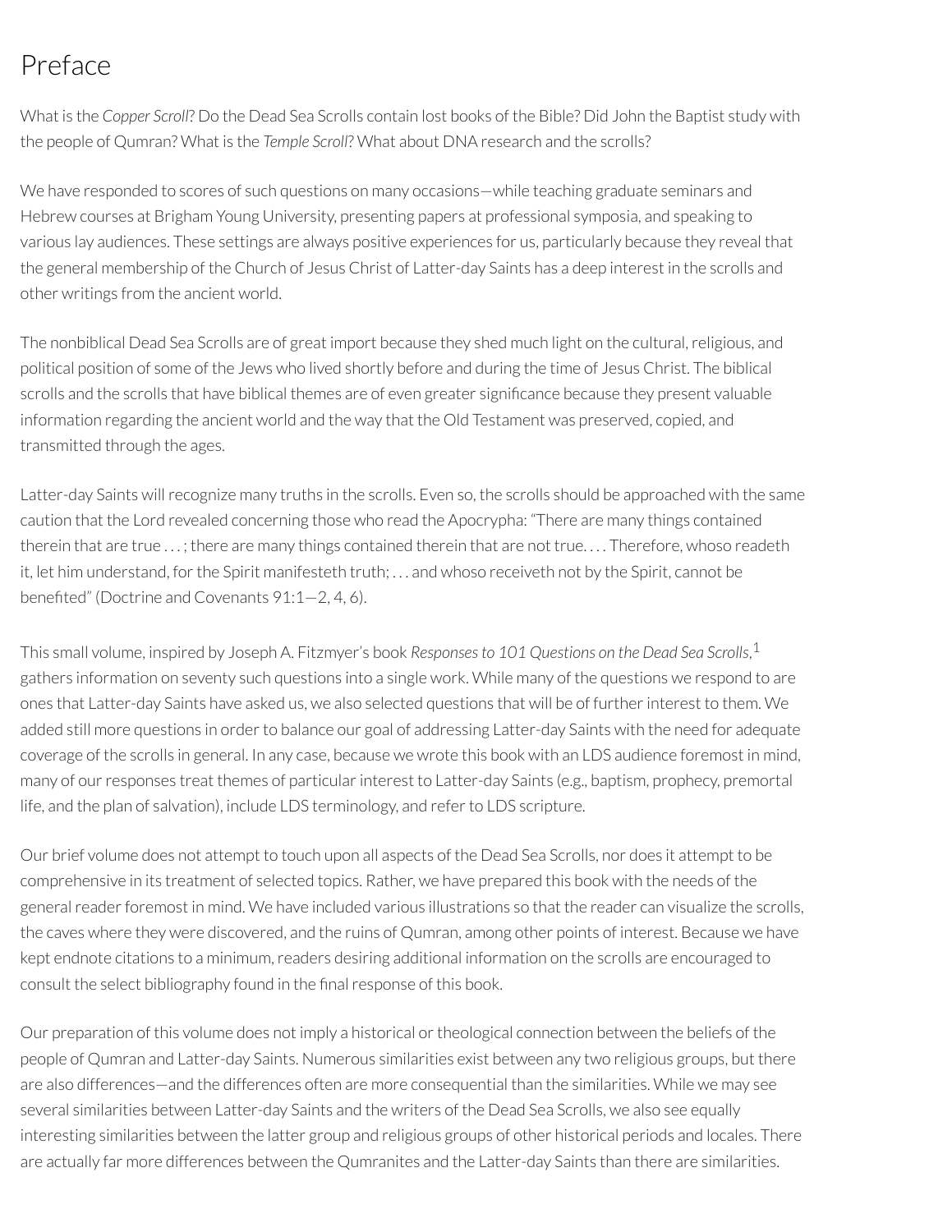# Preface

What is the *Copper Scroll*? Do the Dead Sea Scrolls contain lost books of the Bible? Did John the Baptist study with the people of Qumran? What is the *Temple Scroll*? What about DNA research and the scrolls?

We have responded to scores of such questions on many occasions—while teaching graduate seminars and Hebrew courses at Brigham Young University, presenting papers at professional symposia, and speaking to various lay audiences. These settings are always positive experiences for us, particularly because they reveal that the general membership of the Church of Jesus Christ of Latter-day Saints has a deep interest in the scrolls and other writings from the ancient world.

The nonbiblical Dead Sea Scrolls are of great import because they shed much light on the cultural, religious, and political position of some of the Jews who lived shortly before and during the time of Jesus Christ. The biblical scrolls and the scrolls that have biblical themes are of even greater significance because they present valuable information regarding the ancient world and the way that the Old Testament was preserved, copied, and transmitted through the ages.

Latter-day Saints willrecognize many truths in the scrolls. Even so, the scrolls should be approached with the same caution that the Lord revealed concerning those who read the Apocrypha: "There are many things contained therein that are true . . . ; there are many things contained therein that are not true. . . . Therefore, whoso readeth it, let him understand, forthe Spirit manifesteth truth; . . . and whoso receiveth not by the Spirit, cannot be benefited" (Doctrine and Covenants  $91:1-2, 4, 6$ ).

This small volume, inspired by Joseph A. Fitzmyer's book *Responses to 101 Questions on the Dead Sea Scrolls*, 1 gathers information on seventy such questions into a single work. While many of the questions we respond to are ones that Latter-day Saints have asked us, we also selected questions that will be of furtherinterest to them. We added still more questions in order to balance our goal of addressing Latter-day Saints with the need for adequate coverage of the scrolls in general. In any case, because we wrote this book with an LDS audience foremost in mind, many of our responses treat themes of particular interest to Latter-day Saints (e.g., baptism, prophecy, premortal life, and the plan of salvation), include LDS terminology, and refer to LDS scripture.

Our brief volume does not attempt to touch upon all aspects of the Dead Sea Scrolls, nor does it attempt to be comprehensive in its treatment of selected topics. Rather, we have prepared this book with the needs of the general reader foremost in mind. We have included various illustrations so that the reader can visualize the scrolls, the caves where they were discovered, and the ruins of Qumran, among other points of interest. Because we have kept endnote citations to a minimum, readers desiring additional information on the scrolls are encouraged to consult the select bibliography found in the final response of this book.

Our preparation of this volume does not imply a historical or theological connection between the beliefs of the people of Qumran and Latter-day Saints. Numerous similarities exist between any two religious groups, but there are also differences—and the differences often are more consequential than the similarities. While we may see several similarities between Latter-day Saints and the writers of the Dead Sea Scrolls, we also see equally interesting similarities between the latter group and religious groups of other historical periods and locales. There are actually far more differences between the Qumranites and the Latter-day Saints than there are similarities.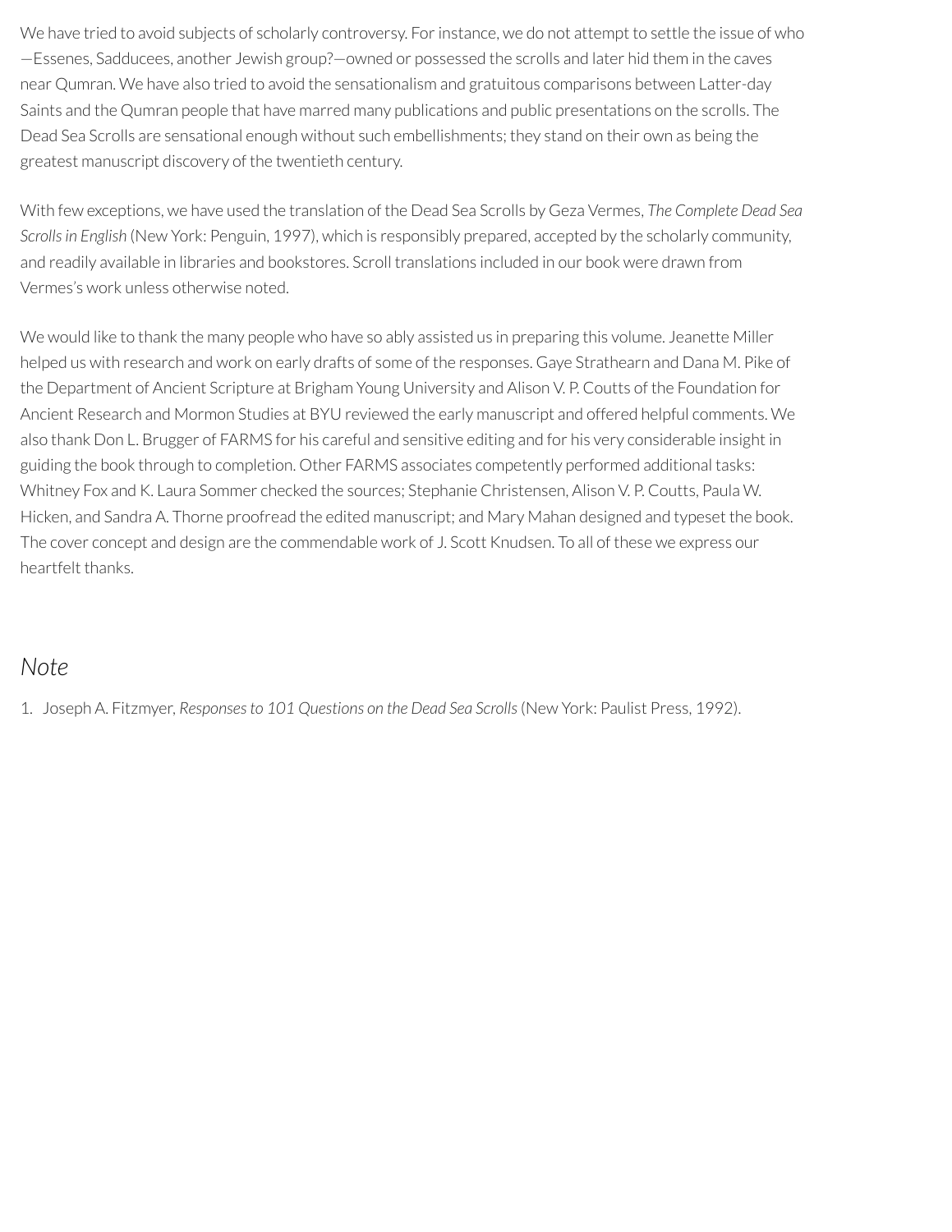We have tried to avoid subjects of scholarly controversy. For instance, we do not attempt to settle the issue of who —Essenes, Sadducees, another Jewish group?—owned or possessed the scrolls and later hid them in the caves near Qumran. We have also tried to avoid the sensationalism and gratuitous comparisons between Latter-day Saints and the Qumran people that have marred many publications and public presentations on the scrolls. The Dead Sea Scrolls are sensational enough without such embellishments; they stand on their own as being the greatest manuscript discovery of the twentieth century.

With few exceptions, we have used the translation of the Dead Sea Scrolls by Geza Vermes, *The Complete Dead Sea Scrollsin English* (New York: Penguin, 1997), which is responsibly prepared, accepted by the scholarly community, and readily available in libraries and bookstores. Scroll translations included in our book were drawn from Vermes's work unless otherwise noted.

We would like to thank the many people who have so ably assisted us in preparing this volume. Jeanette Miller helped us with research and work on early drafts of some of the responses. Gaye Strathearn and Dana M. Pike of the Department of Ancient Scripture at Brigham Young University and Alison V. P. Coutts of the Foundation for Ancient Research and Mormon Studies at BYU reviewed the early manuscript and offered helpful comments. We also thank Don L. Brugger of FARMS for his careful and sensitive editing and for his very considerable insight in guiding the book through to completion. Other FARMS associates competently performed additional tasks: Whitney Fox and K. Laura Sommer checked the sources; Stephanie Christensen, Alison V. P. Coutts, Paula W. Hicken, and Sandra A. Thorne proofread the edited manuscript; and Mary Mahan designed and typeset the book. The cover concept and design are the commendable work of J. Scott Knudsen. To all of these we express our heartfelt thanks.

#### *Note*

1. Joseph A. Fitzmyer, *Responsesto 101 Questions on the Dead Sea Scrolls*(New York: Paulist Press, 1992).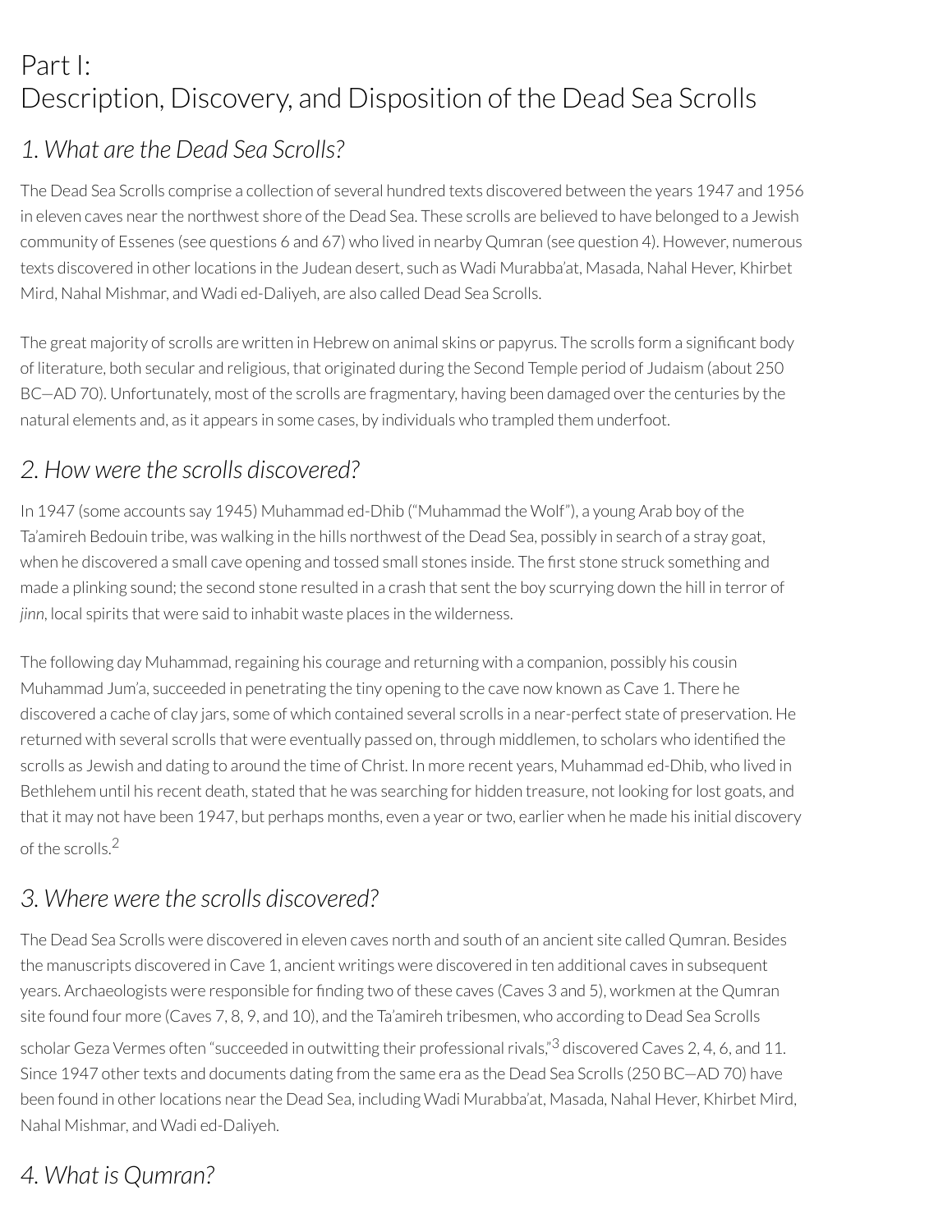# Part I: Description, Discovery, and Disposition of the Dead Sea Scrolls

## *1. What are the Dead Sea Scrolls?*

The Dead Sea Scrolls comprise a collection of several hundred texts discovered between the years 1947 and 1956 in eleven caves nearthe northwest shore of the Dead Sea. These scrolls are believed to have belonged to a Jewish community of Essenes (see questions 6 and 67) who lived in nearby Qumran (see question 4). However, numerous texts discovered in otherlocations in the Judean desert, such as Wadi Murabba'at, Masada, Nahal Hever, Khirbet Mird, Nahal Mishmar, and Wadi ed-Daliyeh, are also called Dead Sea Scrolls.

The great majority of scrolls are written in Hebrew on animal skins or papyrus. The scrolls form a signicant body of literature, both secular and religious, that originated during the Second Temple period of Judaism (about 250 BC—AD 70). Unfortunately, most of the scrolls are fragmentary, having been damaged over the centuries by the natural elements and, as it appears in some cases, by individuals who trampled them underfoot.

## *2. How were the scrolls discovered?*

In 1947 (some accounts say 1945) Muhammad ed-Dhib ("Muhammad the Wolf"), a young Arab boy of the Ta'amireh Bedouin tribe, was walking in the hills northwest of the Dead Sea, possibly in search of a stray goat, when he discovered a small cave opening and tossed small stones inside. The first stone struck something and made a plinking sound; the second stone resulted in a crash that sent the boy scurrying down the hill in terror of *jinn*, local spirits that were said to inhabit waste places in the wilderness.

The following day Muhammad, regaining his courage and returning with a companion, possibly his cousin Muhammad Jum'a, succeeded in penetrating the tiny opening to the cave now known as Cave 1. There he discovered a cache of clay jars, some of which contained several scrolls in a near-perfect state of preservation. He returned with several scrolls that were eventually passed on, through middlemen, to scholars who identified the scrolls as Jewish and dating to around the time of Christ. In more recent years, Muhammad ed-Dhib, who lived in Bethlehem until his recent death, stated that he was searching for hidden treasure, not looking forlost goats, and that it may not have been 1947, but perhaps months, even a year ortwo, earlier when he made his initial discovery of the scrolls. 2

## *3. Where were the scrolls discovered?*

The Dead Sea Scrolls were discovered in eleven caves north and south of an ancient site called Qumran. Besides the manuscripts discovered in Cave 1, ancient writings were discovered in ten additional caves in subsequent years. Archaeologists were responsible for finding two of these caves (Caves 3 and 5), workmen at the Qumran site found four more (Caves 7, 8, 9, and 10), and the Ta'amireh tribesmen, who according to Dead Sea Scrolls scholar Geza Vermes often "succeeded in outwitting their professional rivals,"<sup>3</sup> discovered Caves 2, 4, 6, and 11. Since 1947 other texts and documents dating from the same era as the Dead Sea Scrolls (250 BC-AD 70) have been found in otherlocations nearthe Dead Sea, including Wadi Murabba'at, Masada, Nahal Hever, Khirbet Mird, Nahal Mishmar, and Wadi ed-Daliyeh.

## *4. What is Qumran?*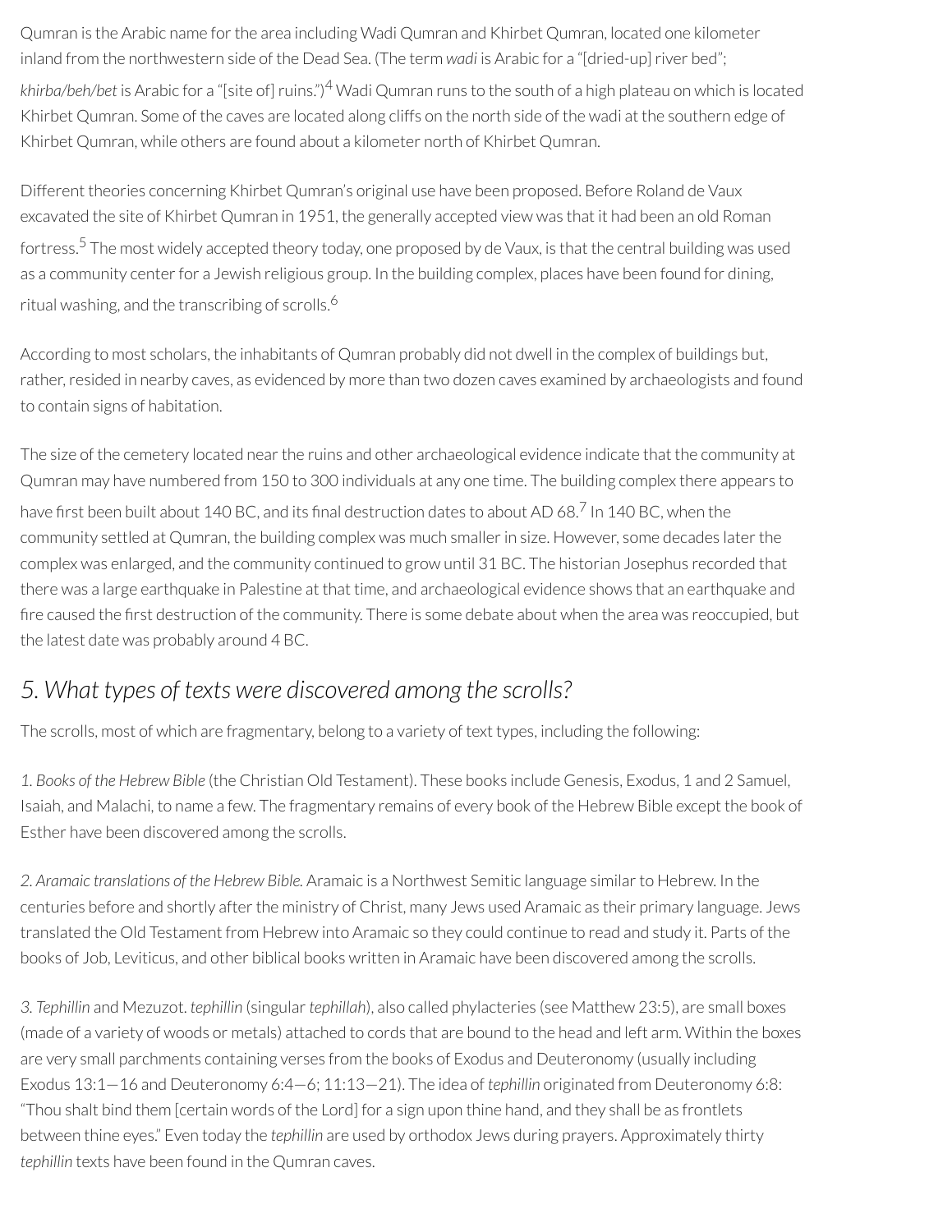Qumran is the Arabic name forthe area including Wadi Qumran and Khirbet Qumran, located one kilometer inland from the northwestern side of the Dead Sea. (The term *wadi* is Arabic for a "[dried-up] river bed"; *khirba/beh/bet* is Arabic for a "[site of]ruins.") <sup>4</sup> Wadi Qumran runs to the south of a high plateau on which is located Khirbet Qumran. Some of the caves are located along cliffs on the north side of the wadi at the southern edge of Khirbet Qumran, while others are found about a kilometer north of Khirbet Qumran.

Different theories concerning Khirbet Qumran's original use have been proposed. Before Roland de Vaux excavated the site of Khirbet Qumran in 1951, the generally accepted view was that it had been an old Roman fortress. <sup>5</sup> The most widely accepted theory today, one proposed by de Vaux, is that the central building was used as a community center for a Jewish religious group. In the building complex, places have been found for dining, ritual washing, and the transcribing of scrolls. 6

According to most scholars, the inhabitants of Qumran probably did not dwell in the complex of buildings but, rather, resided in nearby caves, as evidenced by more than two dozen caves examined by archaeologists and found to contain signs of habitation.

The size of the cemetery located nearthe ruins and other archaeological evidence indicate that the community at Qumran may have numbered from 150 to 300 individuals at any one time. The building complex there appears to have first been built about 140 BC, and its final destruction dates to about AD 68.<sup>7</sup> In 140 BC, when the community settled at Qumran, the building complex was much smallerin size. However, some decades laterthe complex was enlarged, and the community continued to grow until 31 BC. The historian Josephus recorded that there was a large earthquake in Palestine at that time, and archaeological evidence shows that an earthquake and fire caused the first destruction of the community. There is some debate about when the area was reoccupied, but the latest date was probably around 4 BC.

### *5. What types of texts were discovered among the scrolls?*

The scrolls, most of which are fragmentary, belong to a variety of text types, including the following:

*1. Books of the Hebrew Bible* (the Christian Old Testament). These books include Genesis, Exodus, 1 and 2 Samuel, Isaiah, and Malachi, to name a few. The fragmentary remains of every book of the Hebrew Bible except the book of Esther have been discovered among the scrolls.

*2. Aramaic translations of the Hebrew Bible.* Aramaic is a Northwest Semitic language similarto Hebrew. In the centuries before and shortly after the ministry of Christ, many Jews used Aramaic as their primary language. Jews translated the Old Testament from Hebrew into Aramaic so they could continue to read and study it. Parts of the books of Job, Leviticus, and other biblical books written in Aramaic have been discovered among the scrolls.

*3. Tephillin* and Mezuzot. *tephillin* (singular*tephillah*), also called phylacteries (see Matthew 23:5), are small boxes (made of a variety of woods or metals) attached to cords that are bound to the head and left arm. Within the boxes are very small parchments containing verses from the books of Exodus and Deuteronomy (usually including Exodus 13:1—16 and Deuteronomy 6:4—6; 11:13—21). The idea of *tephillin* originated from Deuteronomy 6:8: "Thou shalt bind them [certain words of the Lord] for a sign upon thine hand, and they shall be as frontlets between thine eyes." Even today the *tephillin* are used by orthodox Jews during prayers. Approximately thirty *tephillin* texts have been found in the Qumran caves.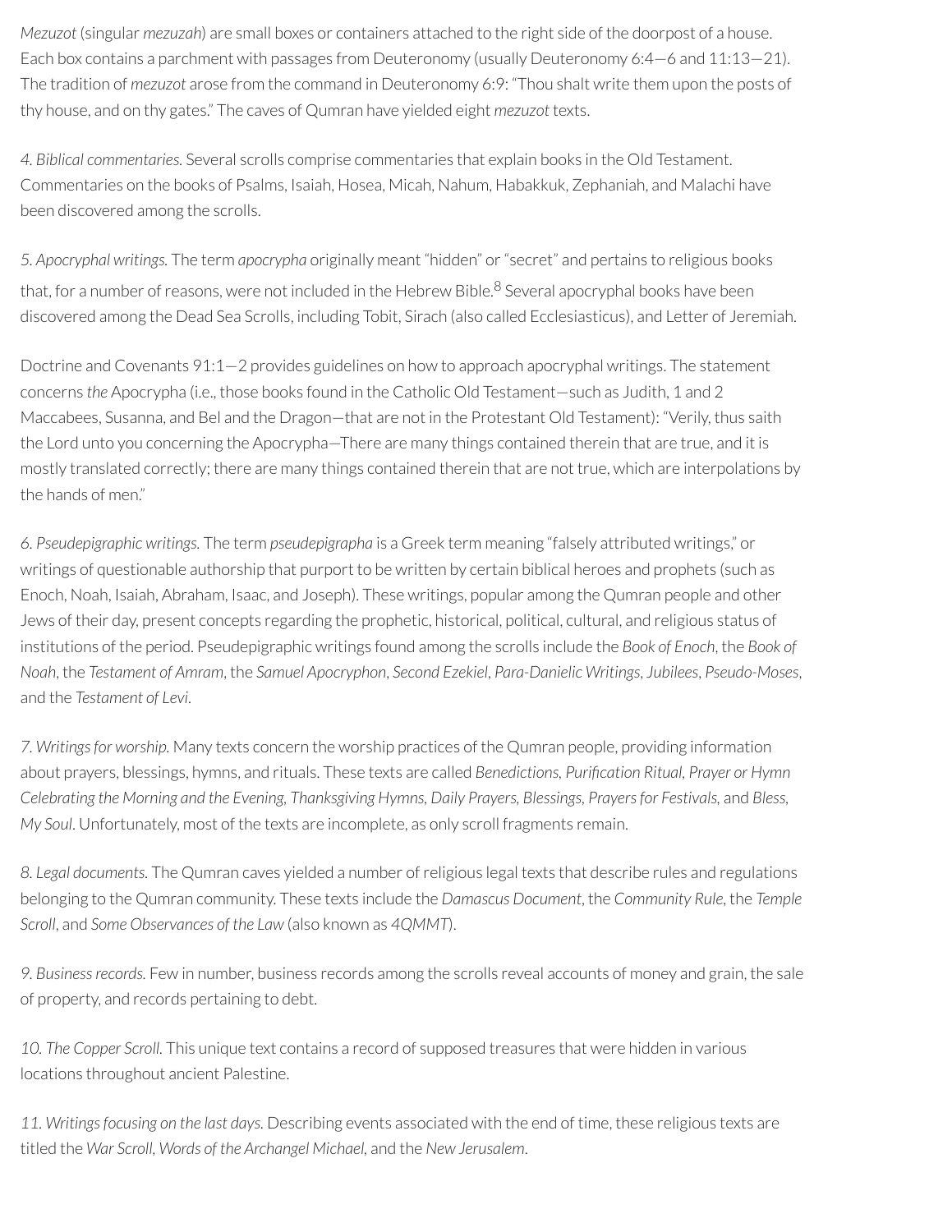*Mezuzot* (singular *mezuzah*) are small boxes or containers attached to the right side of the doorpost of a house. Each box contains a parchment with passages from Deuteronomy (usually Deuteronomy 6:4—6 and 11:13—21). The tradition of *mezuzot* arose from the command in Deuteronomy 6:9: "Thou shalt write them upon the posts of thy house, and on thy gates." The caves of Qumran have yielded eight *mezuzot* texts.

*4. Biblical commentaries.* Several scrolls comprise commentaries that explain books in the Old Testament. Commentaries on the books of Psalms, Isaiah, Hosea, Micah, Nahum, Habakkuk, Zephaniah, and Malachi have been discovered among the scrolls.

*5. Apocryphal writings.* The term *apocrypha* originally meant "hidden" or"secret" and pertains to religious books that, for a number of reasons, were not included in the Hebrew Bible.<sup>8</sup> Several apocryphal books have been discovered among the Dead Sea Scrolls, including Tobit, Sirach (also called Ecclesiasticus), and Letter of Jeremiah.

Doctrine and Covenants 91:1—2 provides guidelines on how to approach apocryphal writings. The statement concerns *the* Apocrypha (i.e., those books found in the Catholic Old Testament—such as Judith, 1 and 2 Maccabees, Susanna, and Bel and the Dragon—that are not in the Protestant Old Testament): "Verily, thus saith the Lord unto you concerning the Apocrypha—There are many things contained therein that are true, and it is mostly translated correctly; there are many things contained therein that are not true, which are interpolations by the hands of men."

*6. Pseudepigraphic writings.* The term *pseudepigrapha* is a Greek term meaning "falsely attributed writings," or writings of questionable authorship that purport to be written by certain biblical heroes and prophets (such as Enoch, Noah, Isaiah, Abraham, Isaac, and Joseph). These writings, popular among the Qumran people and other Jews of their day, present concepts regarding the prophetic, historical, political, cultural, and religious status of institutions of the period. Pseudepigraphic writings found among the scrolls include the *Book of Enoch*, the *Book of Noah*, the *Testament of Amram*, the *Samuel Apocryphon*, *Second Ezekiel*, *Para-Danielic Writings*, *Jubilees*, *Pseudo-Moses*, and the *Testament of Levi*.

*7. Writingsfor worship.* Many texts concern the worship practices of the Qumran people, providing information about prayers, blessings, hymns, and rituals. These texts are called *Benedictions, Purication Ritual, Prayer or Hymn Celebrating the Morning and the Evening, Thanksgiving Hymns, Daily Prayers, Blessings, Prayersfor Festivals,* and *Bless, My Soul*. Unfortunately, most of the texts are incomplete, as only scroll fragments remain.

*8. Legal documents.* The Qumran caves yielded a number ofreligious legal texts that describe rules and regulations belonging to the Qumran community. These texts include the *Damascus Document*, the *Community Rule*, the *Temple Scroll*, and *Some Observances of the Law* (also known as *4QMMT*).

*9. Businessrecords.* Few in number, business records among the scrolls reveal accounts of money and grain, the sale of property, and records pertaining to debt.

*10. The Copper Scroll.* This unique text contains a record of supposed treasures that were hidden in various locations throughout ancient Palestine.

*11. Writingsfocusing on the last days.* Describing events associated with the end of time, these religious texts are titled the *War Scroll, Words of the Archangel Michael,* and the *New Jerusalem*.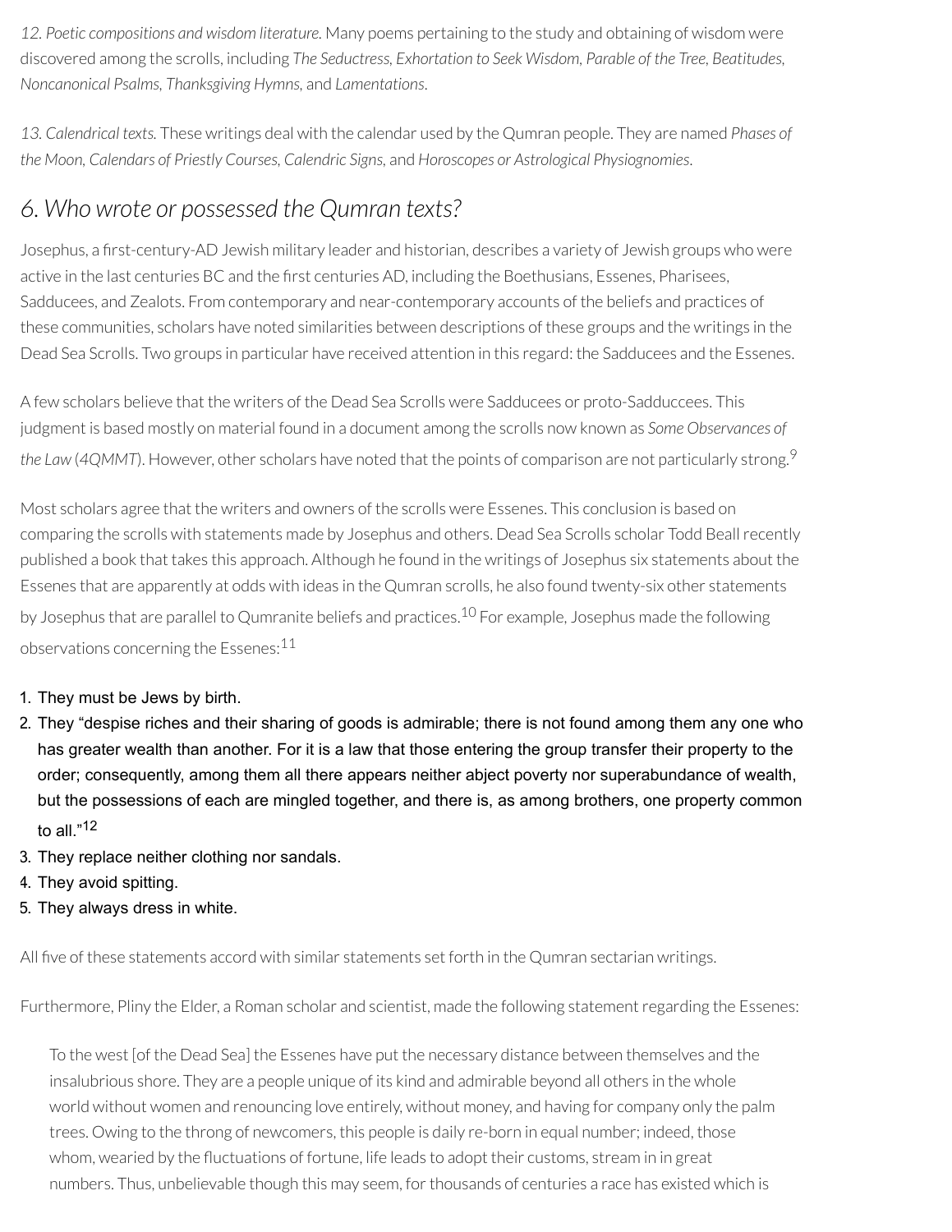*12. Poetic compositions and wisdom literature.* Many poems pertaining to the study and obtaining of wisdom were discovered among the scrolls, including *The Seductress, Exhortation to Seek Wisdom, Parable of the Tree, Beatitudes, Noncanonical Psalms, Thanksgiving Hymns,* and *Lamentations*.

*13. Calendrical texts.* These writings deal with the calendar used by the Qumran people. They are named *Phases of the Moon, Calendars of Priestly Courses, Calendric Signs,* and *Horoscopes or Astrological Physiognomies*.

#### *6. Who wrote or possessed the Qumran texts?*

Josephus, a first-century-AD Jewish military leader and historian, describes a variety of Jewish groups who were active in the last centuries BC and the first centuries AD, including the Boethusians, Essenes, Pharisees, Sadducees, and Zealots. From contemporary and near-contemporary accounts of the beliefs and practices of these communities, scholars have noted similarities between descriptions of these groups and the writings in the Dead Sea Scrolls. Two groups in particular have received attention in this regard: the Sadducees and the Essenes.

A few scholars believe that the writers of the Dead Sea Scrolls were Sadducees or proto-Sadduccees. This judgment is based mostly on material found in a document among the scrolls now known as *Some Observances of the Law* (*4QMMT*). However, other scholars have noted that the points of comparison are not particularly strong. 9

Most scholars agree that the writers and owners of the scrolls were Essenes. This conclusion is based on comparing the scrolls with statements made by Josephus and others. Dead Sea Scrolls scholar Todd Beallrecently published a book that takes this approach. Although he found in the writings of Josephus six statements about the Essenes that are apparently at odds with ideas in the Qumran scrolls, he also found twenty-six other statements by Josephus that are parallel to Qumranite beliefs and practices.<sup>10</sup> For example, Josephus made the following observations concerning the Essenes: 11

#### 1. They must be Jews by birth.

- 2. They "despise riches and their sharing of goods is admirable; there is not found among them any one who has greater wealth than another. For it is a law that those entering the group transfer their property to the order; consequently, among them all there appears neither abject poverty nor superabundance of wealth, but the possessions of each are mingled together, and there is, as among brothers, one property common to all."<sup>12</sup>
- 3. They replace neither clothing nor sandals.
- 4. They avoid spitting.
- 5. They always dress in white.

All five of these statements accord with similar statements set forth in the Qumran sectarian writings.

Furthermore, Pliny the Elder, a Roman scholar and scientist, made the following statement regarding the Essenes:

To the west [of the Dead Sea] the Essenes have put the necessary distance between themselves and the insalubrious shore. They are a people unique of its kind and admirable beyond all others in the whole world without women and renouncing love entirely, without money, and having for company only the palm trees. Owing to the throng of newcomers, this people is daily re-born in equal number; indeed, those whom, wearied by the fluctuations of fortune, life leads to adopt their customs, stream in in great numbers. Thus, unbelievable though this may seem, for thousands of centuries a race has existed which is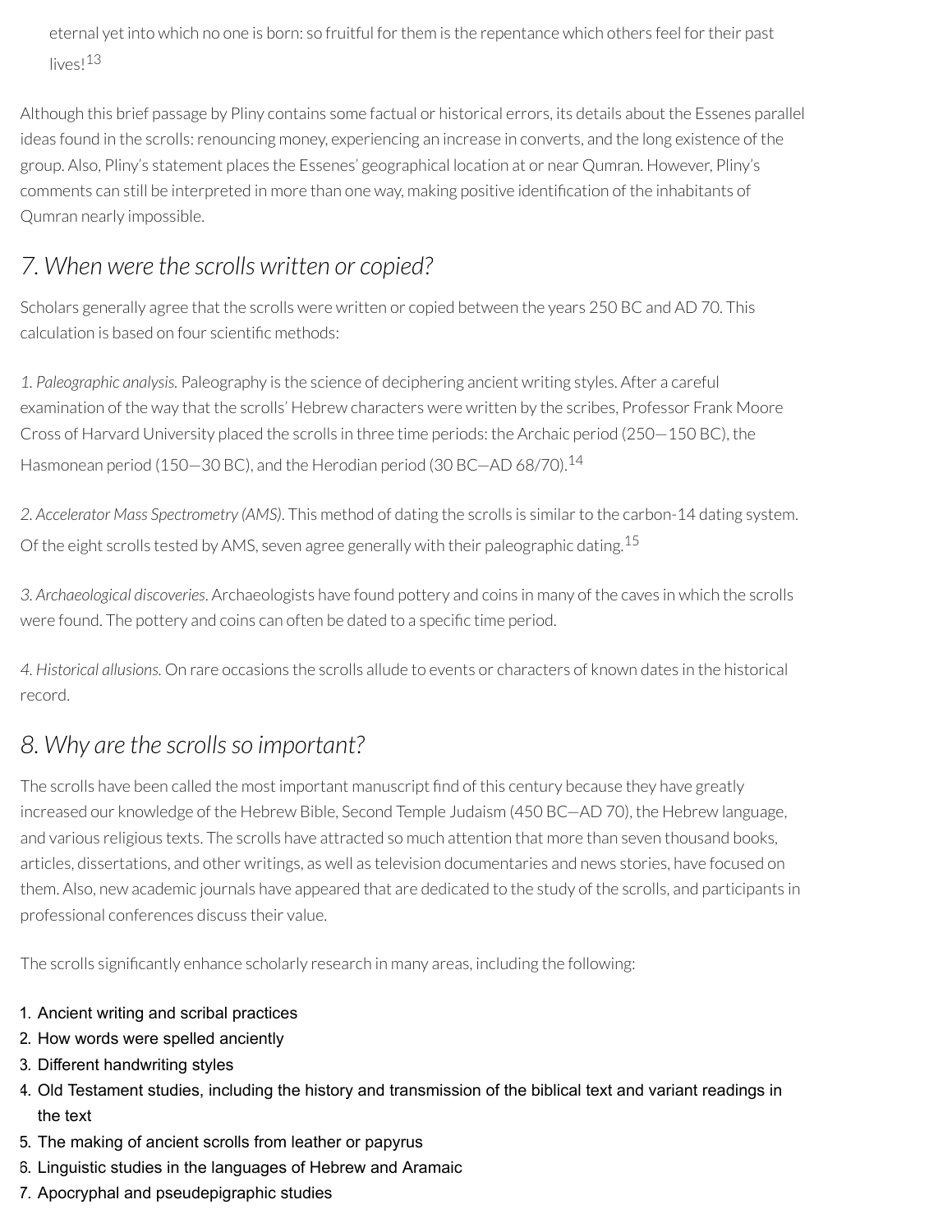eternal yet into which no one is born: so fruitful for them is the repentance which others feel for their past lives! 13

Although this brief passage by Pliny contains some factual or historical errors, its details about the Essenes parallel ideas found in the scrolls: renouncing money, experiencing an increase in converts, and the long existence of the group. Also, Pliny's statement places the Essenes' geographical location at or near Qumran. However, Pliny's comments can still be interpreted in more than one way, making positive identification of the inhabitants of Qumran nearly impossible.

### *7. When were the scrolls written or copied?*

Scholars generally agree that the scrolls were written or copied between the years 250 BC and AD 70. This calculation is based on four scientific methods:

*1. Paleographic analysis.* Paleography is the science of deciphering ancient writing styles. After a careful examination of the way that the scrolls' Hebrew characters were written by the scribes, Professor Frank Moore Cross of Harvard University placed the scrolls in three time periods: the Archaic period (250—150 BC), the Hasmonean period (150–30 BC), and the Herodian period (30 BC–AD 68/70).<sup>14</sup>

2. Accelerator Mass Spectrometry (AMS). This method of dating the scrolls is similar to the carbon-14 dating system. Of the eight scrolls tested by AMS, seven agree generally with their paleographic dating.<sup>15</sup>

*3. Archaeological discoveries*. Archaeologists have found pottery and coins in many of the caves in which the scrolls were found. The pottery and coins can often be dated to a specific time period.

*4. Historical allusions.* On rare occasions the scrolls allude to events or characters of known dates in the historical record.

### *8. Why are the scrollsso important?*

The scrolls have been called the most important manuscript find of this century because they have greatly increased our knowledge of the Hebrew Bible, Second Temple Judaism (450 BC—AD 70), the Hebrew language, and various religious texts. The scrolls have attracted so much attention that more than seven thousand books, articles, dissertations, and other writings, as well as television documentaries and news stories, have focused on them. Also, new academic journals have appeared that are dedicated to the study of the scrolls, and participants in professional conferences discuss their value.

The scrolls significantly enhance scholarly research in many areas, including the following:

- 1. Ancient writing and scribal practices
- 2. How words were spelled anciently
- 3. Different handwriting styles
- 4. Old Testament studies, including the history and transmission of the biblical text and variant readings in the text
- 5. The making of ancient scrolls from leather or papyrus
- 6. Linguistic studies in the languages of Hebrew and Aramaic
- 7. Apocryphal and pseudepigraphic studies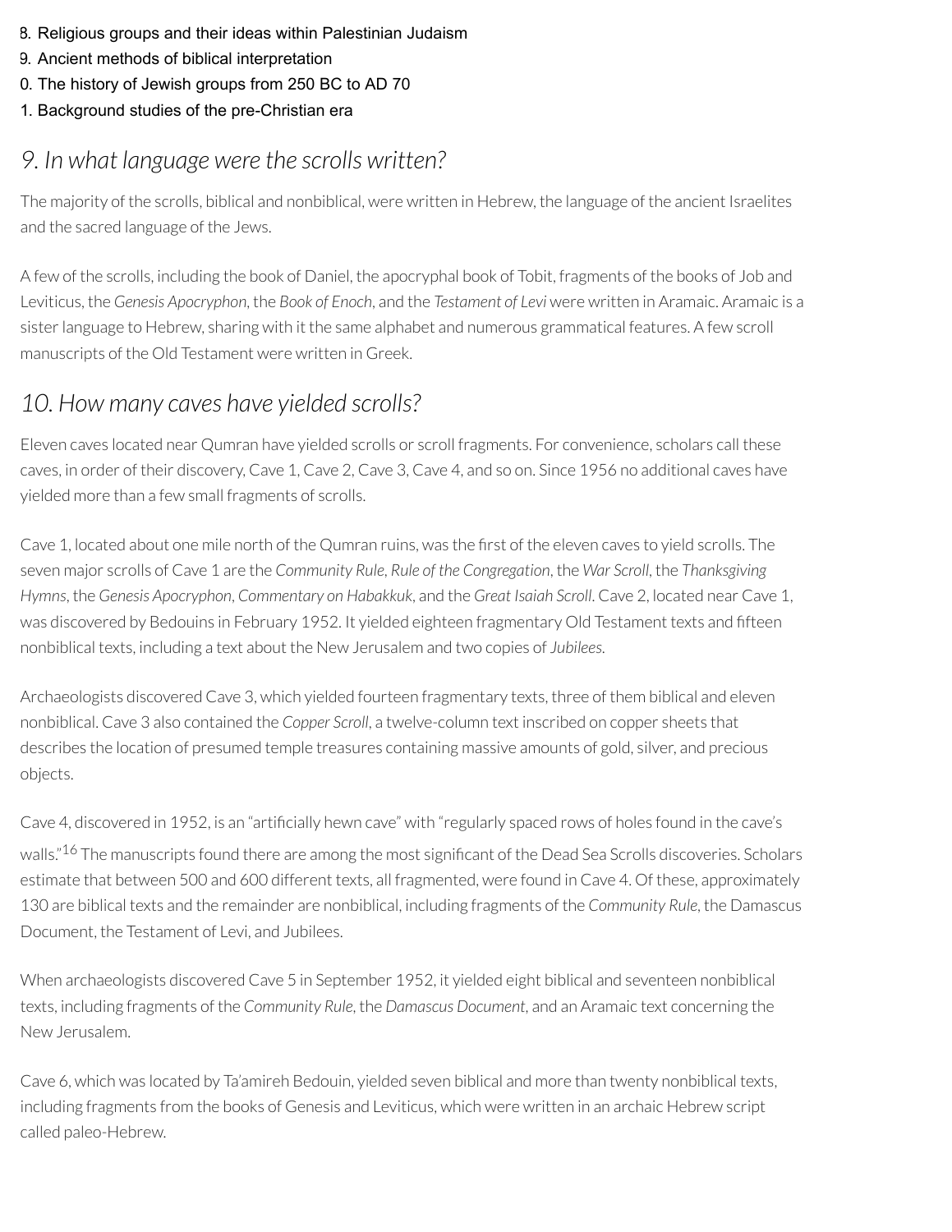- 8. Religious groups and their ideas within Palestinian Judaism
- 9. Ancient methods of biblical interpretation
- 0. The history of Jewish groups from 250 BC to AD 70
- 1. Background studies of the pre-Christian era

## *9. In what language were the scrolls written?*

The majority of the scrolls, biblical and nonbiblical, were written in Hebrew, the language of the ancient Israelites and the sacred language of the Jews.

A few of the scrolls, including the book of Daniel, the apocryphal book of Tobit, fragments of the books of Job and Leviticus, the *Genesis Apocryphon*, the *Book of Enoch*, and the *Testament of Levi* were written in Aramaic. Aramaic is a sisterlanguage to Hebrew, sharing with it the same alphabet and numerous grammatical features. A few scroll manuscripts of the Old Testament were written in Greek.

### *10. How many caves have yielded scrolls?*

Eleven caves located near Qumran have yielded scrolls or scroll fragments. For convenience, scholars call these caves, in order of their discovery, Cave 1, Cave 2, Cave 3, Cave 4, and so on. Since 1956 no additional caves have yielded more than a few small fragments of scrolls.

Cave 1, located about one mile north of the Qumran ruins, was the first of the eleven caves to vield scrolls. The seven major scrolls of Cave 1 are the *Community Rule*, *Rule of the Congregation*, the *War Scroll*, the *Thanksgiving Hymns*, the *Genesis Apocryphon*, *Commentary on Habakkuk*, and the *Great Isaiah Scroll*. Cave 2, located near Cave 1, was discovered by Bedouins in February 1952. It yielded eighteen fragmentary Old Testament texts and fteen nonbiblical texts, including a text about the New Jerusalem and two copies of *Jubilees*.

Archaeologists discovered Cave 3, which yielded fourteen fragmentary texts, three of them biblical and eleven nonbiblical. Cave 3 also contained the *Copper Scroll*, a twelve-column text inscribed on copper sheets that describes the location of presumed temple treasures containing massive amounts of gold, silver, and precious objects.

Cave 4, discovered in 1952, is an "artificially hewn cave" with "regularly spaced rows of holes found in the cave's walls."<sup>16</sup> The manuscripts found there are among the most significant of the Dead Sea Scrolls discoveries. Scholars estimate that between 500 and 600 different texts, all fragmented, were found in Cave 4. Of these, approximately 130 are biblical texts and the remainder are nonbiblical, including fragments of the *Community Rule*, the Damascus Document, the Testament of Levi, and Jubilees.

When archaeologists discovered Cave 5 in September 1952, it yielded eight biblical and seventeen nonbiblical texts, including fragments of the *Community Rule*, the *Damascus Document*, and an Aramaic text concerning the New Jerusalem.

Cave 6, which was located by Ta'amireh Bedouin, yielded seven biblical and more than twenty nonbiblical texts, including fragments from the books of Genesis and Leviticus, which were written in an archaic Hebrew script called paleo-Hebrew.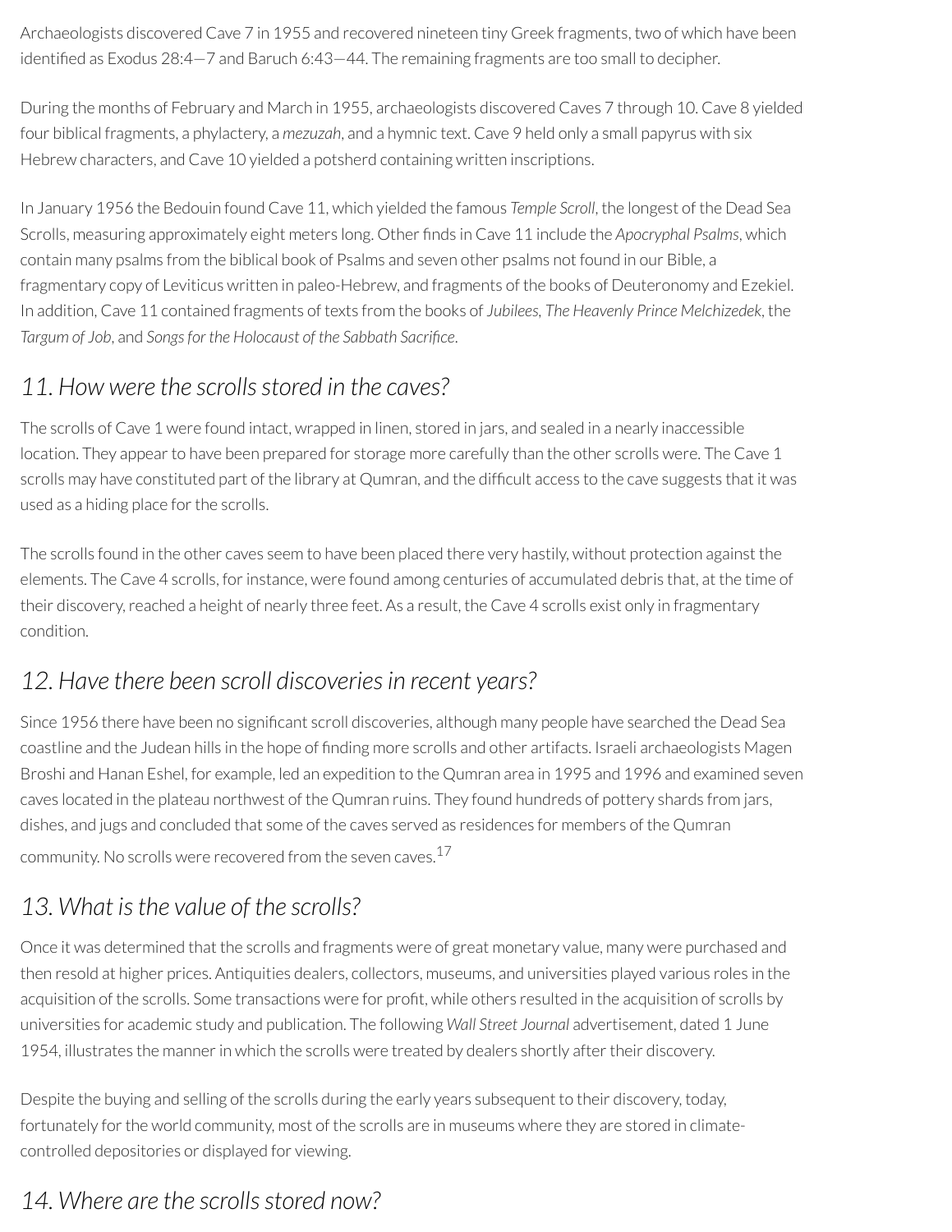Archaeologists discovered Cave 7 in 1955 and recovered nineteen tiny Greek fragments, two of which have been identified as Exodus 28:4-7 and Baruch 6:43-44. The remaining fragments are too small to decipher.

During the months of February and March in 1955, archaeologists discovered Caves 7 through 10. Cave 8 yielded four biblical fragments, a phylactery, a *mezuzah*, and a hymnic text. Cave 9 held only a small papyrus with six Hebrew characters, and Cave 10 yielded a potsherd containing written inscriptions.

In January 1956 the Bedouin found Cave 11, which yielded the famous *Temple Scroll*, the longest of the Dead Sea Scrolls, measuring approximately eight meters long. Other finds in Cave 11 include the *Apocryphal Psalms*, which contain many psalms from the biblical book of Psalms and seven other psalms not found in our Bible, a fragmentary copy of Leviticus written in paleo-Hebrew, and fragments of the books of Deuteronomy and Ezekiel. In addition, Cave 11 contained fragments of texts from the books of *Jubilees, The Heavenly Prince Melchizedek*, the *Targum of Job*, and *Songsfor the Holocaust of the Sabbath Sacrice*.

### *11. How were the scrollsstored in the caves?*

The scrolls of Cave 1 were found intact, wrapped in linen, stored in jars, and sealed in a nearly inaccessible location. They appear to have been prepared for storage more carefully than the other scrolls were. The Cave 1 scrolls may have constituted part of the library at Qumran, and the difficult access to the cave suggests that it was used as a hiding place for the scrolls.

The scrolls found in the other caves seem to have been placed there very hastily, without protection against the elements. The Cave 4 scrolls, forinstance, were found among centuries of accumulated debris that, at the time of their discovery, reached a height of nearly three feet. As a result, the Cave 4 scrolls exist only in fragmentary condition.

### *12. Have there been scroll discoveriesin recent years?*

Since 1956 there have been no significant scroll discoveries, although many people have searched the Dead Sea coastline and the Judean hills in the hope of nding more scrolls and other artifacts. Israeli archaeologists Magen Broshi and Hanan Eshel, for example, led an expedition to the Qumran area in 1995 and 1996 and examined seven caves located in the plateau northwest of the Qumran ruins. They found hundreds of pottery shards from jars, dishes, and jugs and concluded that some of the caves served as residences for members of the Qumran community. No scrolls were recovered from the seven caves. $^{17}$ 

## *13. What isthe value of the scrolls?*

Once it was determined that the scrolls and fragments were of great monetary value, many were purchased and then resold at higher prices. Antiquities dealers, collectors, museums, and universities played various roles in the acquisition of the scrolls. Some transactions were for profit, while others resulted in the acquisition of scrolls by universities for academic study and publication. The following *Wall Street Journal* advertisement, dated 1 June 1954, illustrates the manner in which the scrolls were treated by dealers shortly after their discovery.

Despite the buying and selling of the scrolls during the early years subsequent to their discovery, today, fortunately for the world community, most of the scrolls are in museums where they are stored in climatecontrolled depositories or displayed for viewing.

## *14. Where are the scrollsstored now?*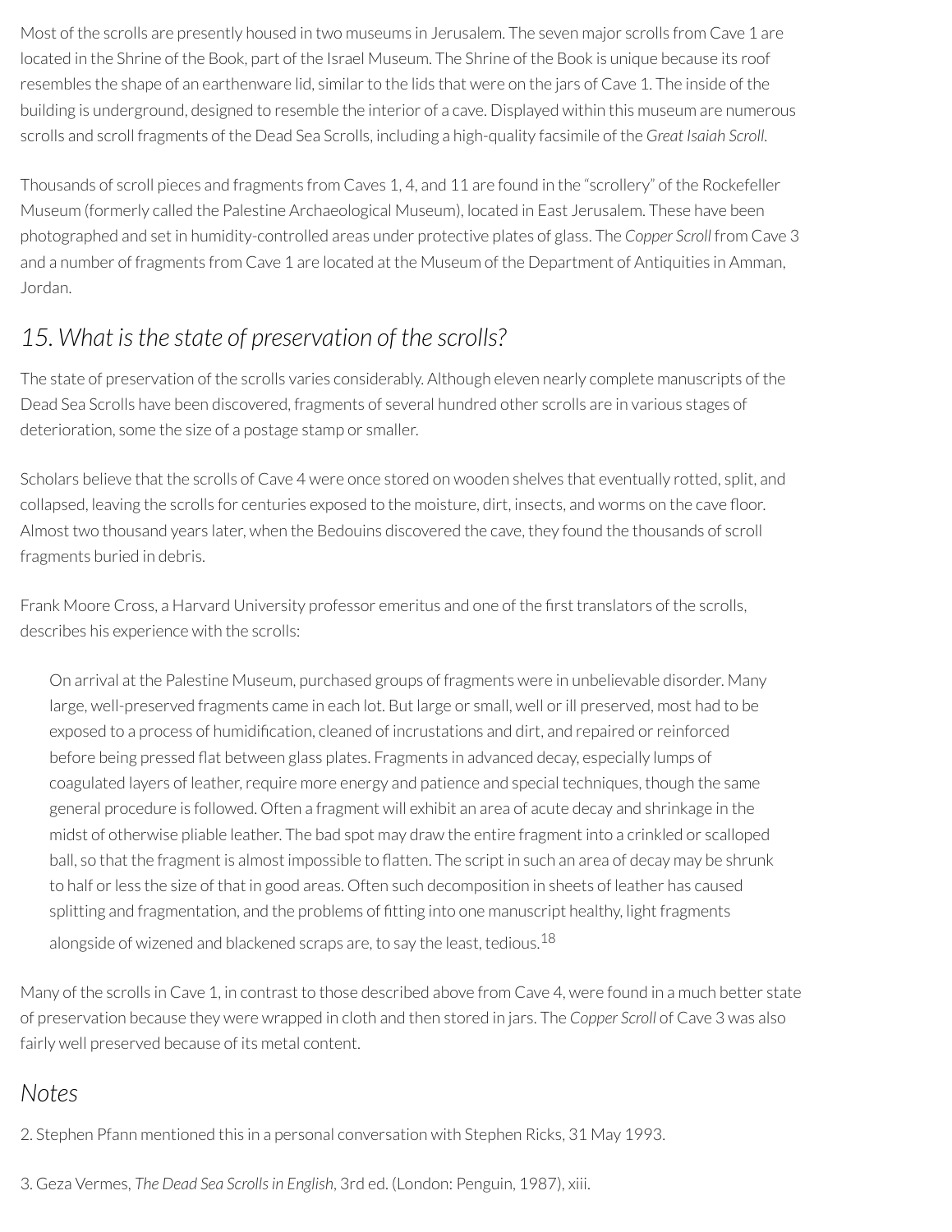Most of the scrolls are presently housed in two museums in Jerusalem. The seven major scrolls from Cave 1 are located in the Shrine of the Book, part of the Israel Museum. The Shrine of the Book is unique because its roof resembles the shape of an earthenware lid, similar to the lids that were on the jars of Cave 1. The inside of the building is underground, designed to resemble the interior of a cave. Displayed within this museum are numerous scrolls and scroll fragments of the Dead Sea Scrolls, including a high-quality facsimile of the *Great Isaiah Scroll*.

Thousands of scroll pieces and fragments from Caves 1, 4, and 11 are found in the "scrollery" of the Rockefeller Museum (formerly called the Palestine Archaeological Museum), located in East Jerusalem. These have been photographed and set in humidity-controlled areas under protective plates of glass. The *Copper Scroll* from Cave 3 and a number of fragments from Cave 1 are located at the Museum of the Department of Antiquities in Amman, Jordan.

### *15. What isthe state of preservation of the scrolls?*

The state of preservation of the scrolls varies considerably. Although eleven nearly complete manuscripts of the Dead Sea Scrolls have been discovered, fragments of several hundred other scrolls are in various stages of deterioration, some the size of a postage stamp or smaller.

Scholars believe that the scrolls of Cave 4 were once stored on wooden shelves that eventually rotted, split, and collapsed, leaving the scrolls for centuries exposed to the moisture, dirt, insects, and worms on the cave floor. Almost two thousand years later, when the Bedouins discovered the cave, they found the thousands of scroll fragments buried in debris.

Frank Moore Cross, a Harvard University professor emeritus and one of the first translators of the scrolls, describes his experience with the scrolls:

On arrival at the Palestine Museum, purchased groups of fragments were in unbelievable disorder. Many large, well-preserved fragments came in each lot. But large or small, well orill preserved, most had to be exposed to a process of humidification, cleaned of incrustations and dirt, and repaired or reinforced before being pressed flat between glass plates. Fragments in advanced decay, especially lumps of coagulated layers of leather, require more energy and patience and special techniques, though the same general procedure is followed. Often a fragment will exhibit an area of acute decay and shrinkage in the midst of otherwise pliable leather. The bad spot may draw the entire fragment into a crinkled or scalloped ball, so that the fragment is almost impossible to flatten. The script in such an area of decay may be shrunk to half or less the size of that in good areas. Often such decomposition in sheets of leather has caused splitting and fragmentation, and the problems of fitting into one manuscript healthy, light fragments alongside of wizened and blackened scraps are, to say the least, tedious. $^{18}$ 

Many of the scrolls in Cave 1, in contrast to those described above from Cave 4, were found in a much better state of preservation because they were wrapped in cloth and then stored in jars. The *Copper Scroll* of Cave 3 was also fairly well preserved because of its metal content.

#### *Notes*

2. Stephen Pfann mentioned this in a personal conversation with Stephen Ricks, 31 May 1993.

3. Geza Vermes, *The Dead Sea Scrollsin English*, 3rd ed. (London: Penguin, 1987), xiii.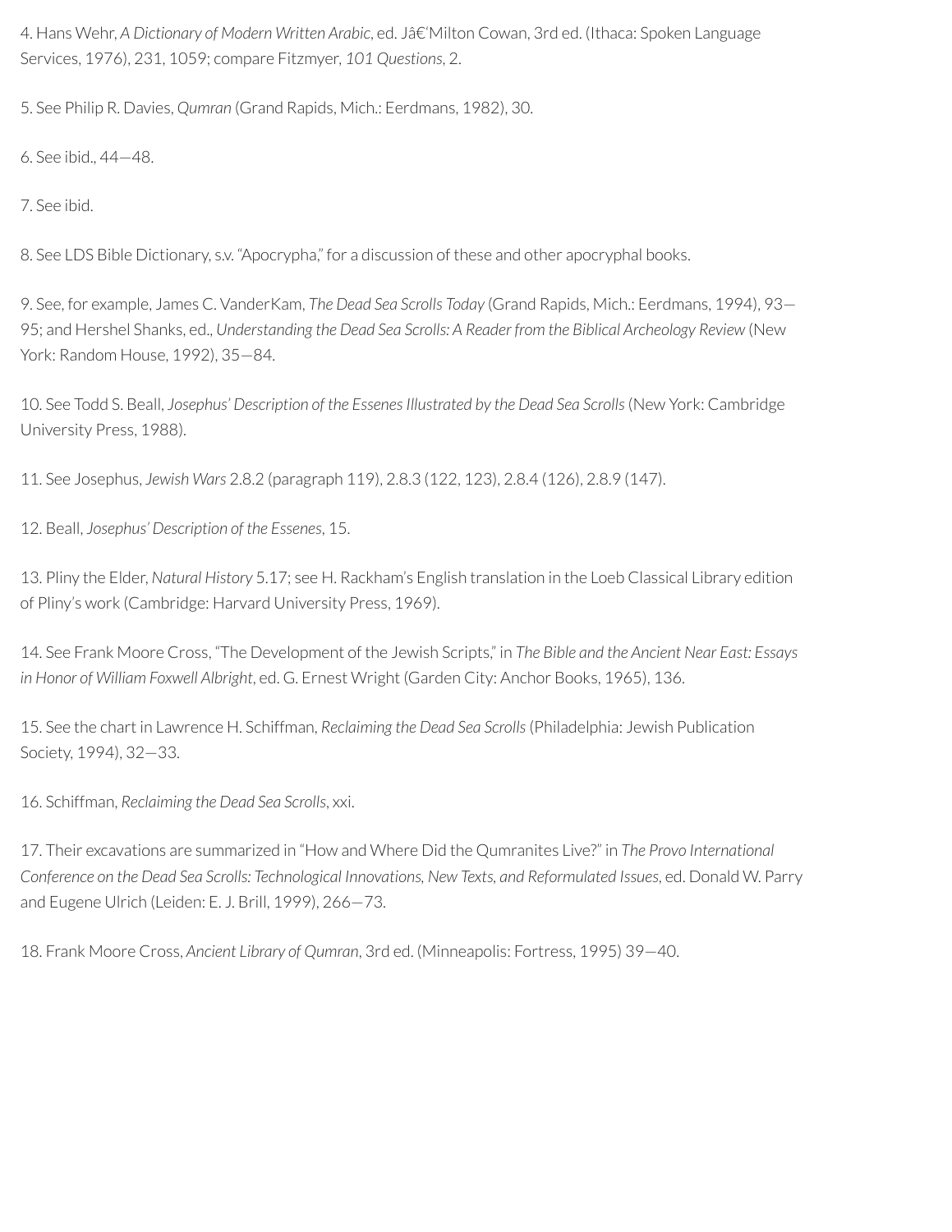4. Hans Wehr, *A Dictionary of Modern Written Arabic*, ed. J‑Milton Cowan, 3rd ed. (Ithaca: Spoken Language Services, 1976), 231, 1059; compare Fitzmyer, *101 Questions*, 2.

5. See Philip R. Davies, *Qumran* (Grand Rapids, Mich.: Eerdmans, 1982), 30.

6. See ibid., 44—48.

7. See ibid.

8. See LDS Bible Dictionary, s.v. "Apocrypha," for a discussion of these and other apocryphal books.

9. See, for example, James C. VanderKam, *The Dead Sea Scrolls Today* (Grand Rapids, Mich.: Eerdmans, 1994), 93— 95; and Hershel Shanks, ed., *Understanding the Dead Sea Scrolls: A Reader from the Biblical Archeology Review* (New York: Random House, 1992), 35—84.

10. See Todd S. Beall, *Josephus' Description of the Essenes Illustrated by the Dead Sea Scrolls*(New York: Cambridge University Press, 1988).

11. See Josephus, *Jewish Wars* 2.8.2 (paragraph 119), 2.8.3 (122, 123), 2.8.4 (126), 2.8.9 (147).

12. Beall, *Josephus' Description of the Essenes*, 15.

13. Pliny the Elder, *Natural History* 5.17; see H. Rackham's English translation in the Loeb Classical Library edition of Pliny's work (Cambridge: Harvard University Press, 1969).

14. See Frank Moore Cross, "The Development of the Jewish Scripts," in *The Bible and the Ancient Near East: Essays in Honor of William Foxwell Albright*, ed. G. Ernest Wright (Garden City: Anchor Books, 1965), 136.

15. See the chart in Lawrence H. Schiffman, *Reclaiming the Dead Sea Scrolls*(Philadelphia: Jewish Publication Society, 1994), 32—33.

16. Schiffman, *Reclaiming the Dead Sea Scrolls*, xxi.

17. Their excavations are summarized in "How and Where Did the Qumranites Live?" in *The Provo International Conference on the Dead Sea Scrolls: Technological Innovations, New Texts, and Reformulated Issues*, ed. Donald W. Parry and Eugene Ulrich (Leiden: E. J. Brill, 1999), 266—73.

18. Frank Moore Cross, *Ancient Library of Qumran*, 3rd ed. (Minneapolis: Fortress, 1995) 39—40.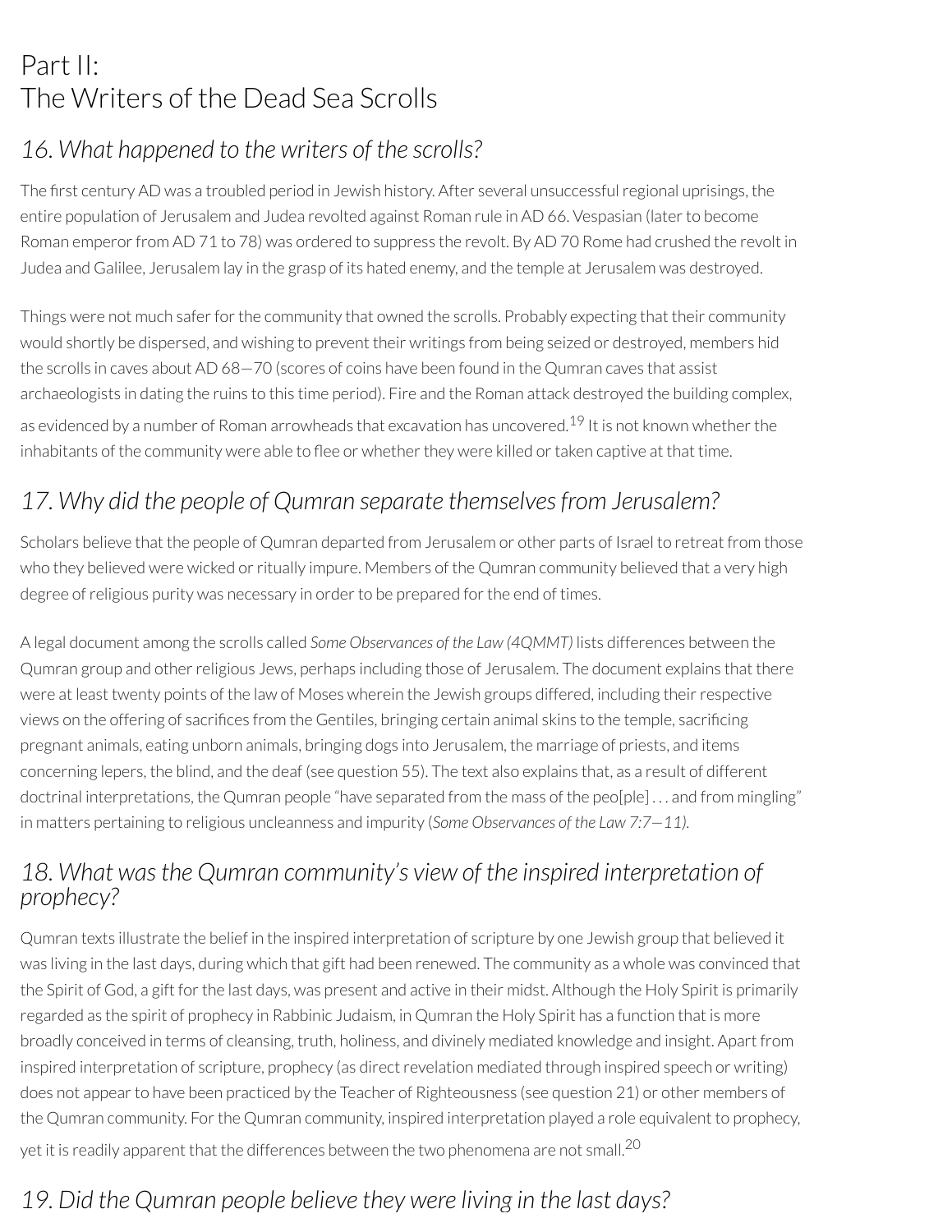# Part II: The Writers of the Dead Sea Scrolls

### *16. What happened to the writers of the scrolls?*

The first century AD was a troubled period in Jewish history. After several unsuccessful regional uprisings, the entire population of Jerusalem and Judea revolted against Roman rule in AD 66. Vespasian (laterto become Roman emperor from AD 71 to 78) was ordered to suppress the revolt. By AD 70 Rome had crushed the revolt in Judea and Galilee, Jerusalem lay in the grasp of its hated enemy, and the temple at Jerusalem was destroyed.

Things were not much safer for the community that owned the scrolls. Probably expecting that their community would shortly be dispersed, and wishing to prevent their writings from being seized or destroyed, members hid the scrolls in caves about AD 68—70 (scores of coins have been found in the Qumran caves that assist archaeologists in dating the ruins to this time period). Fire and the Roman attack destroyed the building complex, as evidenced by a number of Roman arrowheads that excavation has uncovered.<sup>19</sup> It is not known whether the inhabitants of the community were able to flee or whether they were killed or taken captive at that time.

### *17. Why did the people of Qumran separate themselvesfrom Jerusalem?*

Scholars believe that the people of Qumran departed from Jerusalem or other parts of Israel to retreat from those who they believed were wicked or ritually impure. Members of the Qumran community believed that a very high degree of religious purity was necessary in order to be prepared for the end of times.

A legal document among the scrolls called *Some Observances of the Law (4QMMT)* lists differences between the Qumran group and otherreligious Jews, perhaps including those of Jerusalem. The document explains that there were at least twenty points of the law of Moses wherein the Jewish groups differed, including their respective views on the offering of sacrifices from the Gentiles, bringing certain animal skins to the temple, sacrificing pregnant animals, eating unborn animals, bringing dogs into Jerusalem, the marriage of priests, and items concerning lepers, the blind, and the deaf (see question 55). The text also explains that, as a result of different doctrinal interpretations, the Qumran people "have separated from the mass of the peo[ple] . . . and from mingling" in matters pertaining to religious uncleanness and impurity (*Some Observances of the Law 7:7—11).*

### *18. What wasthe Qumran community's view of the inspired interpretation of prophecy?*

Qumran texts illustrate the belief in the inspired interpretation of scripture by one Jewish group that believed it was living in the last days, during which that gift had been renewed. The community as a whole was convinced that the Spirit of God, a gift for the last days, was present and active in their midst. Although the Holy Spirit is primarily regarded as the spirit of prophecy in Rabbinic Judaism, in Qumran the Holy Spirit has a function that is more broadly conceived in terms of cleansing, truth, holiness, and divinely mediated knowledge and insight. Apart from inspired interpretation of scripture, prophecy (as direct revelation mediated through inspired speech or writing) does not appear to have been practiced by the Teacher of Righteousness (see question 21) or other members of the Qumran community. For the Qumran community, inspired interpretation played a role equivalent to prophecy, yet it is readily apparent that the differences between the two phenomena are not small. $^{\mathrm{20}}$ 

## *19. Did the Qumran people believe they were living in the last days?*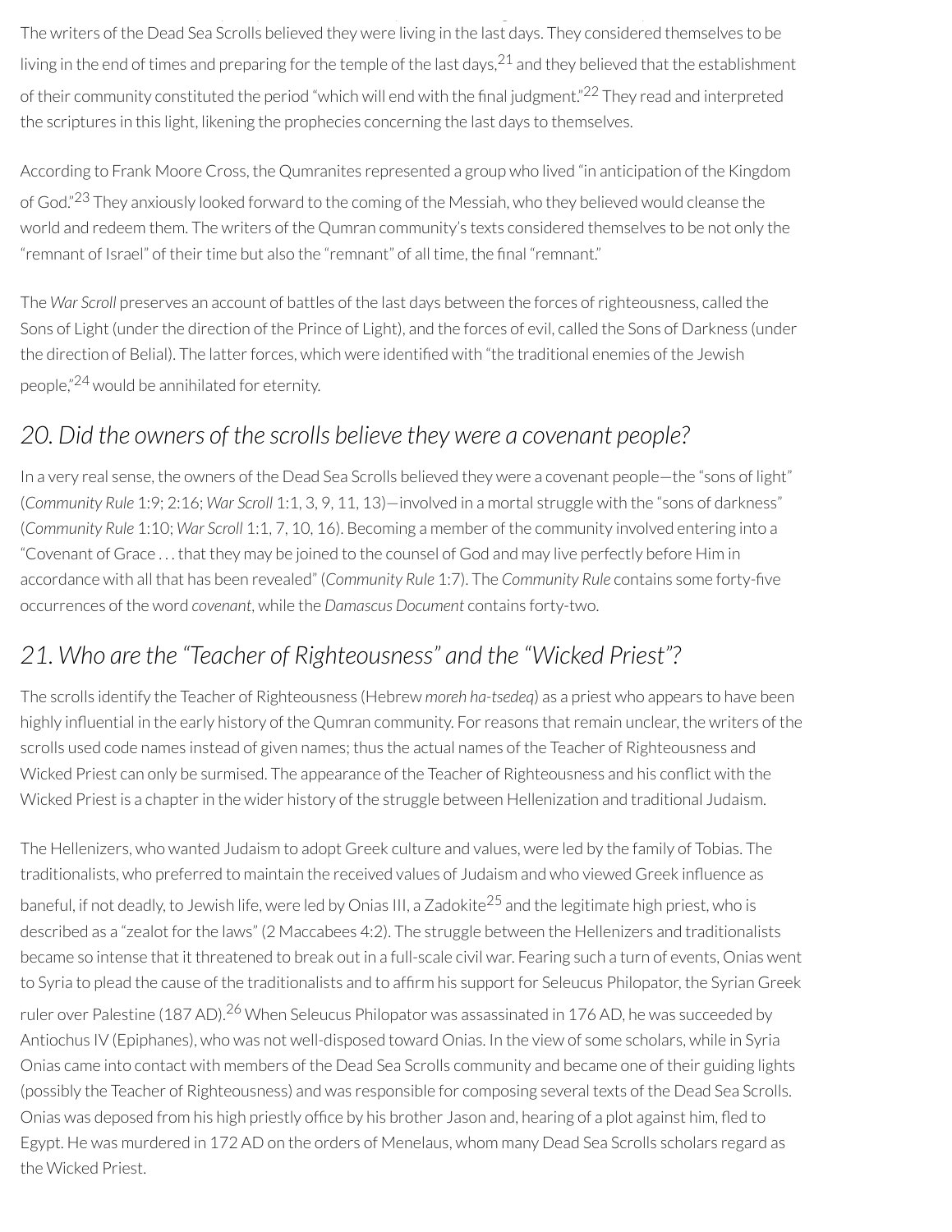*Q p p y g y* The writers of the Dead Sea Scrolls believed they were living in the last days. They considered themselves to be living in the end of times and preparing for the temple of the last days, $^{21}$  and they believed that the establishment of their community constituted the period "which will end with the final judgment."<sup>22</sup> They read and interpreted the scriptures in this light, likening the prophecies concerning the last days to themselves.

According to Frank Moore Cross, the Qumranites represented a group who lived "in anticipation of the Kingdom of God."<sup>23</sup> They anxiously looked forward to the coming of the Messiah, who they believed would cleanse the world and redeem them. The writers of the Qumran community's texts considered themselves to be not only the "remnant of Israel" of their time but also the "remnant" of all time, the final "remnant."

The *War Scroll* preserves an account of battles of the last days between the forces ofrighteousness, called the Sons of Light (under the direction of the Prince of Light), and the forces of evil, called the Sons of Darkness (under the direction of Belial). The latter forces, which were identified with "the traditional enemies of the Jewish people," <sup>24</sup> would be annihilated for eternity.

### *20. Did the owners of the scrolls believe they were a covenant people?*

In a very real sense, the owners of the Dead Sea Scrolls believed they were a covenant people—the "sons of light" (*Community Rule* 1:9; 2:16; *War Scroll* 1:1, 3, 9, 11, 13)—involved in a mortal struggle with the "sons of darkness" (*Community Rule* 1:10; *War Scroll* 1:1, 7, 10, 16). Becoming a member of the community involved entering into a "Covenant of Grace . . . that they may be joined to the counsel of God and may live perfectly before Him in accordance with all that has been revealed" (*Community Rule* 1:7). The *Community Rule* contains some forty-five occurrences of the word *covenant*, while the *Damascus Document* contains forty-two.

### *21. Who are the "Teacher of Righteousness" and the "Wicked Priest"?*

The scrolls identify the Teacher of Righteousness (Hebrew *moreh ha-tsedeq*) as a priest who appears to have been highly influential in the early history of the Qumran community. For reasons that remain unclear, the writers of the scrolls used code names instead of given names; thus the actual names of the Teacher of Righteousness and Wicked Priest can only be surmised. The appearance of the Teacher of Righteousness and his conflict with the Wicked Priest is a chapter in the wider history of the struggle between Hellenization and traditional Judaism.

The Hellenizers, who wanted Judaism to adopt Greek culture and values, were led by the family of Tobias. The traditionalists, who preferred to maintain the received values of Judaism and who viewed Greek influence as baneful, if not deadly, to Jewish life, were led by Onias III, a Zadokite<sup>25</sup> and the legitimate high priest, who is described as a "zealot for the laws" (2 Maccabees 4:2). The struggle between the Hellenizers and traditionalists became so intense that it threatened to break out in a full-scale civil war. Fearing such a turn of events, Onias went to Syria to plead the cause of the traditionalists and to afrm his support for Seleucus Philopator, the Syrian Greek ruler over Palestine (187 AD).<sup>26</sup> When Seleucus Philopator was assassinated in 176 AD, he was succeeded by Antiochus IV (Epiphanes), who was not well-disposed toward Onias. In the view of some scholars, while in Syria Onias came into contact with members of the Dead Sea Scrolls community and became one of their guiding lights (possibly the Teacher of Righteousness) and was responsible for composing several texts of the Dead Sea Scrolls. Onias was deposed from his high priestly office by his brother Jason and, hearing of a plot against him, fled to Egypt. He was murdered in 172 AD on the orders of Menelaus, whom many Dead Sea Scrolls scholars regard as the Wicked Priest.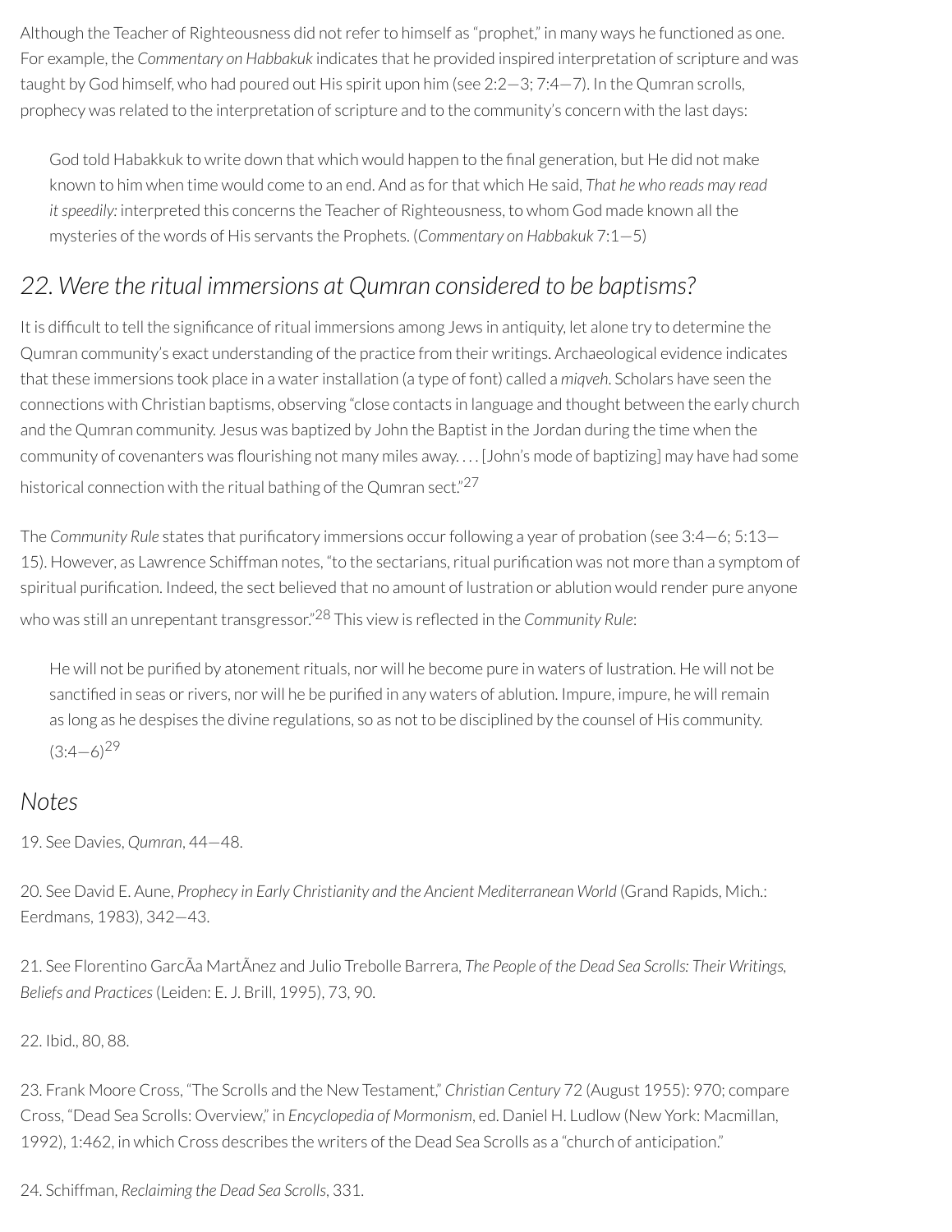Although the Teacher of Righteousness did not refer to himself as "prophet," in many ways he functioned as one. For example, the *Commentary on Habbakuk* indicates that he provided inspired interpretation of scripture and was taught by God himself, who had poured out His spirit upon him (see 2:2—3; 7:4—7). In the Qumran scrolls, prophecy was related to the interpretation of scripture and to the community's concern with the last days:

God told Habakkuk to write down that which would happen to the final generation, but He did not make known to him when time would come to an end. And as forthat which He said, *That he who reads may read itspeedily:* interpreted this concerns the Teacher of Righteousness, to whom God made known all the mysteries of the words of His servants the Prophets. (*Commentary on Habbakuk* 7:1—5)

### *22. Were the ritual immersions at Qumran considered to be baptisms?*

It is difficult to tell the significance of ritual immersions among Jews in antiquity, let alone try to determine the Qumran community's exact understanding of the practice from their writings. Archaeological evidence indicates that these immersions took place in a waterinstallation (a type of font) called a *miqveh*. Scholars have seen the connections with Christian baptisms, observing "close contacts in language and thought between the early church and the Qumran community. Jesus was baptized by John the Baptist in the Jordan during the time when the community of covenanters was flourishing not many miles away.... [John's mode of baptizing] may have had some historical connection with the ritual bathing of the Qumran sect."<sup>27</sup>

The *Community Rule* states that purificatory immersions occur following a year of probation (see 3:4–6; 5:13– 15). However, as Lawrence Schiffman notes, "to the sectarians, ritual purification was not more than a symptom of spiritual purification. Indeed, the sect believed that no amount of lustration or ablution would render pure anyone who was still an unrepentant transgressor." <sup>28</sup> This view is reected in the *Community Rule*:

He will not be purified by atonement rituals, nor will he become pure in waters of lustration. He will not be sanctified in seas or rivers, nor will he be purified in any waters of ablution. Impure, impure, he will remain as long as he despises the divine regulations, so as not to be disciplined by the counsel of His community.  $(3:4-6)^{29}$ 

#### *Notes*

19. See Davies, *Qumran*, 44—48.

20. See David E. Aune, *Prophecy in Early Christianity and the Ancient Mediterranean World* (Grand Rapids, Mich.: Eerdmans, 1983), 342—43.

21. See Florentino GarcÃa MartÃnez and Julio Trebolle Barrera, *The People of the Dead Sea Scrolls: Their Writings, Beliefs and Practices*(Leiden: E. J. Brill, 1995), 73, 90.

#### 22. Ibid., 80, 88.

23. Frank Moore Cross, "The Scrolls and the New Testament," *Christian Century* 72 (August 1955): 970; compare Cross, "Dead Sea Scrolls: Overview," in *Encyclopedia of Mormonism*, ed. Daniel H. Ludlow (New York: Macmillan, 1992), 1:462, in which Cross describes the writers of the Dead Sea Scrolls as a "church of anticipation."

24. Schiffman, *Reclaiming the Dead Sea Scrolls*, 331.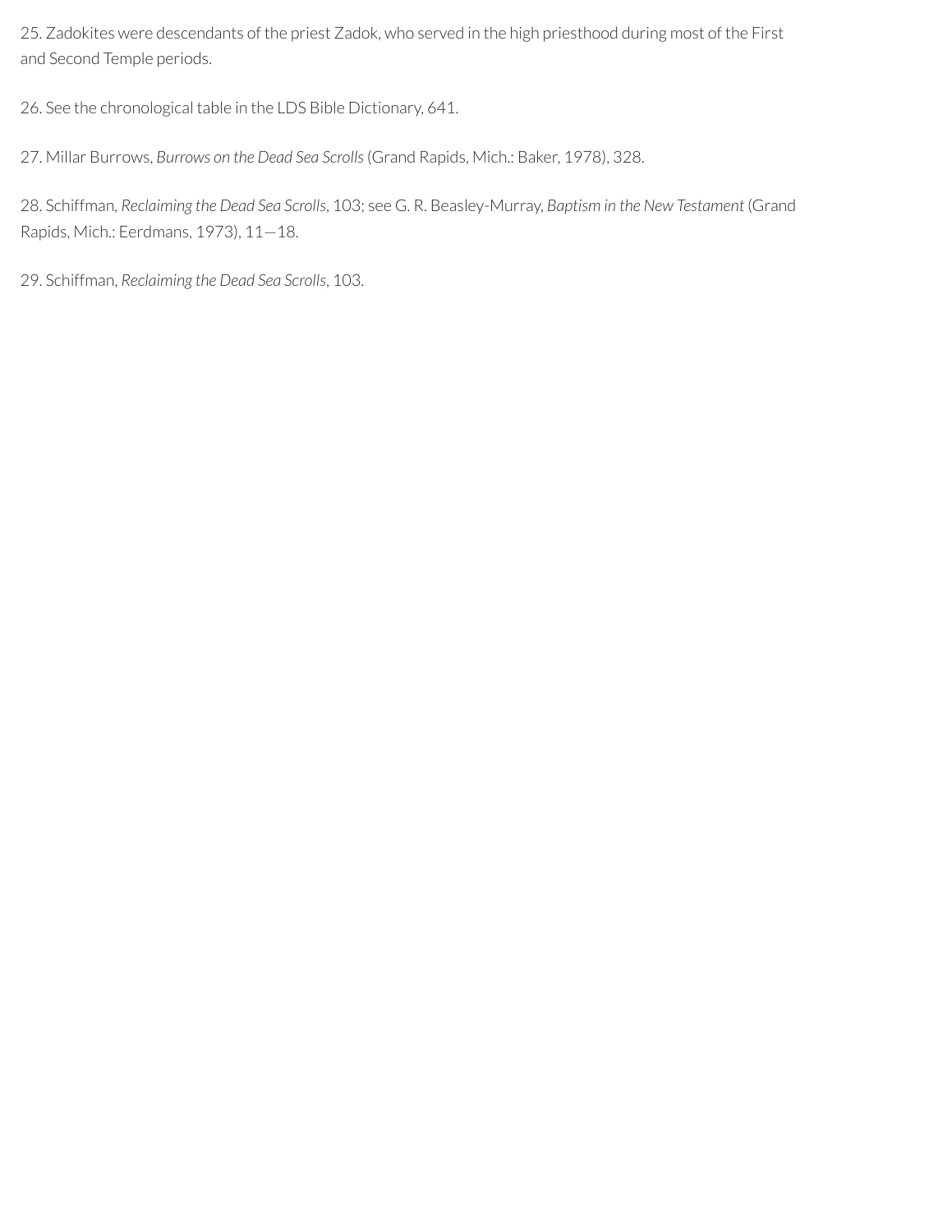25. Zadokites were descendants of the priest Zadok, who served in the high priesthood during most of the First and Second Temple periods.

26. See the chronological table in the LDS Bible Dictionary, 641.

27. Millar Burrows, *Burrows on the Dead Sea Scrolls*(Grand Rapids, Mich.: Baker, 1978), 328.

28. Schiffman*, Reclaiming the Dead Sea Scrolls*, 103; see G. R. Beasley-Murray, *Baptism in the New Testament* (Grand Rapids, Mich.: Eerdmans, 1973), 11—18.

29. Schiffman, *Reclaiming the Dead Sea Scrolls*, 103.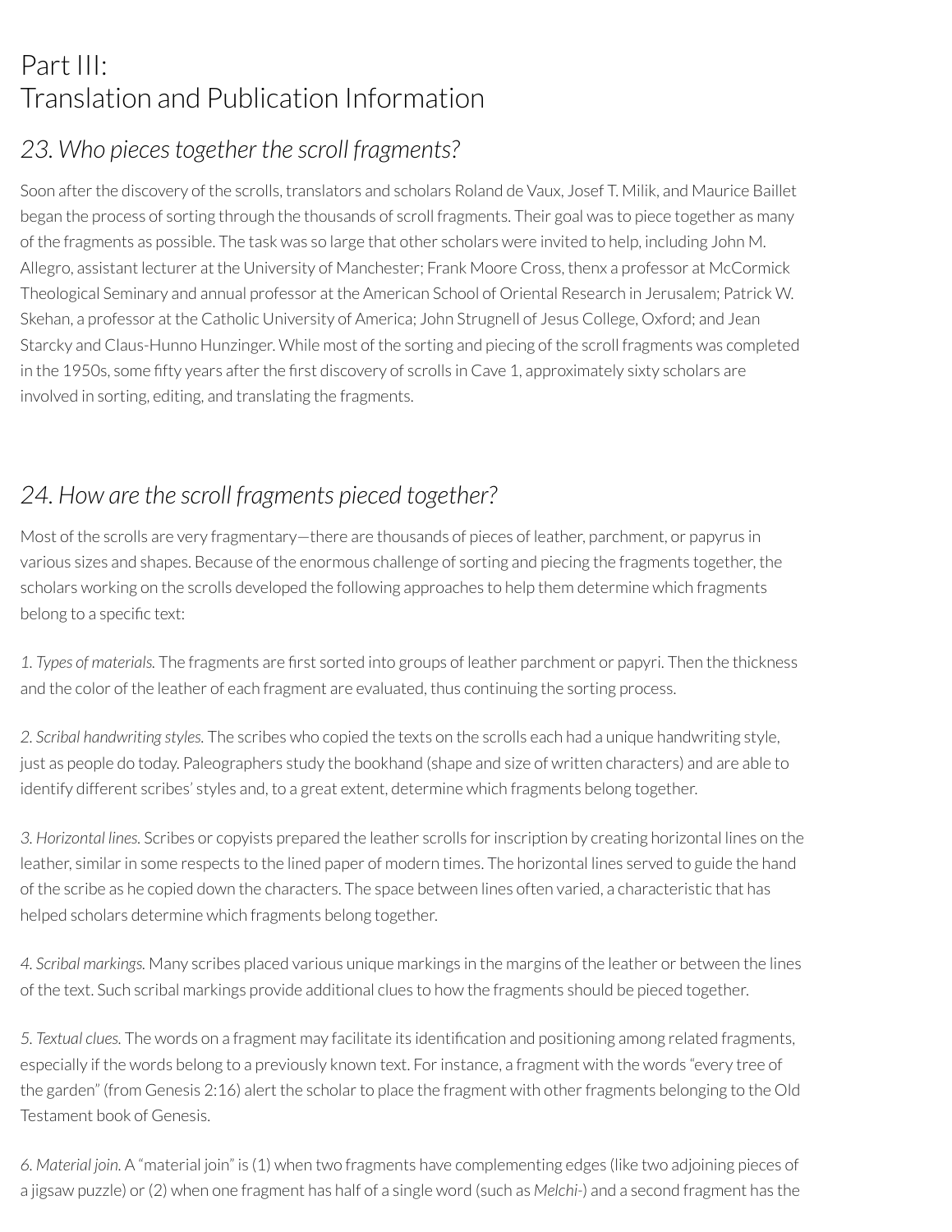# Part III: Translation and Publication Information

### *23. Who piecestogether the scroll fragments?*

Soon after the discovery of the scrolls, translators and scholars Roland de Vaux, Josef T. Milik, and Maurice Baillet began the process of sorting through the thousands of scroll fragments. Their goal was to piece together as many of the fragments as possible. The task was so large that other scholars were invited to help, including John M. Allegro, assistant lecturer at the University of Manchester; Frank Moore Cross, thenx a professor at McCormick Theological Seminary and annual professor at the American School of Oriental Research in Jerusalem; Patrick W. Skehan, a professor at the Catholic University of America; John Strugnell of Jesus College, Oxford; and Jean Starcky and Claus-Hunno Hunzinger. While most of the sorting and piecing of the scroll fragments was completed in the 1950s, some fifty years after the first discovery of scrolls in Cave 1, approximately sixty scholars are involved in sorting, editing, and translating the fragments.

### *24. How are the scroll fragments pieced together?*

Most of the scrolls are very fragmentary—there are thousands of pieces of leather, parchment, or papyrus in various sizes and shapes. Because of the enormous challenge of sorting and piecing the fragments together, the scholars working on the scrolls developed the following approaches to help them determine which fragments belong to a specific text:

1. *Types* of *materials*. The fragments are first sorted into groups of leather parchment or papyri. Then the thickness and the color of the leather of each fragment are evaluated, thus continuing the sorting process.

*2. Scribal handwriting styles.* The scribes who copied the texts on the scrolls each had a unique handwriting style, just as people do today. Paleographers study the bookhand (shape and size of written characters) and are able to identify different scribes' styles and, to a great extent, determine which fragments belong together.

*3. Horizontal lines.* Scribes or copyists prepared the leather scrolls forinscription by creating horizontal lines on the leather, similar in some respects to the lined paper of modern times. The horizontal lines served to guide the hand of the scribe as he copied down the characters. The space between lines often varied, a characteristic that has helped scholars determine which fragments belong together.

*4. Scribal markings.* Many scribes placed various unique markings in the margins of the leather or between the lines of the text. Such scribal markings provide additional clues to how the fragments should be pieced together.

*5. Textual clues.* The words on a fragment may facilitate its identication and positioning among related fragments, especially if the words belong to a previously known text. For instance, a fragment with the words "every tree of the garden" (from Genesis 2:16) alert the scholar to place the fragment with other fragments belonging to the Old Testament book of Genesis.

*6. Material join.* A "material join" is (1) when two fragments have complementing edges (like two adjoining pieces of a jigsaw puzzle) or(2) when one fragment has half of a single word (such as *Melchi-*) and a second fragment has the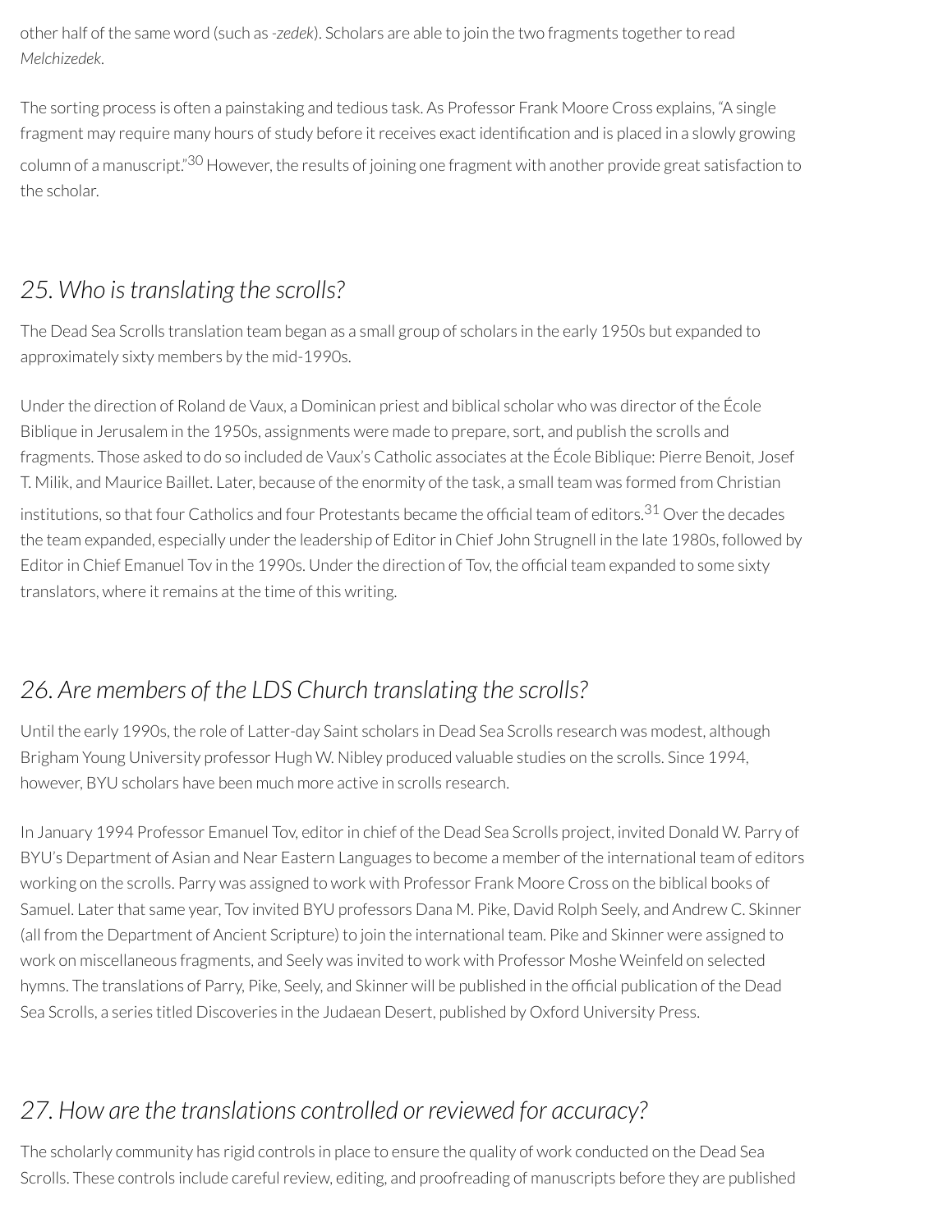other half of the same word (such as *-zedek*). Scholars are able to join the two fragments togetherto read *Melchizedek*.

The sorting process is often a painstaking and tedious task. As Professor Frank Moore Cross explains, "A single fragment may require many hours of study before it receives exact identification and is placed in a slowly growing column of a manuscript."<sup>30</sup> However, the results of joining one fragment with another provide great satisfaction to the scholar.

### *25. Who istranslating the scrolls?*

The Dead Sea Scrolls translation team began as a small group of scholars in the early 1950s but expanded to approximately sixty members by the mid-1990s.

Under the direction of Roland de Vaux, a Dominican priest and biblical scholar who was director of the École Biblique in Jerusalem in the 1950s, assignments were made to prepare, sort, and publish the scrolls and fragments. Those asked to do so included de Vaux's Catholic associates at the École Biblique: Pierre Benoit, Josef T. Milik, and Maurice Baillet. Later, because of the enormity of the task, a small team was formed from Christian institutions, so that four Catholics and four Protestants became the official team of editors. $^{31}$  Over the decades the team expanded, especially under the leadership of Editor in Chief John Strugnell in the late 1980s, followed by Editor in Chief Emanuel Tov in the 1990s. Under the direction of Tov, the official team expanded to some sixty translators, where it remains at the time of this writing.

### *26. Are members of the LDS Church translating the scrolls?*

Until the early 1990s, the role of Latter-day Saint scholars in Dead Sea Scrolls research was modest, although Brigham Young University professor Hugh W. Nibley produced valuable studies on the scrolls. Since 1994, however, BYU scholars have been much more active in scrolls research.

In January 1994 Professor Emanuel Tov, editor in chief of the Dead Sea Scrolls project, invited Donald W. Parry of BYU's Department of Asian and Near Eastern Languages to become a member of the international team of editors working on the scrolls. Parry was assigned to work with Professor Frank Moore Cross on the biblical books of Samuel. Later that same year, Tov invited BYU professors Dana M. Pike, David Rolph Seely, and Andrew C. Skinner (all from the Department of Ancient Scripture) to join the international team. Pike and Skinner were assigned to work on miscellaneous fragments, and Seely was invited to work with Professor Moshe Weinfeld on selected hymns. The translations of Parry, Pike, Seely, and Skinner will be published in the official publication of the Dead Sea Scrolls, a series titled Discoveries in the Judaean Desert, published by Oxford University Press.

### *27. How are the translations controlled or reviewed for accuracy?*

The scholarly community has rigid controls in place to ensure the quality of work conducted on the Dead Sea Scrolls. These controls include careful review, editing, and proofreading of manuscripts before they are published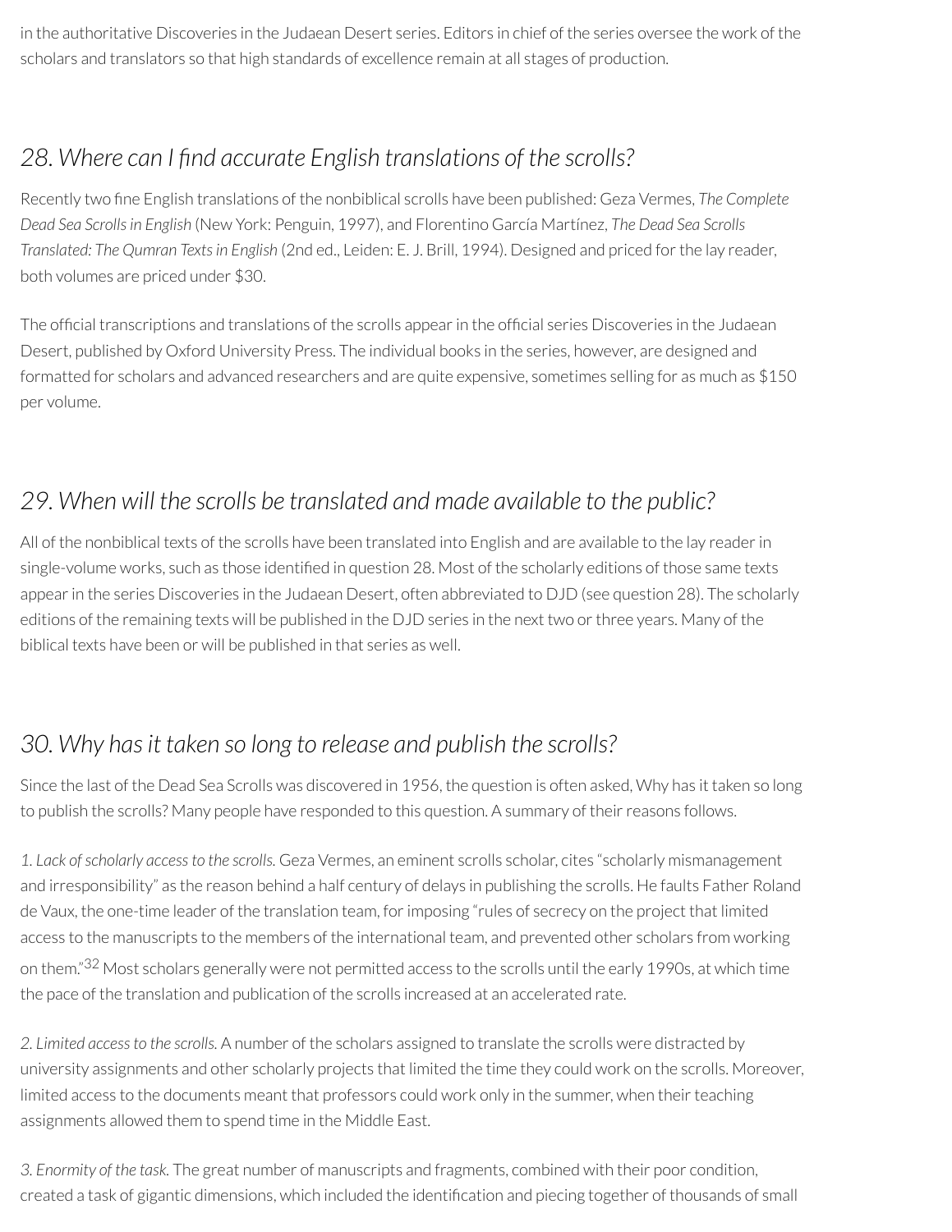in the authoritative Discoveries in the Judaean Desert series. Editors in chief of the series oversee the work of the scholars and translators so that high standards of excellence remain at all stages of production.

### *28. Where can I nd accurate English translations of the scrolls?*

Recently two fine English translations of the nonbiblical scrolls have been published: Geza Vermes, *The Complete Dead Sea Scrollsin English* (New York: Penguin, 1997), and Florentino García Martínez, *The Dead Sea Scrolls Translated: The Qumran Textsin English* (2nd ed., Leiden: E. J. Brill, 1994). Designed and priced forthe lay reader, both volumes are priced under \$30.

The official transcriptions and translations of the scrolls appear in the official series Discoveries in the Judaean Desert, published by Oxford University Press. The individual books in the series, however, are designed and formatted for scholars and advanced researchers and are quite expensive, sometimes selling for as much as \$150 per volume.

### *29. When will the scrolls be translated and made available to the public?*

All of the nonbiblical texts of the scrolls have been translated into English and are available to the lay readerin single-volume works, such as those identified in question 28. Most of the scholarly editions of those same texts appear in the series Discoveries in the Judaean Desert, often abbreviated to DJD (see question 28). The scholarly editions of the remaining texts will be published in the DJD series in the next two orthree years. Many of the biblical texts have been or will be published in that series as well.

### *30. Why hasit taken so long to release and publish the scrolls?*

Since the last of the Dead Sea Scrolls was discovered in 1956, the question is often asked, Why has it taken so long to publish the scrolls? Many people have responded to this question. A summary of their reasons follows.

*1. Lack ofscholarly accessto the scrolls.* Geza Vermes, an eminent scrolls scholar, cites "scholarly mismanagement and irresponsibility" as the reason behind a half century of delays in publishing the scrolls. He faults Father Roland de Vaux, the one-time leader of the translation team, for imposing "rules of secrecy on the project that limited access to the manuscripts to the members of the international team, and prevented other scholars from working on them."<sup>32</sup> Most scholars generally were not permitted access to the scrolls until the early 1990s, at which time the pace of the translation and publication of the scrolls increased at an accelerated rate.

*2. Limited accessto the scrolls.* A number of the scholars assigned to translate the scrolls were distracted by university assignments and other scholarly projects that limited the time they could work on the scrolls. Moreover, limited access to the documents meant that professors could work only in the summer, when their teaching assignments allowed them to spend time in the Middle East.

*3. Enormity of the task.* The great number of manuscripts and fragments, combined with their poor condition, created a task of gigantic dimensions, which included the identification and piecing together of thousands of small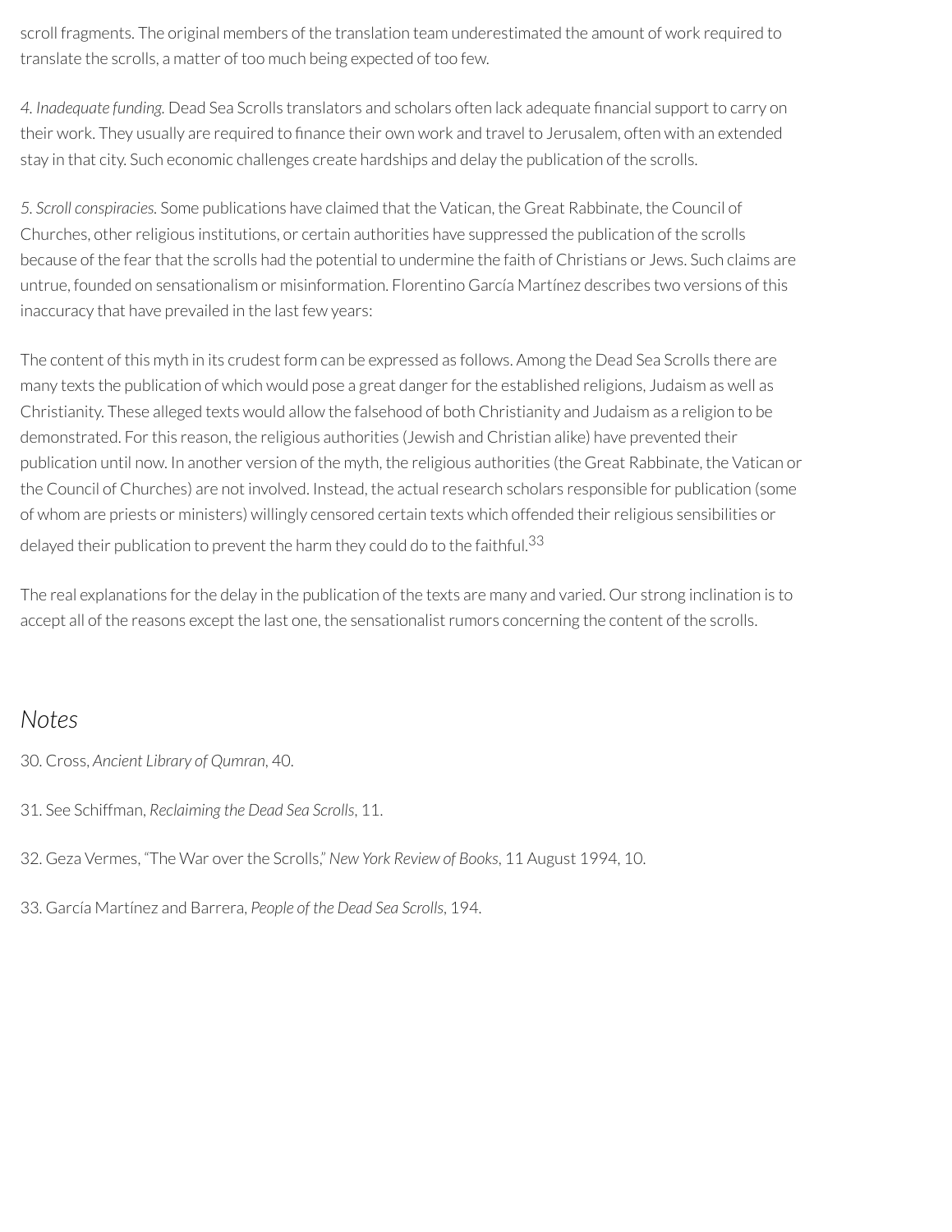scroll fragments. The original members of the translation team underestimated the amount of work required to translate the scrolls, a matter of too much being expected of too few.

*4. Inadequate funding.* Dead Sea Scrolls translators and scholars often lack adequate nancial support to carry on their work. They usually are required to finance their own work and travel to Jerusalem, often with an extended stay in that city. Such economic challenges create hardships and delay the publication of the scrolls.

*5. Scroll conspiracies.* Some publications have claimed that the Vatican, the Great Rabbinate, the Council of Churches, otherreligious institutions, or certain authorities have suppressed the publication of the scrolls because of the fear that the scrolls had the potential to undermine the faith of Christians or Jews. Such claims are untrue, founded on sensationalism or misinformation. Florentino García Martínez describes two versions of this inaccuracy that have prevailed in the last few years:

The content of this myth in its crudest form can be expressed as follows. Among the Dead Sea Scrolls there are many texts the publication of which would pose a great danger for the established religions, Judaism as well as Christianity. These alleged texts would allow the falsehood of both Christianity and Judaism as a religion to be demonstrated. For this reason, the religious authorities (Jewish and Christian alike) have prevented their publication until now. In another version of the myth, the religious authorities (the Great Rabbinate, the Vatican or the Council of Churches) are not involved. Instead, the actual research scholars responsible for publication (some of whom are priests or ministers) willingly censored certain texts which offended theirreligious sensibilities or delayed their publication to prevent the harm they could do to the faithful.<sup>33</sup>

The real explanations forthe delay in the publication of the texts are many and varied. Our strong inclination is to accept all of the reasons except the last one, the sensationalist rumors concerning the content of the scrolls.

#### *Notes*

- 30. Cross, *Ancient Library of Qumran*, 40.
- 31. See Schiffman, *Reclaiming the Dead Sea Scrolls*, 11.
- 32. Geza Vermes, "The War overthe Scrolls," *New York Review of Books*, 11 August 1994, 10.
- 33. García Martínez and Barrera, *People of the Dead Sea Scrolls*, 194.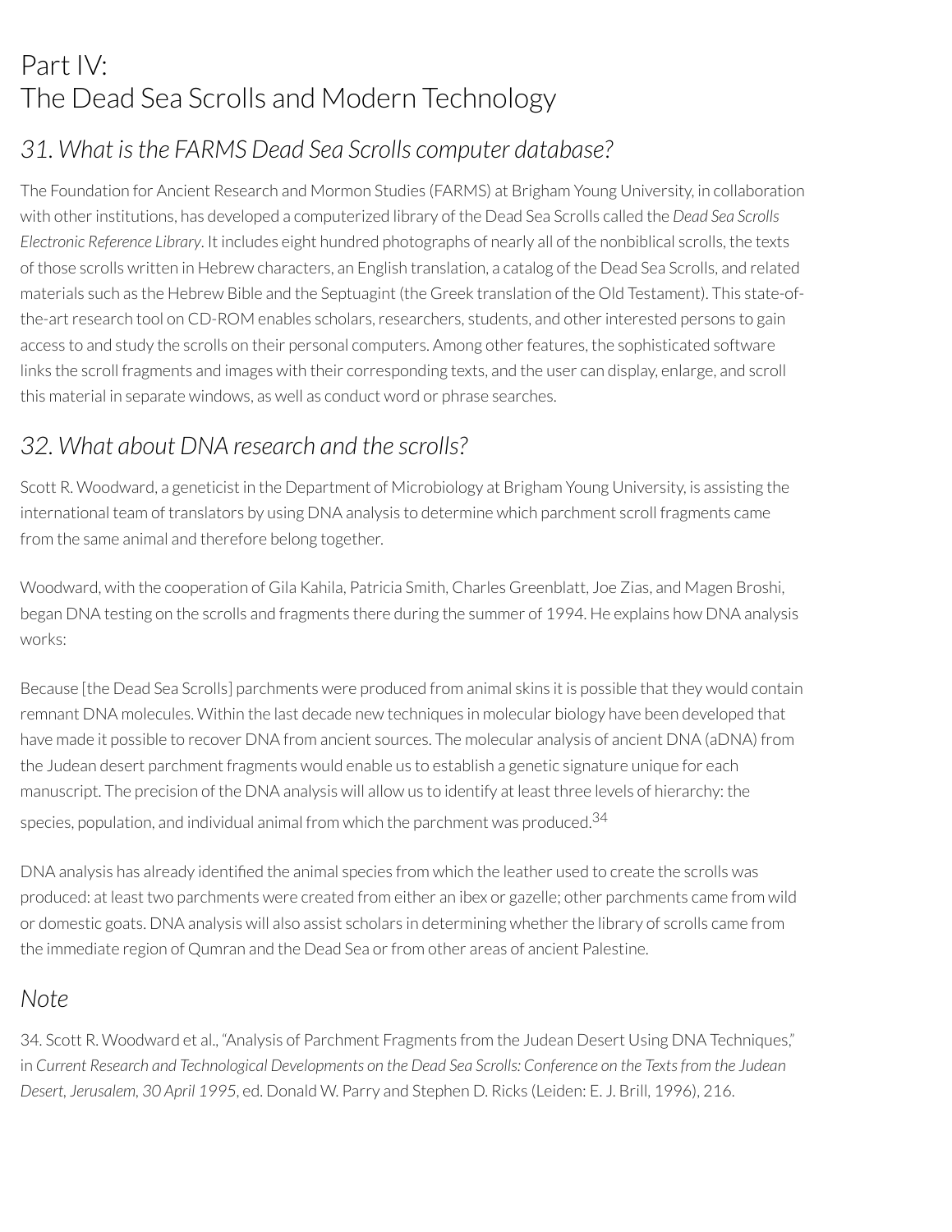# Part IV: The Dead Sea Scrolls and Modern Technology

### *31. What isthe FARMS Dead Sea Scrolls computer database?*

The Foundation for Ancient Research and Mormon Studies (FARMS) at Brigham Young University, in collaboration with otherinstitutions, has developed a computerized library of the Dead Sea Scrolls called the *Dead Sea Scrolls Electronic Reference Library*. It includes eight hundred photographs of nearly all of the nonbiblical scrolls, the texts of those scrolls written in Hebrew characters, an English translation, a catalog of the Dead Sea Scrolls, and related materials such as the Hebrew Bible and the Septuagint (the Greek translation of the Old Testament). This state-ofthe-art research tool on CD-ROM enables scholars, researchers, students, and other interested persons to gain access to and study the scrolls on their personal computers. Among other features, the sophisticated software links the scroll fragments and images with their corresponding texts, and the user can display, enlarge, and scroll this material in separate windows, as well as conduct word or phrase searches.

### *32. What about DNA research and the scrolls?*

Scott R. Woodward, a geneticist in the Department of Microbiology at Brigham Young University, is assisting the international team of translators by using DNA analysis to determine which parchment scroll fragments came from the same animal and therefore belong together.

Woodward, with the cooperation of Gila Kahila, Patricia Smith, Charles Greenblatt, Joe Zias, and Magen Broshi, began DNA testing on the scrolls and fragments there during the summer of 1994. He explains how DNA analysis works:

Because [the Dead Sea Scrolls] parchments were produced from animal skins it is possible that they would contain remnant DNA molecules. Within the last decade new techniques in molecular biology have been developed that have made it possible to recover DNA from ancient sources. The molecular analysis of ancient DNA (aDNA) from the Judean desert parchment fragments would enable us to establish a genetic signature unique for each manuscript. The precision of the DNA analysis will allow us to identify at least three levels of hierarchy: the species, population, and individual animal from which the parchment was produced. $^{34}$ 

DNA analysis has already identified the animal species from which the leather used to create the scrolls was produced: at least two parchments were created from either an ibex or gazelle; other parchments came from wild or domestic goats. DNA analysis will also assist scholars in determining whether the library of scrolls came from the immediate region of Qumran and the Dead Sea or from other areas of ancient Palestine.

#### *Note*

34. Scott R. Woodward et al., "Analysis of Parchment Fragments from the Judean Desert Using DNA Techniques," in Current Research and Technological Developments on the Dead Sea Scrolls: Conference on the Texts from the Judean *Desert, Jerusalem, 30 April 1995*, ed. Donald W. Parry and Stephen D. Ricks (Leiden: E. J. Brill, 1996), 216.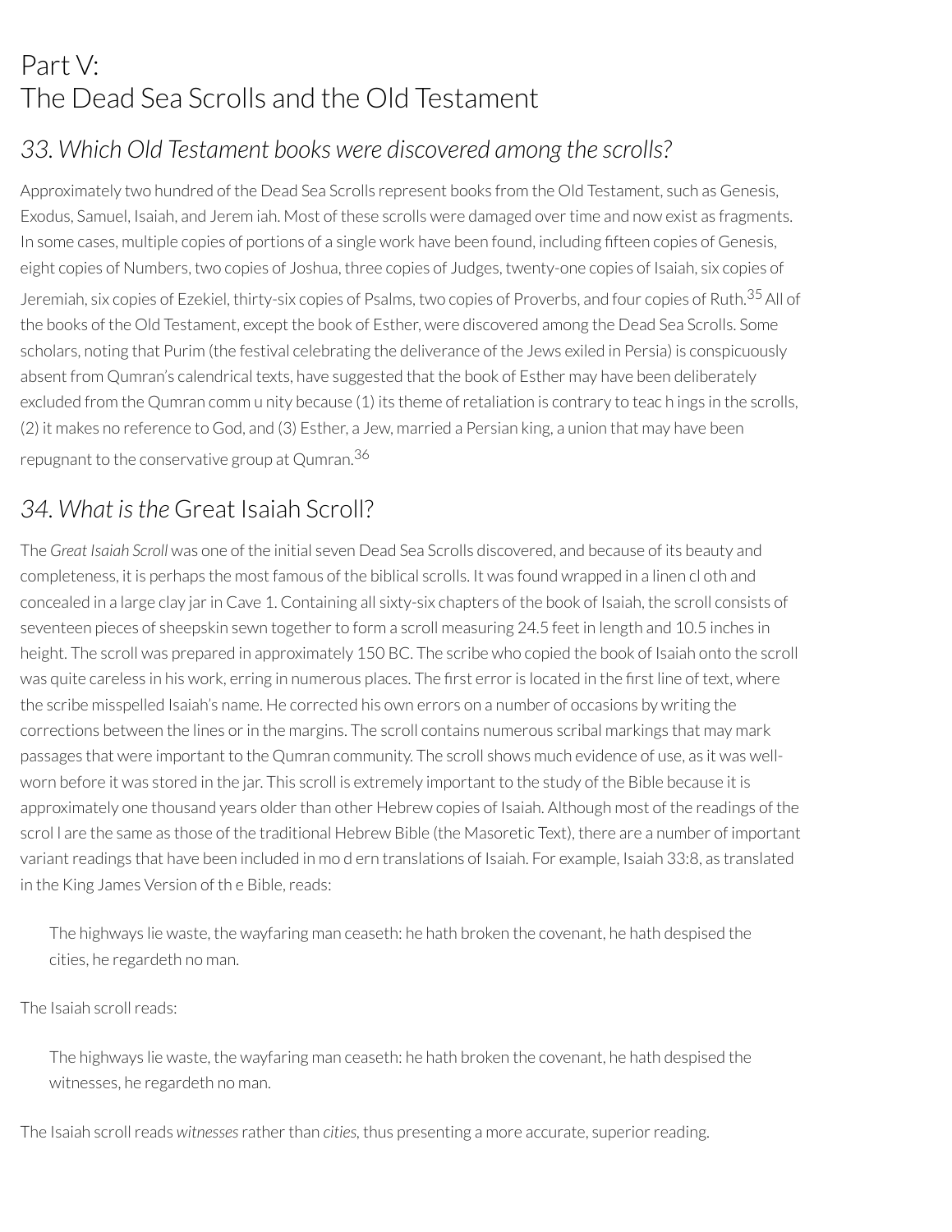# Part V: The Dead Sea Scrolls and the Old Testament

### *33. Which Old Testament books were discovered among the scrolls?*

Approximately two hundred of the Dead Sea Scrolls represent books from the Old Testament, such as Genesis, Exodus, Samuel, Isaiah, and Jerem iah. Most of these scrolls were damaged overtime and now exist as fragments. In some cases, multiple copies of portions of a single work have been found, including fteen copies of Genesis, eight copies of Numbers, two copies of Joshua, three copies of Judges, twenty-one copies of Isaiah, six copies of

Jeremiah, six copies of Ezekiel, thirty-six copies of Psalms, two copies of Proverbs, and four copies of Ruth.<sup>35</sup> All of the books of the Old Testament, except the book of Esther, were discovered among the Dead Sea Scrolls. Some scholars, noting that Purim (the festival celebrating the deliverance of the Jews exiled in Persia) is conspicuously absent from Qumran's calendrical texts, have suggested that the book of Esther may have been deliberately excluded from the Qumran comm u nity because (1) its theme of retaliation is contrary to teach ings in the scrolls. (2) it makes no reference to God, and (3) Esther, a Jew, married a Persian king, a union that may have been repugnant to the conservative group at Qumran. 36

### *34. What isthe* Great Isaiah Scroll?

The *Great Isaiah Scroll* was one of the initial seven Dead Sea Scrolls discovered, and because of its beauty and completeness, it is perhaps the most famous of the biblical scrolls. It was found wrapped in a linen cl oth and concealed in a large clay jarin Cave 1. Containing all sixty-six chapters of the book of Isaiah, the scroll consists of seventeen pieces of sheepskin sewn together to form a scroll measuring 24.5 feet in length and 10.5 inches in height. The scroll was prepared in approximately 150 BC. The scribe who copied the book of Isaiah onto the scroll was quite careless in his work, erring in numerous places. The first error is located in the first line of text, where the scribe misspelled Isaiah's name. He corrected his own errors on a number of occasions by writing the corrections between the lines or in the margins. The scroll contains numerous scribal markings that may mark passages that were important to the Qumran community. The scroll shows much evidence of use, as it was wellworn before it was stored in the jar. This scroll is extremely important to the study of the Bible because it is approximately one thousand years older than other Hebrew copies of Isaiah. Although most of the readings of the scrol l are the same as those of the traditional Hebrew Bible (the Masoretic Text), there are a number of important variant readings that have been included in mo d ern translations of Isaiah. For example, Isaiah 33:8, as translated in the King James Version of the Bible, reads:

The highways lie waste, the wayfaring man ceaseth: he hath broken the covenant, he hath despised the cities, he regardeth no man.

The Isaiah scroll reads:

The highways lie waste, the wayfaring man ceaseth: he hath broken the covenant, he hath despised the witnesses, he regardeth no man.

The Isaiah scroll reads *witnesses* rather than *cities*, thus presenting a more accurate, superior reading.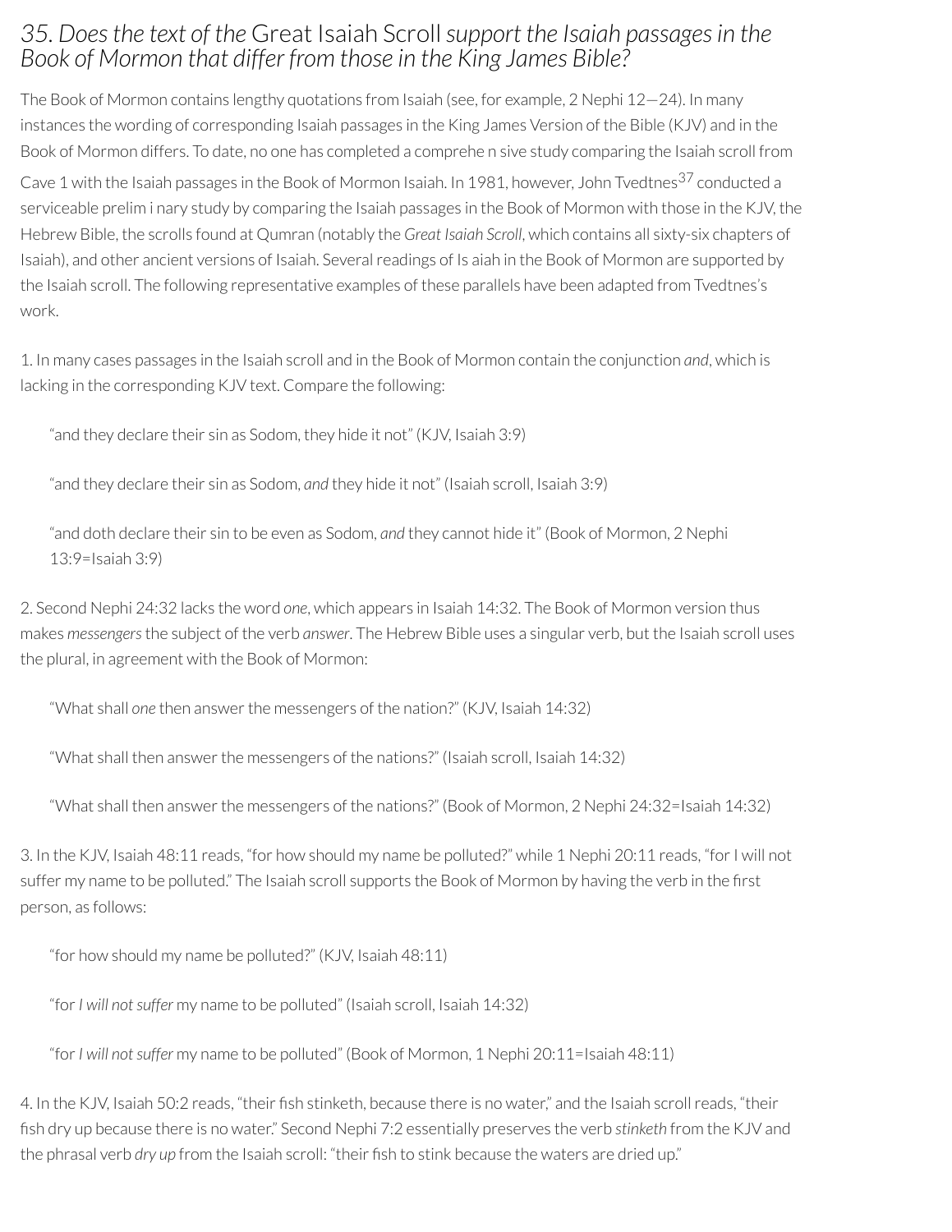#### *35. Doesthe text of the* Great Isaiah Scroll *support the Isaiah passages in the Book of Mormon that differ from those in the King James Bible?*

The Book of Mormon contains lengthy quotations from Isaiah (see, for example, 2 Nephi 12—24). In many instances the wording of corresponding Isaiah passages in the King James Version of the Bible (KJV) and in the Book of Mormon differs. To date, no one has completed a comprehe n sive study comparing the Isaiah scroll from

Cave 1 with the Isaiah passages in the Book of Mormon Isaiah. In 1981, however, John Tvedtnes<sup>37</sup> conducted a serviceable prelim i nary study by comparing the Isaiah passages in the Book of Mormon with those in the KJV, the Hebrew Bible, the scrolls found at Qumran (notably the *Great Isaiah Scroll*, which contains all sixty-six chapters of Isaiah), and other ancient versions of Isaiah. Severalreadings of Is aiah in the Book of Mormon are supported by the Isaiah scroll. The following representative examples of these parallels have been adapted from Tvedtnes's work.

1. In many cases passages in the Isaiah scroll and in the Book of Mormon contain the conjunction *and*, which is lacking in the corresponding KJV text. Compare the following:

"and they declare their sin as Sodom, they hide it not" (KJV, Isaiah 3:9)

"and they declare their sin as Sodom, *and* they hide it not" (Isaiah scroll, Isaiah 3:9)

"and doth declare their sin to be even as Sodom, *and* they cannot hide it" (Book of Mormon, 2 Nephi 13:9=Isaiah 3:9)

2. Second Nephi 24:32 lacks the word *one*, which appears in Isaiah 14:32. The Book of Mormon version thus makes *messengers*the subject of the verb *answer*. The Hebrew Bible uses a singular verb, but the Isaiah scroll uses the plural, in agreement with the Book of Mormon:

"What shall *one* then answerthe messengers of the nation?" (KJV, Isaiah 14:32)

"What shall then answer the messengers of the nations?" (Isaiah scroll, Isaiah 14:32)

"What shall then answer the messengers of the nations?" (Book of Mormon, 2 Nephi 24:32=Isaiah 14:32)

3. In the KJV, Isaiah 48:11 reads, "for how should my name be polluted?" while 1 Nephi 20:11 reads, "for I will not suffer my name to be polluted." The Isaiah scroll supports the Book of Mormon by having the verb in the first person, as follows:

"for how should my name be polluted?" (KJV, Isaiah 48:11)

"for*I will notsuffer* my name to be polluted" (Isaiah scroll, Isaiah 14:32)

"for*I will notsuffer* my name to be polluted" (Book of Mormon, 1 Nephi 20:11=Isaiah 48:11)

4. In the KJV, Isaiah 50:2 reads, "their fish stinketh, because there is no water," and the Isaiah scroll reads, "their sh dry up because there is no water." Second Nephi 7:2 essentially preserves the verb *stinketh* from the KJV and the phrasal verb *dry up* from the Isaiah scroll: "their fish to stink because the waters are dried up."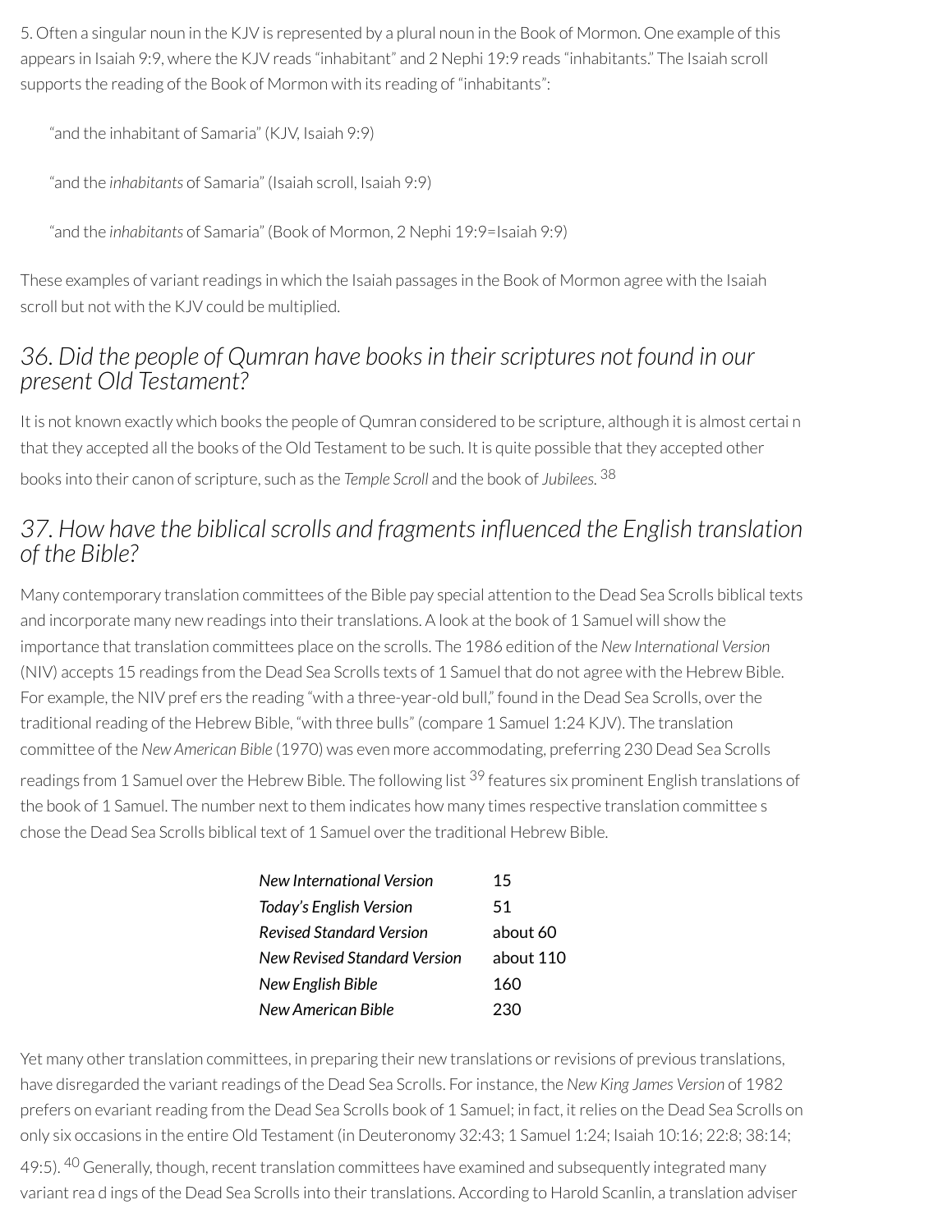5. Often a singular noun in the KJV is represented by a plural noun in the Book of Mormon. One example of this appears in Isaiah 9:9, where the KJV reads "inhabitant" and 2 Nephi 19:9 reads "inhabitants." The Isaiah scroll supports the reading of the Book of Mormon with its reading of "inhabitants":

"and the inhabitant of Samaria" (KJV, Isaiah 9:9)

"and the *inhabitants* of Samaria" (Isaiah scroll, Isaiah 9:9)

"and the *inhabitants* of Samaria" (Book of Mormon, 2 Nephi 19:9=Isaiah 9:9)

These examples of variant readings in which the Isaiah passages in the Book of Mormon agree with the Isaiah scroll but not with the KJV could be multiplied.

#### *36. Did the people of Qumran have booksin their scriptures not found in our present Old Testament?*

It is not known exactly which books the people of Qumran considered to be scripture, although it is almost certai n that they accepted all the books of the Old Testament to be such. It is quite possible that they accepted other books into their canon of scripture, such as the *Temple Scroll* and the book of *Jubilees*. 38

### *37. How have the biblicalscrolls and fragmentsinuenced the English translation of the Bible?*

Many contemporary translation committees of the Bible pay special attention to the Dead Sea Scrolls biblical texts and incorporate many new readings into their translations. A look at the book of 1 Samuel will show the importance that translation committees place on the scrolls. The 1986 edition of the *New International Version* (NIV) accepts 15 readings from the Dead Sea Scrolls texts of 1 Samuel that do not agree with the Hebrew Bible. For example, the NIV pref ers the reading "with a three-year-old bull," found in the Dead Sea Scrolls, over the traditional reading of the Hebrew Bible, "with three bulls" (compare 1 Samuel 1:24 KJV). The translation committee of the *New American Bible* (1970) was even more accommodating, preferring 230 Dead Sea Scrolls readings from 1 Samuel over the Hebrew Bible. The following list <sup>39</sup> features six prominent English translations of the book of 1 Samuel. The number next to them indicates how many times respective translation committee s chose the Dead Sea Scrolls biblical text of 1 Samuel overthe traditional Hebrew Bible.

| New International Version    | 15        |
|------------------------------|-----------|
| Today's English Version      | 51        |
| Revised Standard Version     | about 60  |
| New Revised Standard Version | about 110 |
| New English Bible            | 160       |
| New American Rible           | 230       |

Yet many other translation committees, in preparing their new translations or revisions of previous translations, have disregarded the variant readings of the Dead Sea Scrolls. For instance, the *New King James Version* of 1982 prefers on evariant reading from the Dead Sea Scrolls book of 1 Samuel; in fact, it relies on the Dead Sea Scrolls on only six occasions in the entire Old Testament (in Deuteronomy 32:43; 1 Samuel 1:24; Isaiah 10:16; 22:8; 38:14;

49:5). <sup>40</sup> Generally, though, recent translation committees have examined and subsequently integrated many variant rea d ings of the Dead Sea Scrolls into their translations. According to Harold Scanlin, a translation adviser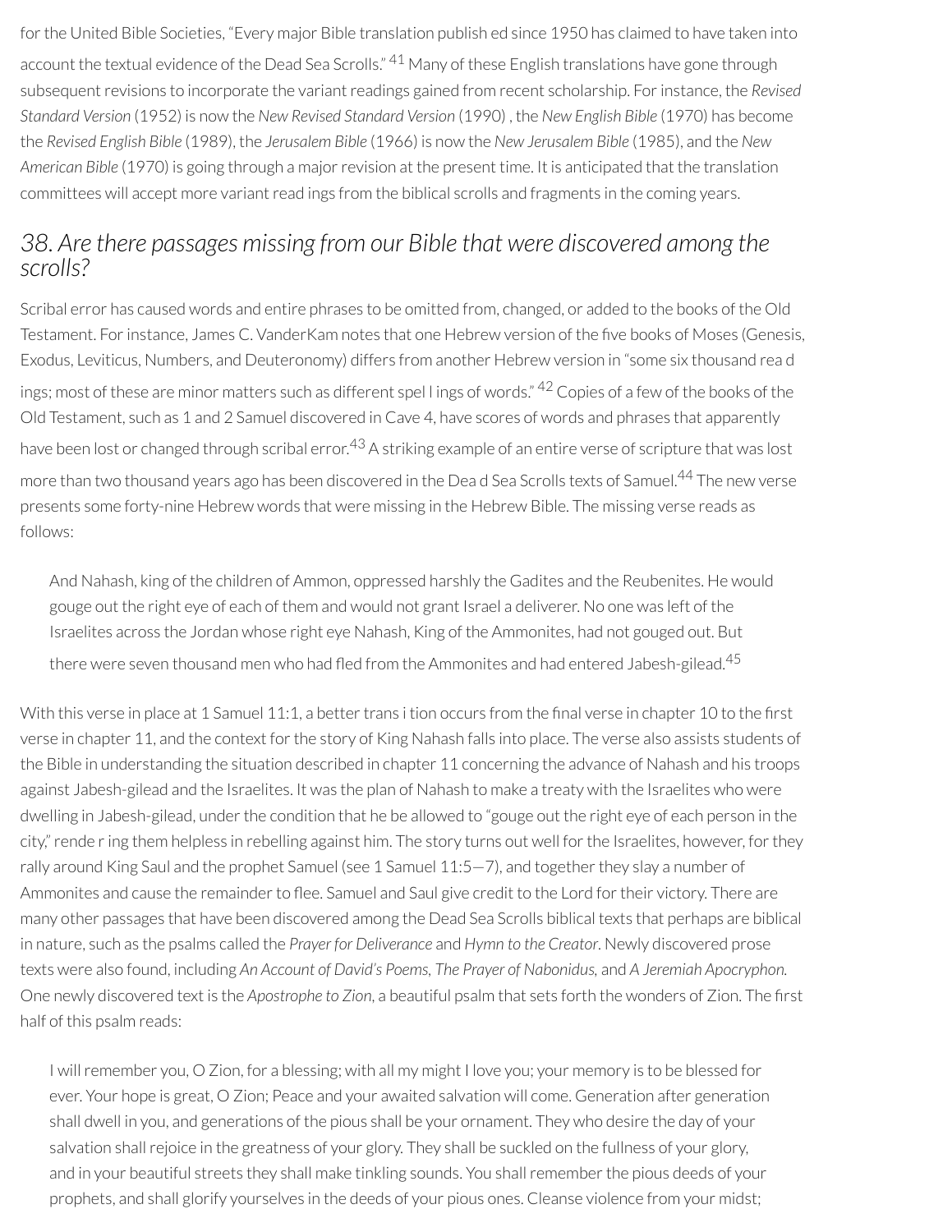for the United Bible Societies, "Every major Bible translation publish ed since 1950 has claimed to have taken into account the textual evidence of the Dead Sea Scrolls." <sup>41</sup> Many of these English translations have gone through subsequent revisions to incorporate the variant readings gained from recent scholarship. For instance, the *Revised Standard Version* (1952) is now the *New Revised Standard Version* (1990) , the *New English Bible* (1970) has become the *Revised English Bible* (1989), the *Jerusalem Bible* (1966) is now the *New Jerusalem Bible* (1985), and the *New American Bible* (1970) is going through a majorrevision at the present time. It is anticipated that the translation committees will accept more variant read ings from the biblical scrolls and fragments in the coming years.

#### *38. Are there passages missing from our Bible that were discovered among the scrolls?*

Scribal error has caused words and entire phrases to be omitted from, changed, or added to the books of the Old Testament. For instance, James C. VanderKam notes that one Hebrew version of the five books of Moses (Genesis, Exodus, Leviticus, Numbers, and Deuteronomy) differs from another Hebrew version in "some six thousand rea d ings; most of these are minor matters such as different spel l ings of words." <sup>42</sup> Copies of a few of the books of the Old Testament, such as 1 and 2 Samuel discovered in Cave 4, have scores of words and phrases that apparently have been lost or changed through scribal error.<sup>43</sup> A striking example of an entire verse of scripture that was lost more than two thousand years ago has been discovered in the Dea d Sea Scrolls texts of Samuel. <sup>44</sup> The new verse presents some forty-nine Hebrew words that were missing in the Hebrew Bible. The missing verse reads as follows:

And Nahash, king of the children of Ammon, oppressed harshly the Gadites and the Reubenites. He would gouge out the right eye of each of them and would not grant Israel a deliverer. No one was left of the Israelites across the Jordan whose right eye Nahash, King of the Ammonites, had not gouged out. But there were seven thousand men who had fled from the Ammonites and had entered Jabesh-gilead. $^{45}$ 

With this verse in place at 1 Samuel 11:1, a better trans i tion occurs from the final verse in chapter 10 to the first verse in chapter 11, and the context for the story of King Nahash falls into place. The verse also assists students of the Bible in understanding the situation described in chapter 11 concerning the advance of Nahash and his troops against Jabesh-gilead and the Israelites. It was the plan of Nahash to make a treaty with the Israelites who were dwelling in Jabesh-gilead, under the condition that he be allowed to "gouge out the right eye of each person in the city,"rende ring them helpless in rebelling against him. The story turns out well forthe Israelites, however, forthey rally around King Saul and the prophet Samuel (see 1 Samuel  $11:5-7$ ), and together they slay a number of Ammonites and cause the remainder to flee. Samuel and Saul give credit to the Lord for their victory. There are many other passages that have been discovered among the Dead Sea Scrolls biblical texts that perhaps are biblical in nature, such as the psalms called the *Prayer for Deliverance* and *Hymn to the Creator*. Newly discovered prose texts were also found, including *An Account of David's Poems, The Prayer of Nabonidus,* and *A Jeremiah Apocryphon.* One newly discovered text is the *Apostrophe* to *Zion*, a beautiful psalm that sets forth the wonders of Zion. The first half of this psalm reads:

I will remember you, O Zion, for a blessing; with all my might I love you; your memory is to be blessed for ever. Your hope is great, O Zion; Peace and your awaited salvation will come. Generation after generation shall dwell in you, and generations of the pious shall be your ornament. They who desire the day of your salvation shall rejoice in the greatness of your glory. They shall be suckled on the fullness of your glory, and in your beautiful streets they shall make tinkling sounds. You shall remember the pious deeds of your prophets, and shall glorify yourselves in the deeds of your pious ones. Cleanse violence from your midst;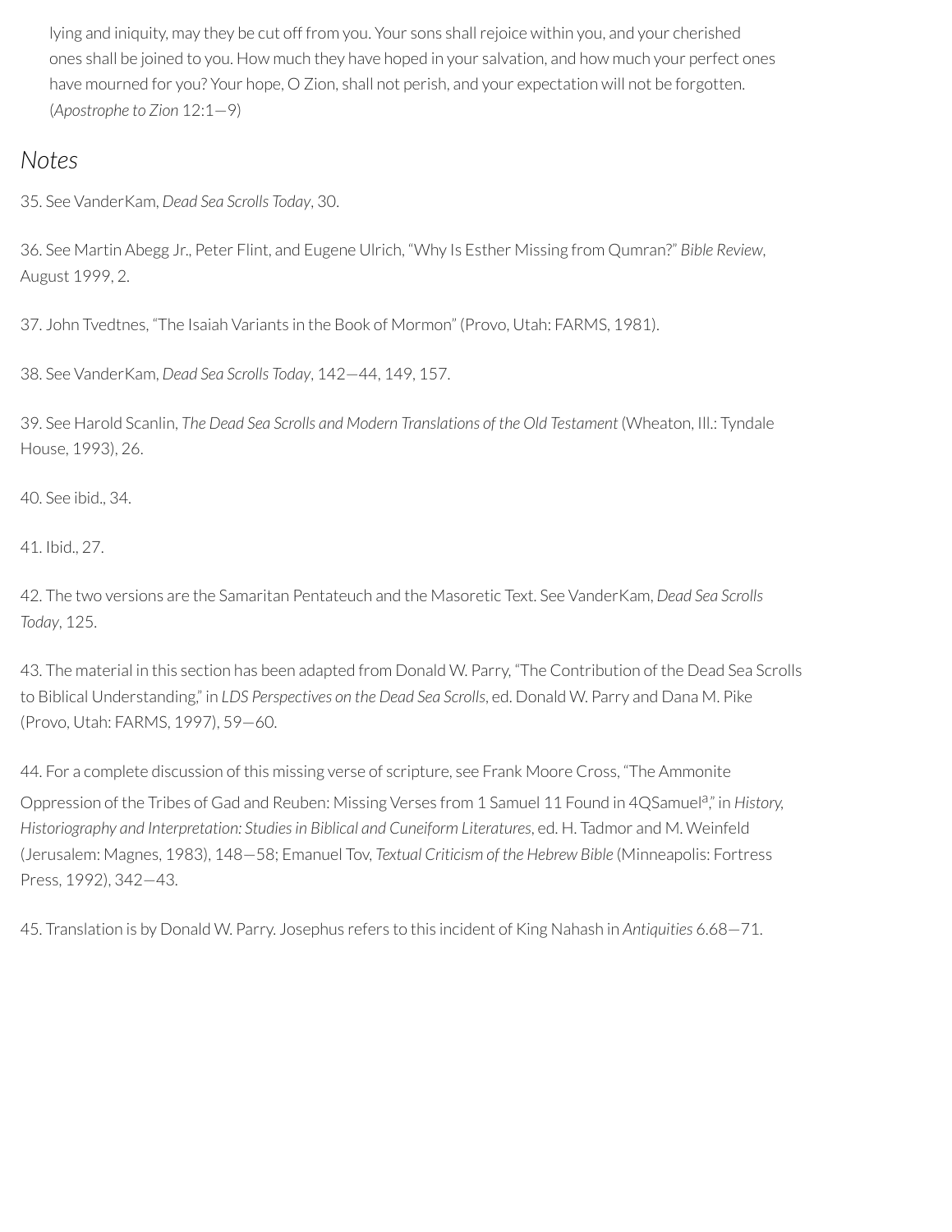lying and iniquity, may they be cut off from you. Your sons shall rejoice within you, and your cherished ones shall be joined to you. How much they have hoped in your salvation, and how much your perfect ones have mourned for you? Your hope, O Zion, shall not perish, and your expectation will not be forgotten. (*Apostrophe to Zion* 12:1—9)

#### *Notes*

35. See VanderKam, *Dead Sea Scrolls Today*, 30.

36. See Martin Abegg Jr., Peter Flint, and Eugene Ulrich, "Why Is Esther Missing from Qumran?" *Bible Review*, August 1999, 2.

37. John Tvedtnes, "The Isaiah Variants in the Book of Mormon" (Provo, Utah: FARMS, 1981).

38. See VanderKam, *Dead Sea Scrolls Today*, 142—44, 149, 157.

39. See Harold Scanlin, *The Dead Sea Scrolls and Modern Translations of the Old Testament* (Wheaton, Ill.: Tyndale House, 1993), 26.

40. See ibid., 34.

41. Ibid., 27.

42. The two versions are the Samaritan Pentateuch and the Masoretic Text. See VanderKam, *Dead Sea Scrolls Today*, 125.

43. The material in this section has been adapted from Donald W. Parry, "The Contribution of the Dead Sea Scrolls to Biblical Understanding," in *LDS Perspectives on the Dead Sea Scrolls*, ed. Donald W. Parry and Dana M. Pike (Provo, Utah: FARMS, 1997), 59—60.

44. For a complete discussion of this missing verse of scripture, see Frank Moore Cross, "The Ammonite

Oppression of the Tribes of Gad and Reuben: Missing Verses from 1 Samuel 11 Found in 4QSamuel<sup>a</sup>," in History, *Historiography and Interpretation: Studiesin Biblical and Cuneiform Literatures*, ed. H. Tadmor and M. Weinfeld (Jerusalem: Magnes, 1983), 148—58; Emanuel Tov, *Textual Criticism of the Hebrew Bible* (Minneapolis: Fortress Press, 1992), 342—43.

45. Translation is by Donald W. Parry. Josephus refers to this incident of King Nahash in *Antiquities* 6.68—71.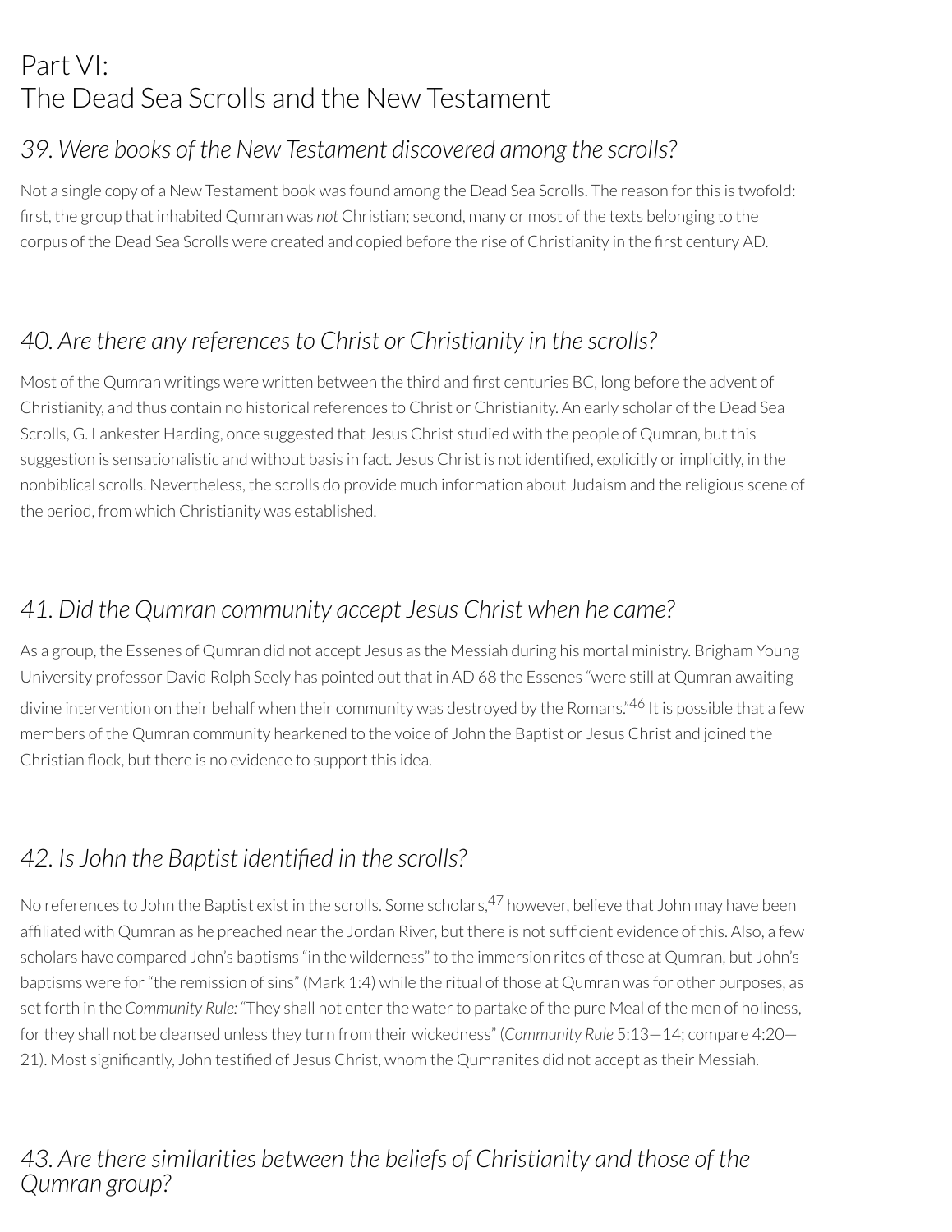# Part VI: The Dead Sea Scrolls and the New Testament

### *39. Were books of the New Testament discovered among the scrolls?*

Not a single copy of a New Testament book was found among the Dead Sea Scrolls. The reason forthis is twofold: rst, the group that inhabited Qumran was *not* Christian; second, many or most of the texts belonging to the corpus of the Dead Sea Scrolls were created and copied before the rise of Christianity in the first century AD.

### *40. Are there any references to Christ or Christianity in the scrolls?*

Most of the Qumran writings were written between the third and first centuries BC, long before the advent of Christianity, and thus contain no historical references to Christ or Christianity. An early scholar of the Dead Sea Scrolls, G. Lankester Harding, once suggested that Jesus Christ studied with the people of Qumran, but this suggestion is sensationalistic and without basis in fact. Jesus Christ is not identified, explicitly or implicitly, in the nonbiblical scrolls. Nevertheless, the scrolls do provide much information about Judaism and the religious scene of the period, from which Christianity was established.

### *41. Did the Qumran community accept Jesus Christ when he came?*

As a group, the Essenes of Qumran did not accept Jesus as the Messiah during his mortal ministry. Brigham Young University professor David Rolph Seely has pointed out that in AD 68 the Essenes "were still at Qumran awaiting divine intervention on their behalf when their community was destroyed by the Romans."<sup>46</sup> It is possible that a few members of the Qumran community hearkened to the voice of John the Baptist or Jesus Christ and joined the Christian flock, but there is no evidence to support this idea.

### *42. Is John the Baptist identied in the scrolls?*

No references to John the Baptist exist in the scrolls. Some scholars,<sup>47</sup> however, believe that John may have been affiliated with Qumran as he preached near the Jordan River, but there is not sufficient evidence of this. Also, a few scholars have compared John's baptisms "in the wilderness" to the immersion rites of those at Qumran, but John's baptisms were for"the remission of sins" (Mark 1:4) while the ritual of those at Qumran was for other purposes, as set forth in the *Community Rule:* "They shall not enterthe waterto partake of the pure Meal of the men of holiness, forthey shall not be cleansed unless they turn from their wickedness" (*Community Rule* 5:13—14; compare 4:20— 21). Most significantly, John testified of Jesus Christ, whom the Qumranites did not accept as their Messiah.

#### *43. Are there similarities between the beliefs of Christianity and those of the Qumran group?*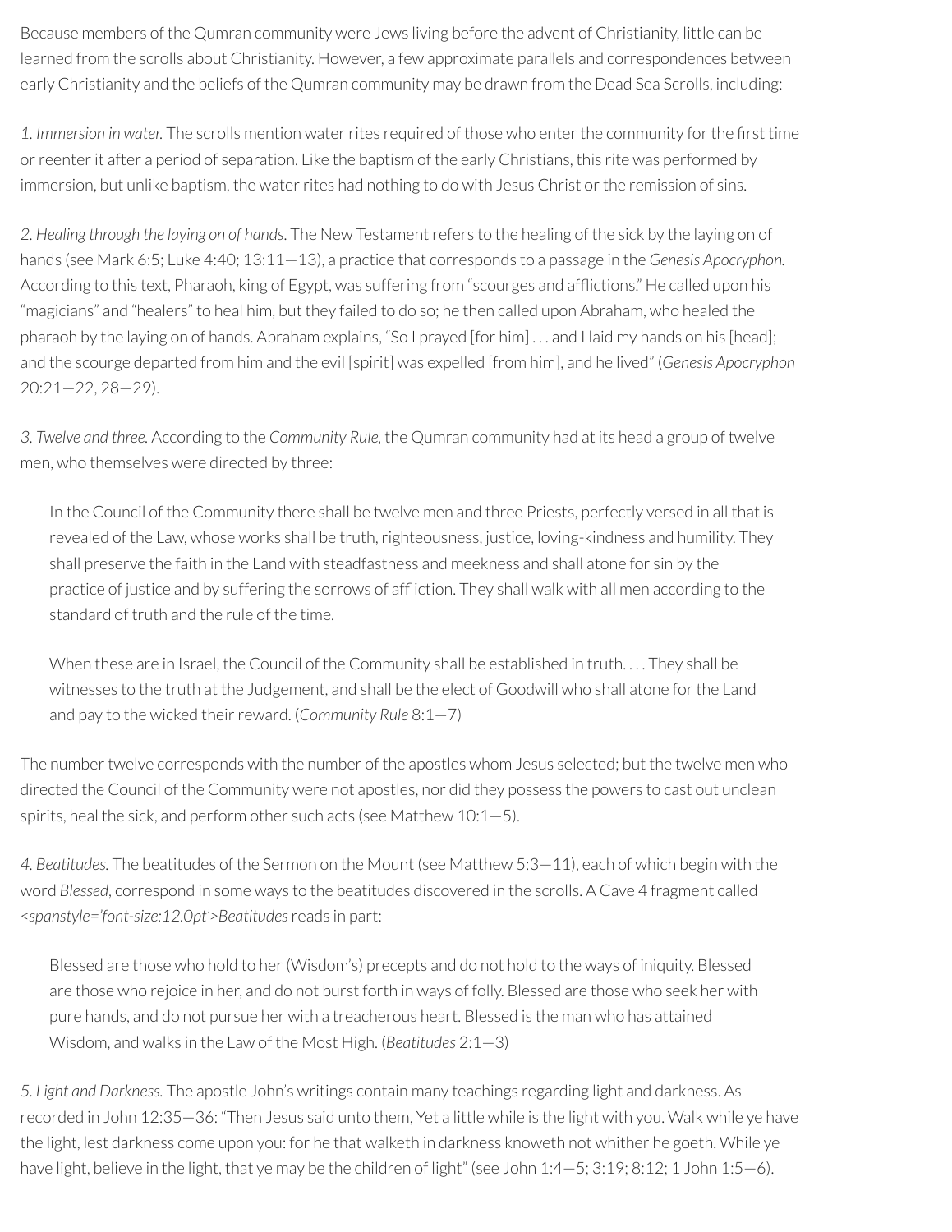Because members of the Qumran community were Jews living before the advent of Christianity, little can be learned from the scrolls about Christianity. However, a few approximate parallels and correspondences between early Christianity and the beliefs of the Qumran community may be drawn from the Dead Sea Scrolls, including:

1. Immersion in water. The scrolls mention water rites required of those who enter the community for the first time orreenterit after a period of separation. Like the baptism of the early Christians, this rite was performed by immersion, but unlike baptism, the water rites had nothing to do with Jesus Christ or the remission of sins.

*2. Healing through the laying on of hands*. The New Testamentrefers to the healing of the sick by the laying on of hands (see Mark 6:5; Luke 4:40; 13:11—13), a practice that corresponds to a passage in the *Genesis Apocryphon.* According to this text, Pharaoh, king of Egypt, was suffering from "scourges and afflictions." He called upon his "magicians" and "healers" to heal him, but they failed to do so; he then called upon Abraham, who healed the pharaoh by the laying on of hands. Abraham explains, "So I prayed [for him] . . . and I laid my hands on his [head]; and the scourge departed from him and the evil [spirit] was expelled [from him], and he lived" (*Genesis Apocryphon* 20:21—22, 28—29).

*3. Twelve and three.* According to the *Community Rule,* the Qumran community had at its head a group of twelve men, who themselves were directed by three:

In the Council of the Community there shall be twelve men and three Priests, perfectly versed in all that is revealed of the Law, whose works shall be truth, righteousness, justice, loving-kindness and humility. They shall preserve the faith in the Land with steadfastness and meekness and shall atone for sin by the practice of justice and by suffering the sorrows of afiction. They shall walk with all men according to the standard of truth and the rule of the time.

When these are in Israel, the Council of the Community shall be established in truth.... They shall be witnesses to the truth at the Judgement, and shall be the elect of Goodwill who shall atone forthe Land and pay to the wicked their reward. (*Community Rule* 8:1-7)

The number twelve corresponds with the number of the apostles whom Jesus selected; but the twelve men who directed the Council of the Community were not apostles, nor did they possess the powers to cast out unclean spirits, heal the sick, and perform other such acts (see Matthew 10:1—5).

*4. Beatitudes.* The beatitudes of the Sermon on the Mount (see Matthew 5:3—11), each of which begin with the word *Blessed*, correspond in some ways to the beatitudes discovered in the scrolls. A Cave 4 fragment called *<spanstyle='font-size:12.0pt'>Beatitudes*reads in part:

Blessed are those who hold to her(Wisdom's) precepts and do not hold to the ways of iniquity. Blessed are those who rejoice in her, and do not burst forth in ways of folly. Blessed are those who seek her with pure hands, and do not pursue her with a treacherous heart. Blessed is the man who has attained Wisdom, and walks in the Law of the Most High. (*Beatitudes* 2:1—3)

*5. Light and Darkness.* The apostle John's writings contain many teachings regarding light and darkness. As recorded in John 12:35—36: "Then Jesus said unto them, Yet a little while is the light with you. Walk while ye have the light, lest darkness come upon you: for he that walketh in darkness knoweth not whither he goeth. While ye have light, believe in the light, that ye may be the children of light" (see John 1:4–5; 3:19; 8:12; 1 John 1:5–6).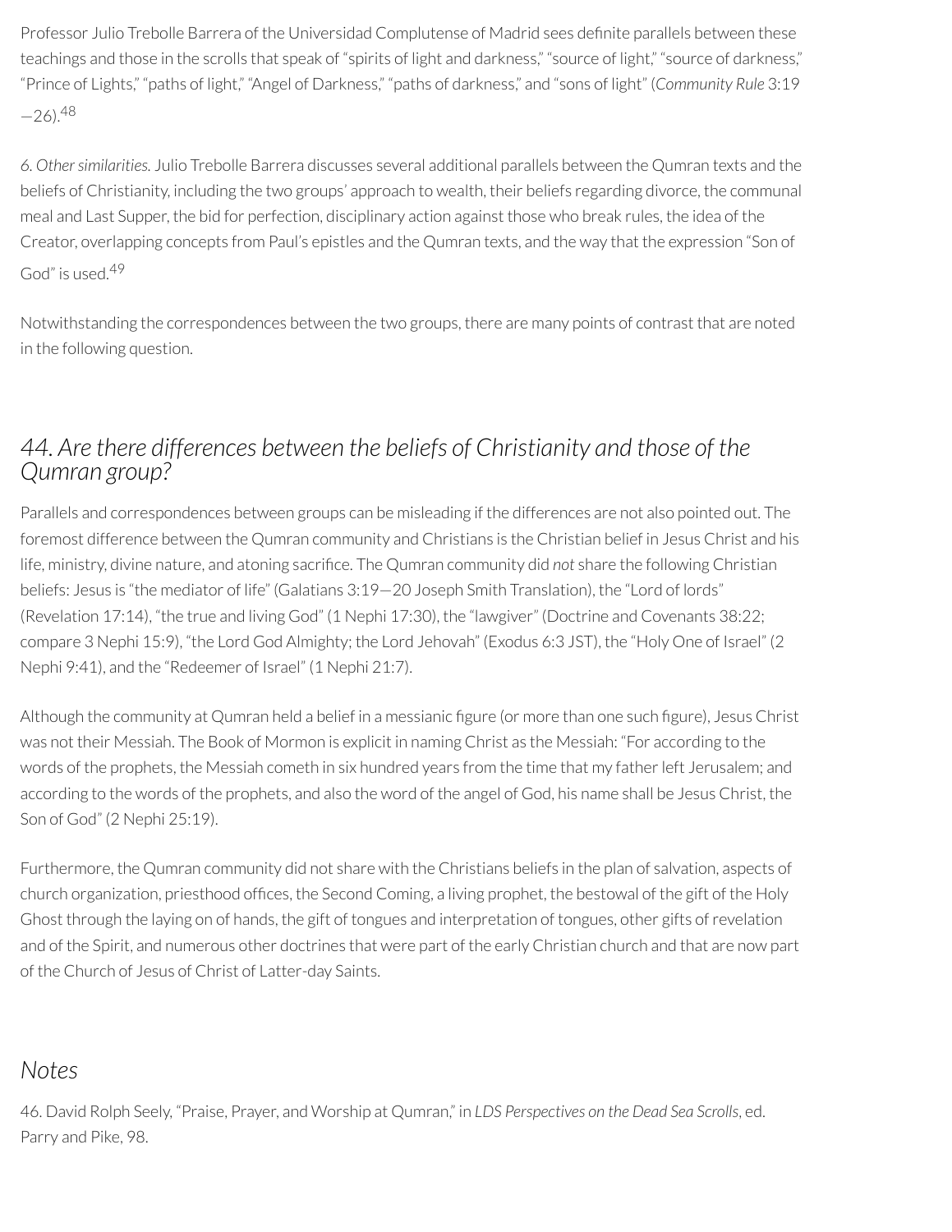Professor Julio Trebolle Barrera of the Universidad Complutense of Madrid sees definite parallels between these teachings and those in the scrolls that speak of "spirits of light and darkness," "source of light," "source of darkness," "Prince of Lights," "paths of light," "Angel of Darkness," "paths of darkness," and "sons of light" (*Community Rule* 3:19  $-26$ ).  $48$ 

*6. Othersimilarities.* Julio Trebolle Barrera discusses several additional parallels between the Qumran texts and the beliefs of Christianity, including the two groups' approach to wealth, their beliefs regarding divorce, the communal meal and Last Supper, the bid for perfection, disciplinary action against those who break rules, the idea of the Creator, overlapping concepts from Paul's epistles and the Qumran texts, and the way that the expression "Son of God" is used. 49

Notwithstanding the correspondences between the two groups, there are many points of contrast that are noted in the following question.

#### *44. Are there differences between the beliefs of Christianity and those of the Qumran group?*

Parallels and correspondences between groups can be misleading if the differences are not also pointed out. The foremost difference between the Qumran community and Christians is the Christian belief in Jesus Christ and his life, ministry, divine nature, and atoning sacrifice. The Qumran community did *not* share the following Christian beliefs: Jesus is "the mediator of life" (Galatians 3:19—20 Joseph Smith Translation), the "Lord of lords" (Revelation 17:14), "the true and living God" (1 Nephi 17:30), the "lawgiver" (Doctrine and Covenants 38:22; compare 3 Nephi 15:9), "the Lord God Almighty; the Lord Jehovah" (Exodus 6:3 JST), the "Holy One of Israel" (2 Nephi 9:41), and the "Redeemer of Israel" (1 Nephi 21:7).

Although the community at Qumran held a belief in a messianic figure (or more than one such figure), Jesus Christ was not their Messiah. The Book of Mormon is explicit in naming Christ as the Messiah: "For according to the words of the prophets, the Messiah cometh in six hundred years from the time that my fatherleft Jerusalem; and according to the words of the prophets, and also the word of the angel of God, his name shall be Jesus Christ, the Son of God" (2 Nephi 25:19).

Furthermore, the Qumran community did not share with the Christians beliefs in the plan of salvation, aspects of church organization, priesthood offices, the Second Coming, a living prophet, the bestowal of the gift of the Holy Ghost through the laying on of hands, the gift of tongues and interpretation of tongues, other gifts ofrevelation and of the Spirit, and numerous other doctrines that were part of the early Christian church and that are now part of the Church of Jesus of Christ of Latter-day Saints.

### *Notes*

46. David Rolph Seely, "Praise, Prayer, and Worship at Qumran," in *LDS Perspectives on the Dead Sea Scrolls*, ed. Parry and Pike, 98.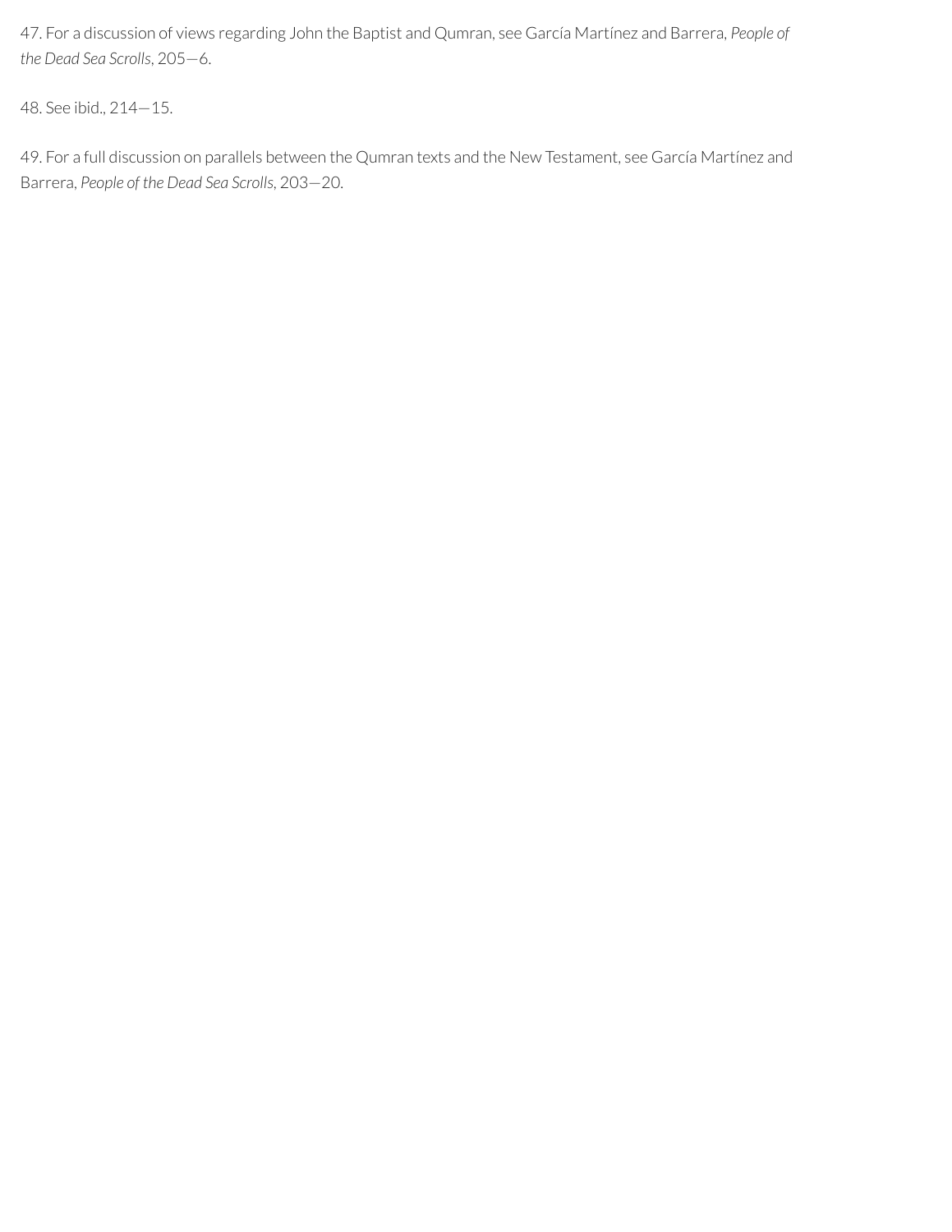47. For a discussion of views regarding John the Baptist and Qumran, see García Martínez and Barrera, *People of the Dead Sea Scrolls*, 205—6.

48. See ibid., 214—15.

49. For a full discussion on parallels between the Qumran texts and the New Testament, see García Martínez and Barrera, *People of the Dead Sea Scrolls*, 203—20.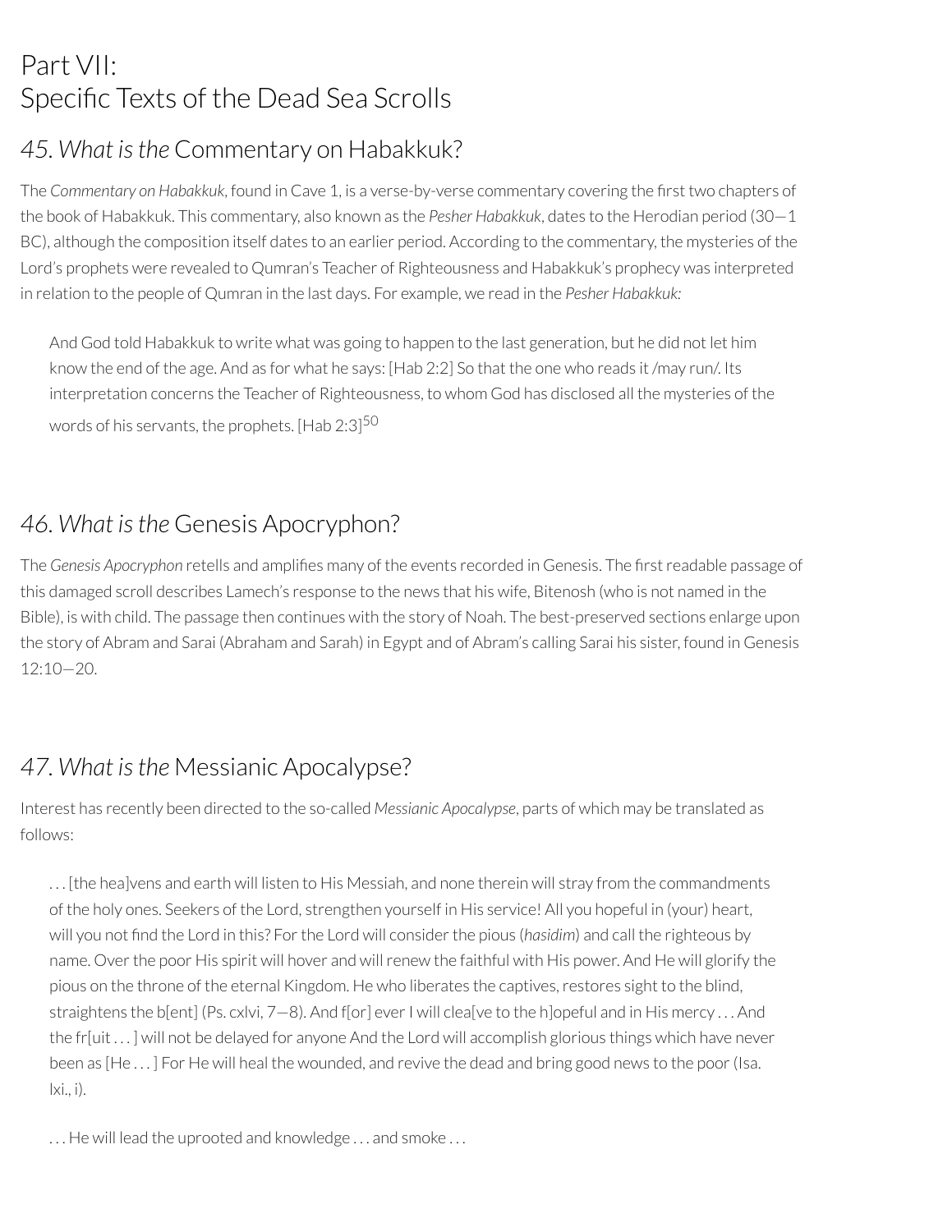## Part VII: Specific Texts of the Dead Sea Scrolls

## *45. What isthe* Commentary on Habakkuk?

The Commentary on Habakkuk, found in Cave 1, is a verse-by-verse commentary covering the first two chapters of the book of Habakkuk. This commentary, also known as the *Pesher Habakkuk*, dates to the Herodian period (30—1 BC), although the composition itself dates to an earlier period. According to the commentary, the mysteries of the Lord's prophets were revealed to Qumran's Teacher of Righteousness and Habakkuk's prophecy was interpreted in relation to the people of Qumran in the last days. For example, we read in the *Pesher Habakkuk:*

And God told Habakkuk to write what was going to happen to the last generation, but he did not let him know the end of the age. And as for what he says: [Hab 2:2] So that the one who reads it /may run/. Its interpretation concerns the Teacher of Righteousness, to whom God has disclosed all the mysteries of the words of his servants, the prophets. [Hab 2:3] $^{\rm 50}$ 

### *46. What isthe* Genesis Apocryphon?

The *Genesis Apocryphon* retells and amplifies many of the events recorded in Genesis. The first readable passage of this damaged scroll describes Lamech's response to the news that his wife, Bitenosh (who is not named in the Bible), is with child. The passage then continues with the story of Noah. The best-preserved sections enlarge upon the story of Abram and Sarai (Abraham and Sarah) in Egypt and of Abram's calling Sarai his sister, found in Genesis 12:10—20.

## *47. What isthe* Messianic Apocalypse?

Interest has recently been directed to the so-called *Messianic Apocalypse*, parts of which may be translated as follows:

. . . [the hea]vens and earth will listen to His Messiah, and none therein will stray from the commandments of the holy ones. Seekers of the Lord, strengthen yourself in His service! All you hopeful in (your) heart, will you not find the Lord in this? For the Lord will consider the pious (*hasidim*) and call the righteous by name. Over the poor His spirit will hover and will renew the faithful with His power. And He will glorify the pious on the throne of the eternal Kingdom. He who liberates the captives, restores sight to the blind, straightens the b[ent] (Ps. cxlvi,  $7-8$ ). And f[or] ever I will clea[ve to the h]opeful and in His mercy ... And the fr[uit . . . ] will not be delayed for anyone And the Lord will accomplish glorious things which have never been as [He...] For He will heal the wounded, and revive the dead and bring good news to the poor (Isa. lxi., i).

... He will lead the uprooted and knowledge ... and smoke ...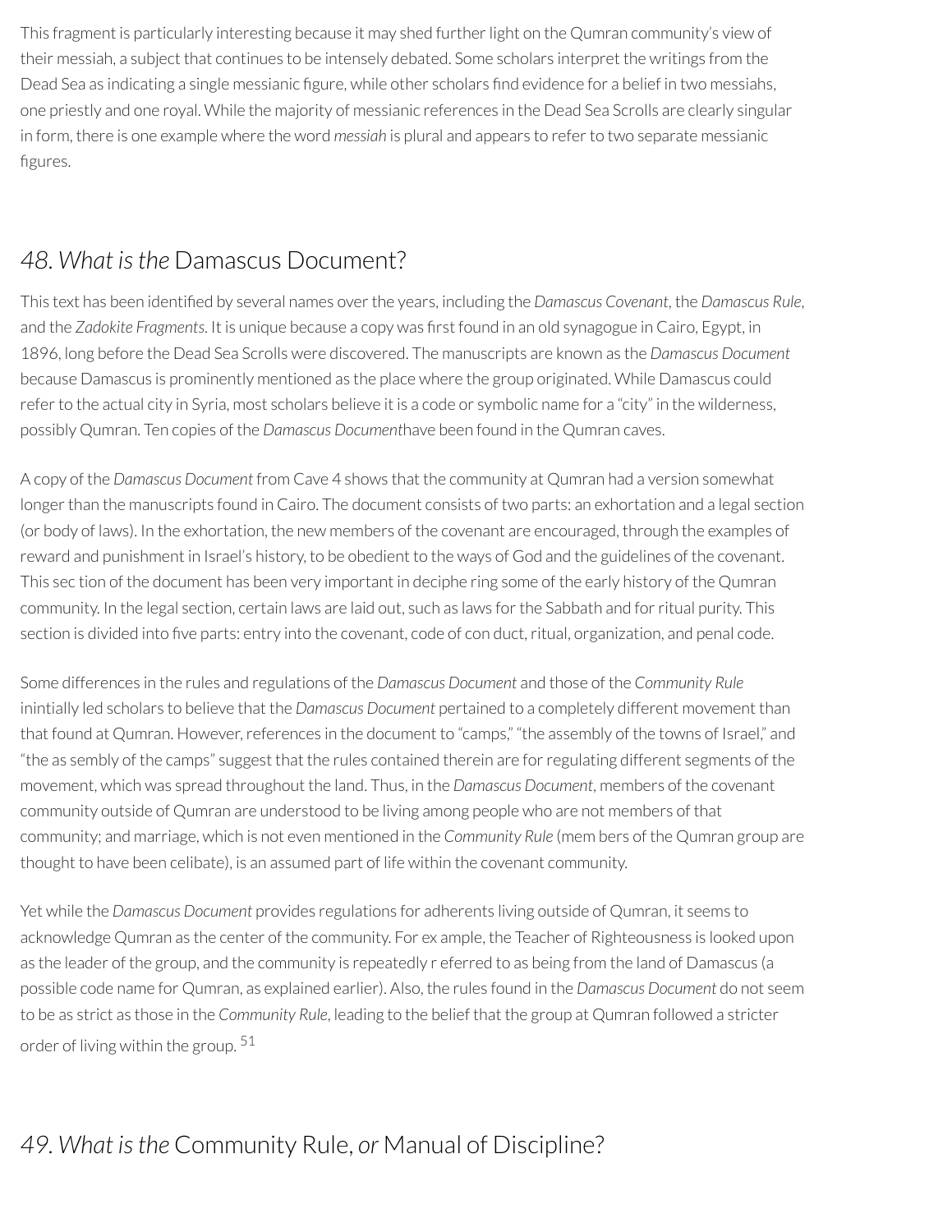This fragment is particularly interesting because it may shed further light on the Qumran community's view of their messiah, a subject that continues to be intensely debated. Some scholars interpret the writings from the Dead Sea as indicating a single messianic figure, while other scholars find evidence for a belief in two messiahs, one priestly and one royal. While the majority of messianic references in the Dead Sea Scrolls are clearly singular in form, there is one example where the word *messiah* is plural and appears to refer to two separate messianic figures.

### *48. What isthe* Damascus Document?

This text has been identified by several names over the years, including the *Damascus Covenant*, the *Damascus Rule*, and the *Zadokite Fragments*. It is unique because a copy was first found in an old synagogue in Cairo, Egypt, in 1896, long before the Dead Sea Scrolls were discovered. The manuscripts are known as the *Damascus Document* because Damascus is prominently mentioned as the place where the group originated. While Damascus could refer to the actual city in Syria, most scholars believe it is a code or symbolic name for a "city" in the wilderness, possibly Qumran. Ten copies of the *Damascus Document*have been found in the Qumran caves.

A copy of the *Damascus Document* from Cave 4 shows that the community at Qumran had a version somewhat longer than the manuscripts found in Cairo. The document consists of two parts: an exhortation and a legal section (or body of laws). In the exhortation, the new members of the covenant are encouraged, through the examples of reward and punishment in Israel's history, to be obedient to the ways of God and the guidelines of the covenant. This sec tion of the document has been very important in deciphe ring some of the early history of the Qumran community. In the legal section, certain laws are laid out, such as laws forthe Sabbath and forritual purity. This section is divided into five parts: entry into the covenant, code of con duct, ritual, organization, and penal code.

Some differences in the rules and regulations of the *Damascus Document* and those of the *Community Rule* inintially led scholars to believe that the *Damascus Document* pertained to a completely different movement than that found at Qumran. However, references in the document to "camps," "the assembly of the towns of Israel," and "the as sembly of the camps" suggest that the rules contained therein are forregulating different segments of the movement, which was spread throughout the land. Thus, in the *Damascus Document*, members of the covenant community outside of Qumran are understood to be living among people who are not members of that community; and marriage, which is not even mentioned in the *Community Rule* (mem bers of the Qumran group are thought to have been celibate), is an assumed part of life within the covenant community.

Yet while the *Damascus Document* provides regulations for adherents living outside of Qumran, it seems to acknowledge Qumran as the center of the community. For ex ample, the Teacher of Righteousness is looked upon as the leader of the group, and the community is repeatedly r eferred to as being from the land of Damascus (a possible code name for Qumran, as explained earlier). Also, the rules found in the *Damascus Document* do not seem to be as strict as those in the *Community Rule*, leading to the belief that the group at Qumran followed a stricter order of living within the group. 51

### *49. What isthe* Community Rule, *or* Manual of Discipline?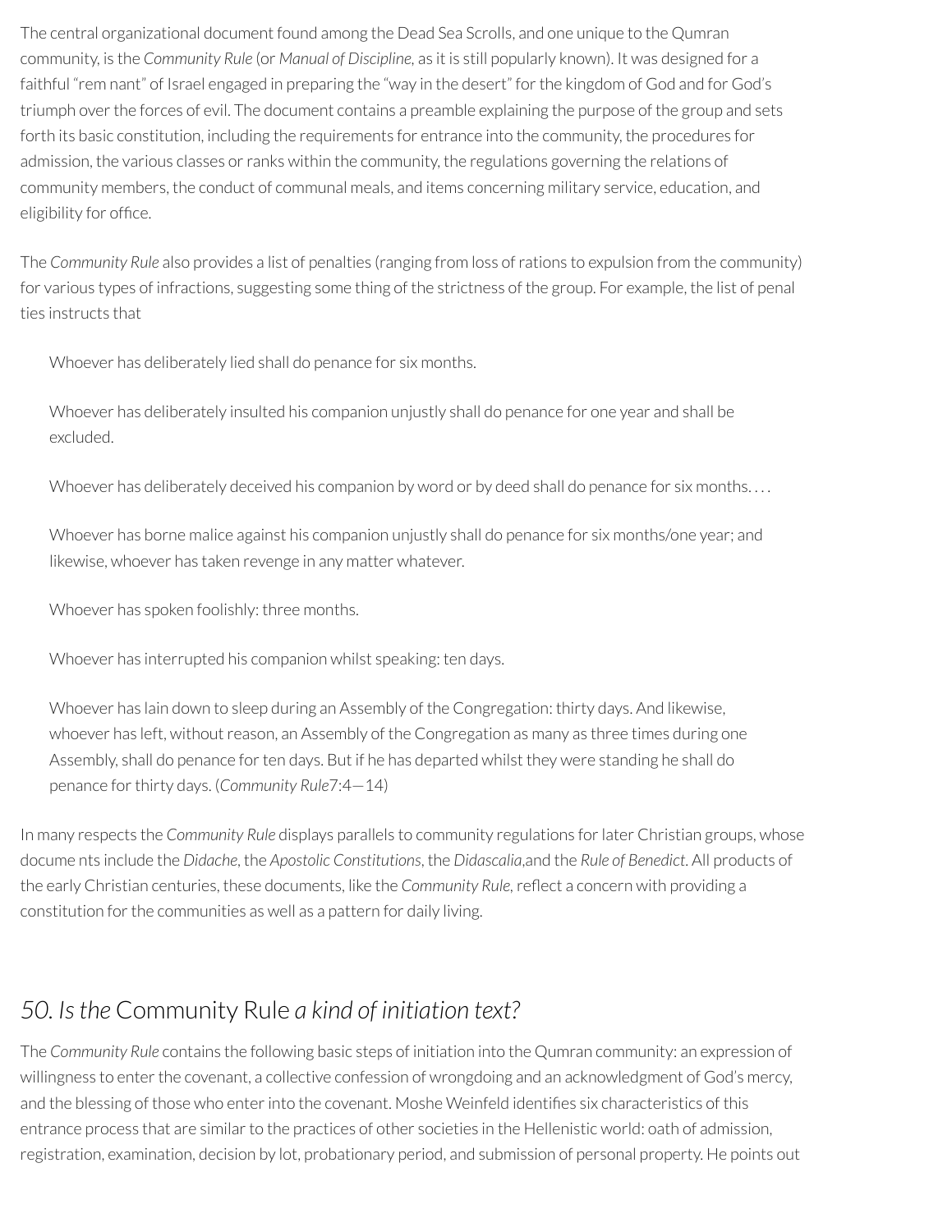The central organizational document found among the Dead Sea Scrolls, and one unique to the Qumran community, is the *Community Rule* (or *Manual of Discipline,* as it is still popularly known). It was designed for a faithful "rem nant" of Israel engaged in preparing the "way in the desert" for the kingdom of God and for God's triumph over the forces of evil. The document contains a preamble explaining the purpose of the group and sets forth its basic constitution, including the requirements for entrance into the community, the procedures for admission, the various classes or ranks within the community, the regulations governing the relations of community members, the conduct of communal meals, and items concerning military service, education, and eligibility for office.

The *Community Rule* also provides a list of penalties (ranging from loss ofrations to expulsion from the community) for various types of infractions, suggesting some thing of the strictness of the group. For example, the list of penal ties instructs that

Whoever has deliberately lied shall do penance for six months.

Whoever has deliberately insulted his companion unjustly shall do penance for one year and shall be excluded.

Whoever has deliberately deceived his companion by word or by deed shall do penance for six months....

Whoever has borne malice against his companion unjustly shall do penance for six months/one year; and likewise, whoever has taken revenge in any matter whatever.

Whoever has spoken foolishly: three months.

Whoever has interrupted his companion whilst speaking: ten days.

Whoever has lain down to sleep during an Assembly of the Congregation: thirty days. And likewise, whoever has left, without reason, an Assembly of the Congregation as many as three times during one Assembly, shall do penance for ten days. But if he has departed whilst they were standing he shall do penance forthirty days. (*Community Rule*7:4—14)

In many respects the *Community Rule* displays parallels to community regulations forlater Christian groups, whose docume nts include the *Didache*, the *Apostolic Constitutions*, the *Didascalia*,and the *Rule of Benedict*. All products of the early Christian centuries, these documents, like the *Community Rule*, reflect a concern with providing a constitution for the communities as well as a pattern for daily living.

### *50. Isthe* Community Rule *a kind of initiation text?*

The *Community Rule* contains the following basic steps of initiation into the Qumran community: an expression of willingness to enter the covenant, a collective confession of wrongdoing and an acknowledgment of God's mercy, and the blessing of those who enter into the covenant. Moshe Weinfeld identifies six characteristics of this entrance process that are similar to the practices of other societies in the Hellenistic world: oath of admission, registration, examination, decision by lot, probationary period, and submission of personal property. He points out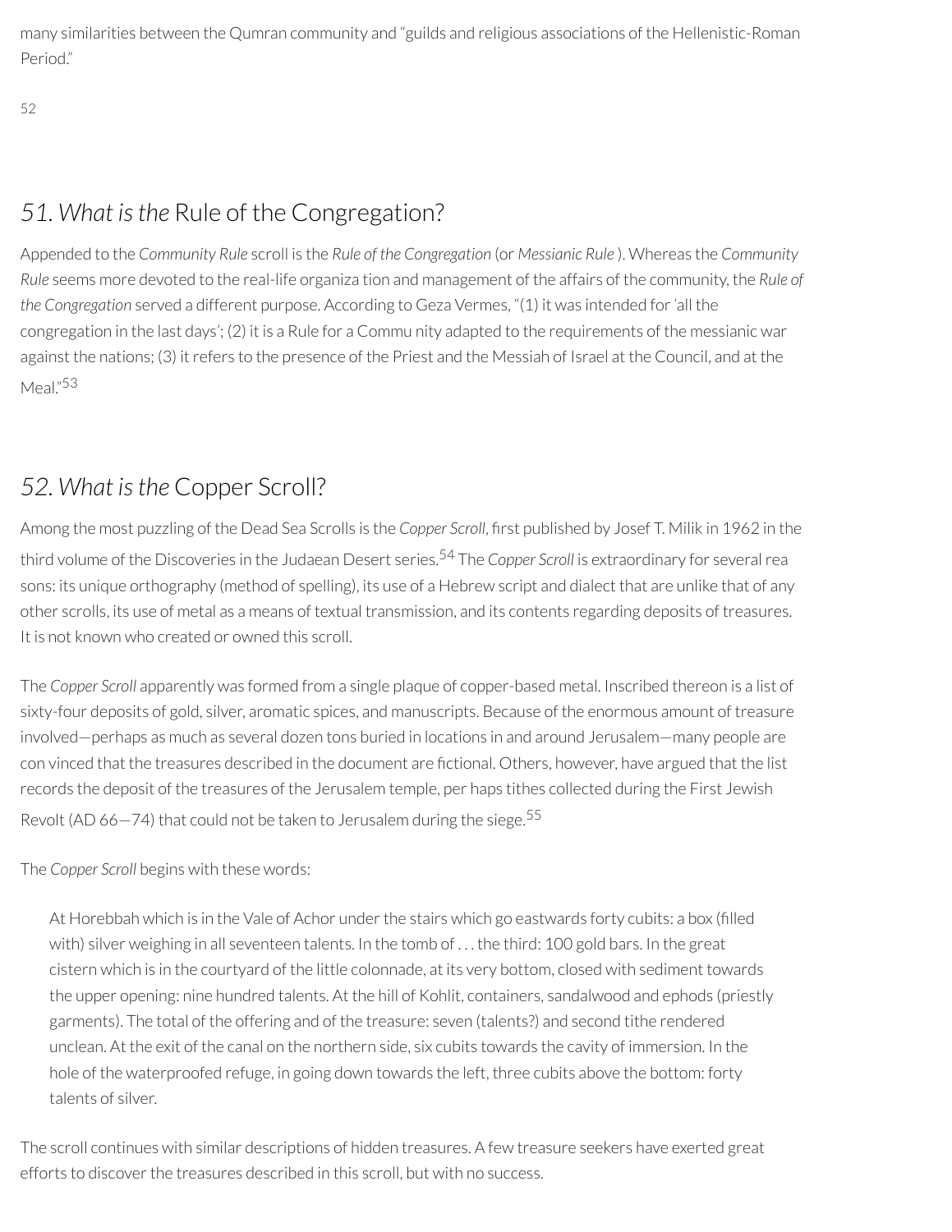many similarities between the Qumran community and "guilds and religious associations of the Hellenistic-Roman Period<sup>"</sup>

52

## *51. What isthe* Rule of the Congregation?

Appended to the *Community Rule* scroll is the *Rule of the Congregation* (or *Messianic Rule* ). Whereas the *Community Rule* seems more devoted to the real-life organiza tion and management of the affairs of the community, the *Rule of the Congregation* served a different purpose. According to Geza Vermes, "(1) it was intended for'all the congregation in the last days'; (2) it is a Rule for a Commu nity adapted to the requirements of the messianic war against the nations; (3) it refers to the presence of the Priest and the Messiah of Israel at the Council, and at the Meal." 53

### *52. What isthe* Copper Scroll?

Among the most puzzling of the Dead Sea Scrolls is the *Copper Scroll*, first published by Josef T. Milik in 1962 in the third volume of the Discoveries in the Judaean Desert series. <sup>54</sup> The *Copper Scroll* is extraordinary for severalrea sons: its unique orthography (method of spelling), its use of a Hebrew script and dialect that are unlike that of any other scrolls, its use of metal as a means of textual transmission, and its contents regarding deposits of treasures. It is not known who created or owned this scroll.

The *Copper Scroll* apparently was formed from a single plaque of copper-based metal. Inscribed thereon is a list of sixty-four deposits of gold, silver, aromatic spices, and manuscripts. Because of the enormous amount of treasure involved—perhaps as much as several dozen tons buried in locations in and around Jerusalem—many people are con vinced that the treasures described in the document are fictional. Others, however, have argued that the list records the deposit of the treasures of the Jerusalem temple, per haps tithes collected during the First Jewish Revolt (AD 66-74) that could not be taken to Jerusalem during the siege.<sup>55</sup>

The *Copper Scroll* begins with these words:

At Horebbah which is in the Vale of Achor under the stairs which go eastwards forty cubits: a box (filled with) silver weighing in all seventeen talents. In the tomb of ... the third: 100 gold bars. In the great cistern which is in the courtyard of the little colonnade, at its very bottom, closed with sediment towards the upper opening: nine hundred talents. At the hill of Kohlit, containers, sandalwood and ephods (priestly garments). The total of the offering and of the treasure: seven (talents?) and second tithe rendered unclean. At the exit of the canal on the northern side, six cubits towards the cavity of immersion. In the hole of the waterproofed refuge, in going down towards the left, three cubits above the bottom: forty talents of silver.

The scroll continues with similar descriptions of hidden treasures. A few treasure seekers have exerted great efforts to discover the treasures described in this scroll, but with no success.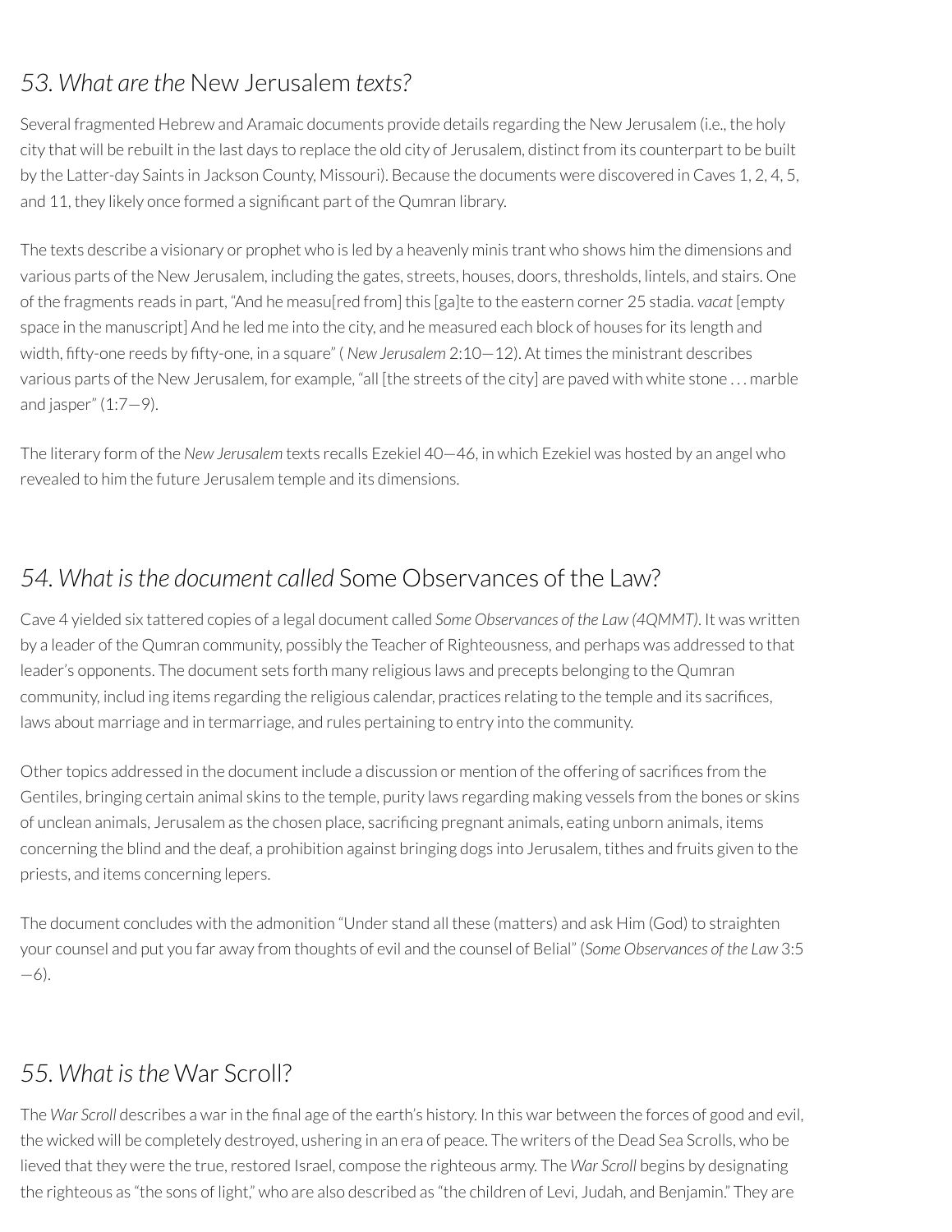### *53. What are the* New Jerusalem *texts?*

Several fragmented Hebrew and Aramaic documents provide details regarding the New Jerusalem (i.e., the holy city that will be rebuilt in the last days to replace the old city of Jerusalem, distinct from its counterpart to be built by the Latter-day Saints in Jackson County, Missouri). Because the documents were discovered in Caves 1, 2, 4, 5, and 11, they likely once formed a significant part of the Qumran library.

The texts describe a visionary or prophet who is led by a heavenly minis trant who shows him the dimensions and various parts of the New Jerusalem, including the gates, streets, houses, doors, thresholds, lintels, and stairs. One of the fragments reads in part, "And he measu[red from] this [ga]te to the eastern corner 25 stadia. *vacat* [empty space in the manuscript] And he led me into the city, and he measured each block of houses for its length and width, fifty-one reeds by fifty-one, in a square" (*New Jerusalem* 2:10–12). At times the ministrant describes various parts of the New Jerusalem, for example, "all [the streets of the city] are paved with white stone . . . marble and jasper"  $(1:7-9)$ .

The literary form of the *New Jerusalem* texts recalls Ezekiel 40—46, in which Ezekiel was hosted by an angel who revealed to him the future Jerusalem temple and its dimensions.

### *54. What isthe document called* Some Observances of the Law?

Cave 4 yielded six tattered copies of a legal document called *Some Observances of the Law (4QMMT)*. It was written by a leader of the Qumran community, possibly the Teacher of Righteousness, and perhaps was addressed to that leader's opponents. The document sets forth many religious laws and precepts belonging to the Qumran community, includ ing items regarding the religious calendar, practices relating to the temple and its sacrifices, laws about marriage and in termarriage, and rules pertaining to entry into the community.

Other topics addressed in the document include a discussion or mention of the offering of sacrifices from the Gentiles, bringing certain animal skins to the temple, purity laws regarding making vessels from the bones or skins of unclean animals, Jerusalem as the chosen place, sacrificing pregnant animals, eating unborn animals, items concerning the blind and the deaf, a prohibition against bringing dogs into Jerusalem, tithes and fruits given to the priests, and items concerning lepers.

The document concludes with the admonition "Under stand all these (matters) and ask Him (God) to straighten your counsel and put you far away from thoughts of evil and the counsel of Belial" (*Some Observances of the Law* 3:5 —6).

### *55. What isthe* War Scroll?

The *War Scroll* describes a war in the final age of the earth's history. In this war between the forces of good and evil, the wicked will be completely destroyed, ushering in an era of peace. The writers of the Dead Sea Scrolls, who be lieved that they were the true, restored Israel, compose the righteous army. The *War Scroll* begins by designating the righteous as "the sons of light," who are also described as "the children of Levi, Judah, and Benjamin." They are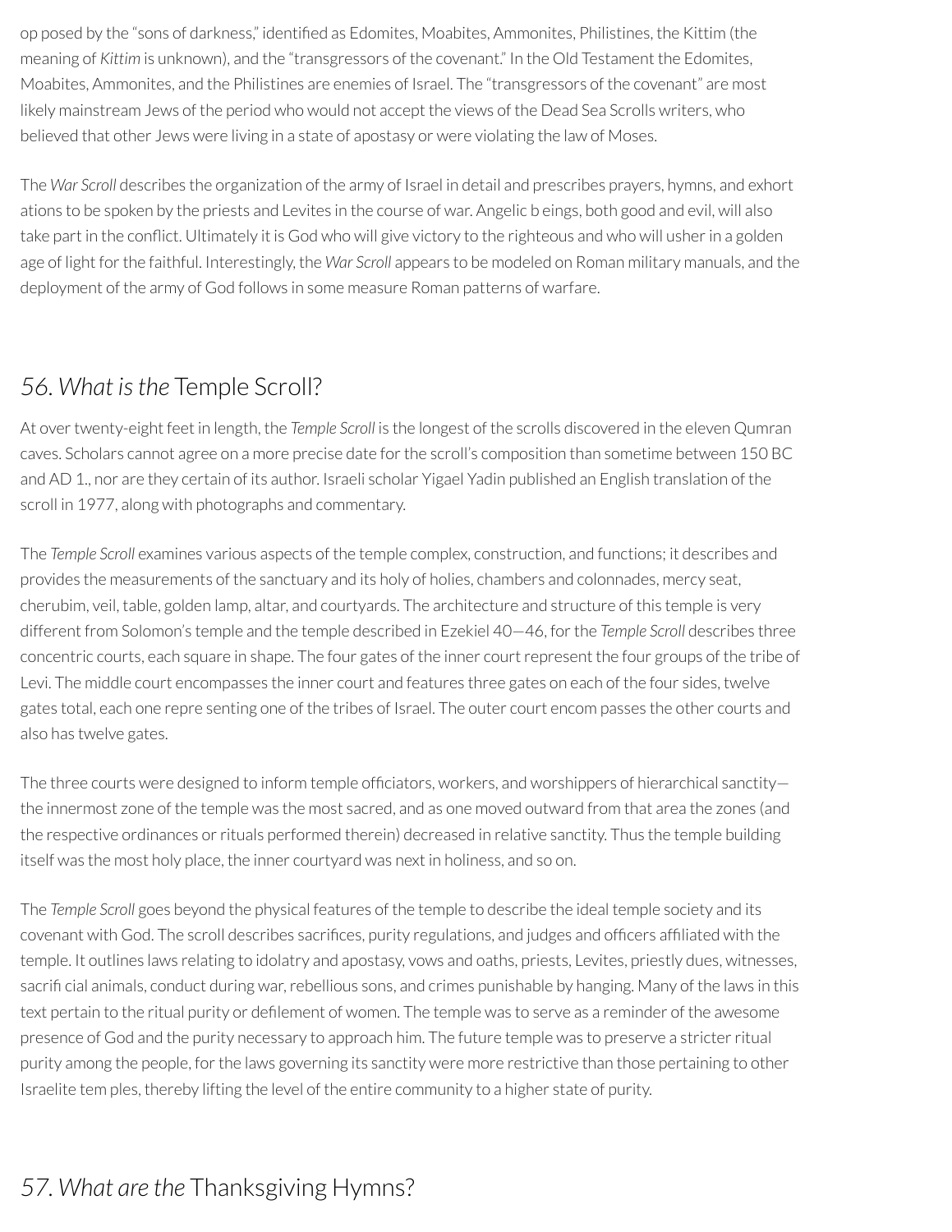op posed by the "sons of darkness," identified as Edomites, Moabites, Ammonites, Philistines, the Kittim (the meaning of *Kittim* is unknown), and the "transgressors of the covenant." In the Old Testament the Edomites, Moabites, Ammonites, and the Philistines are enemies of Israel. The "transgressors of the covenant" are most likely mainstream Jews of the period who would not accept the views of the Dead Sea Scrolls writers, who believed that other Jews were living in a state of apostasy or were violating the law of Moses.

The *War Scroll* describes the organization of the army of Israel in detail and prescribes prayers, hymns, and exhort ations to be spoken by the priests and Levites in the course of war. Angelic b eings, both good and evil, will also take part in the conflict. Ultimately it is God who will give victory to the righteous and who will usher in a golden age of light for the faithful. Interestingly, the *War Scroll* appears to be modeled on Roman military manuals, and the deployment of the army of God follows in some measure Roman patterns of warfare.

### *56. What isthe* Temple Scroll?

At overtwenty-eight feet in length, the *Temple Scroll* is the longest of the scrolls discovered in the eleven Qumran caves. Scholars cannot agree on a more precise date forthe scroll's composition than sometime between 150 BC and AD 1., nor are they certain of its author. Israeli scholar Yigael Yadin published an English translation of the scroll in 1977, along with photographs and commentary.

The *Temple Scroll* examines various aspects of the temple complex, construction, and functions; it describes and provides the measurements of the sanctuary and its holy of holies, chambers and colonnades, mercy seat, cherubim, veil, table, golden lamp, altar, and courtyards. The architecture and structure of this temple is very different from Solomon's temple and the temple described in Ezekiel 40—46, forthe *Temple Scroll* describes three concentric courts, each square in shape. The four gates of the inner courtrepresent the four groups of the tribe of Levi. The middle court encompasses the inner court and features three gates on each of the four sides, twelve gates total, each one repre senting one of the tribes of Israel. The outer court encom passes the other courts and also has twelve gates.

The three courts were designed to inform temple officiators, workers, and worshippers of hierarchical sanctity the innermost zone of the temple was the most sacred, and as one moved outward from that area the zones (and the respective ordinances or rituals performed therein) decreased in relative sanctity. Thus the temple building itself was the most holy place, the inner courtyard was next in holiness, and so on.

The *Temple Scroll* goes beyond the physical features of the temple to describe the ideal temple society and its covenant with God. The scroll describes sacrifices, purity regulations, and judges and officers affiliated with the temple. It outlines laws relating to idolatry and apostasy, vows and oaths, priests, Levites, priestly dues, witnesses, sacrificial animals, conduct during war, rebellious sons, and crimes punishable by hanging. Many of the laws in this text pertain to the ritual purity or defilement of women. The temple was to serve as a reminder of the awesome presence of God and the purity necessary to approach him. The future temple was to preserve a stricterritual purity among the people, forthe laws governing its sanctity were more restrictive than those pertaining to other Israelite tem ples, thereby lifting the level of the entire community to a higher state of purity.

## *57. What are the* Thanksgiving Hymns?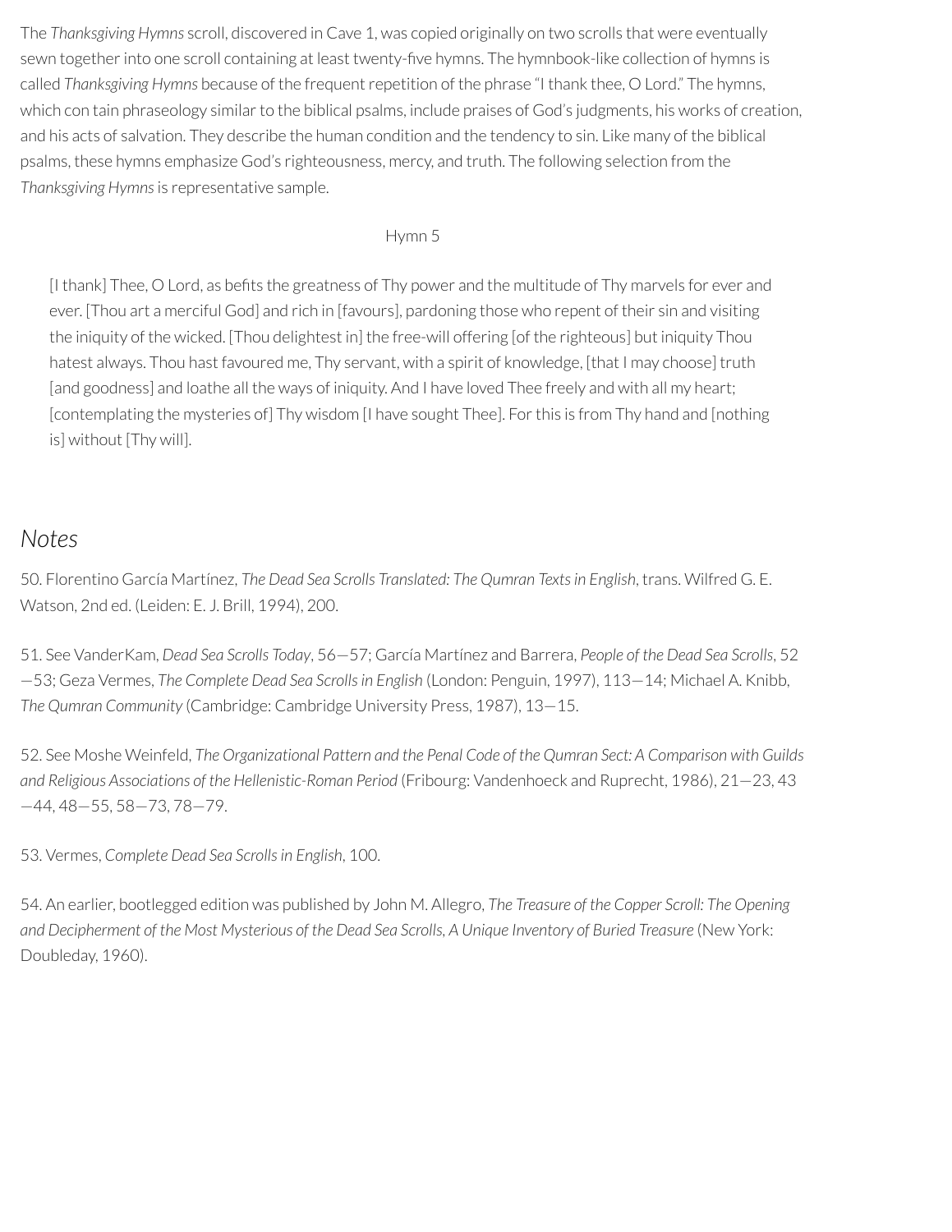The *Thanksgiving Hymns* scroll, discovered in Cave 1, was copied originally on two scrolls that were eventually sewn together into one scroll containing at least twenty-five hymns. The hymnbook-like collection of hymns is called *Thanksgiving Hymns* because of the frequent repetition of the phrase "I thank thee, O Lord." The hymns, which con tain phraseology similar to the biblical psalms, include praises of God's judgments, his works of creation, and his acts of salvation. They describe the human condition and the tendency to sin. Like many of the biblical psalms, these hymns emphasize God's righteousness, mercy, and truth. The following selection from the *Thanksgiving Hymns*is representative sample.

#### Hymn 5

[I thank] Thee, O Lord, as befits the greatness of Thy power and the multitude of Thy marvels for ever and ever. [Thou art a merciful God] and rich in [favours], pardoning those who repent of their sin and visiting the iniquity of the wicked. [Thou delightest in] the free-will offering [of the righteous] but iniquity Thou hatest always. Thou hast favoured me, Thy servant, with a spirit of knowledge, [that I may choose] truth [and goodness] and loathe all the ways of iniquity. And I have loved Thee freely and with all my heart; [contemplating the mysteries of] Thy wisdom [I have sought Thee]. For this is from Thy hand and [nothing] is] without [Thy will].

#### *Notes*

50. Florentino García Martínez, *The Dead Sea Scrolls Translated: The Qumran Textsin English*, trans. Wilfred G. E. Watson, 2nd ed. (Leiden: E. J. Brill, 1994), 200.

51. See VanderKam, *Dead Sea Scrolls Today*, 56—57; García Martínez and Barrera, *People of the Dead Sea Scrolls*, 52 —53; Geza Vermes, *The Complete Dead Sea Scrollsin English* (London: Penguin, 1997), 113—14; Michael A. Knibb, *The Qumran Community* (Cambridge: Cambridge University Press, 1987), 13—15.

52. See Moshe Weinfeld, *The Organizational Pattern and the Penal Code of the Qumran Sect: A Comparison with Guilds and Religious Associations of the Hellenistic-Roman Period* (Fribourg: Vandenhoeck and Ruprecht, 1986), 21—23, 43 —44, 48—55, 58—73, 78—79.

53. Vermes, *Complete Dead Sea Scrollsin English*, 100.

54. An earlier, bootlegged edition was published by John M. Allegro, *The Treasure of the Copper Scroll: The Opening* and Decipherment of the Most Mysterious of the Dead Sea Scrolls, A Unique Inventory of Buried Treasure (New York: Doubleday, 1960).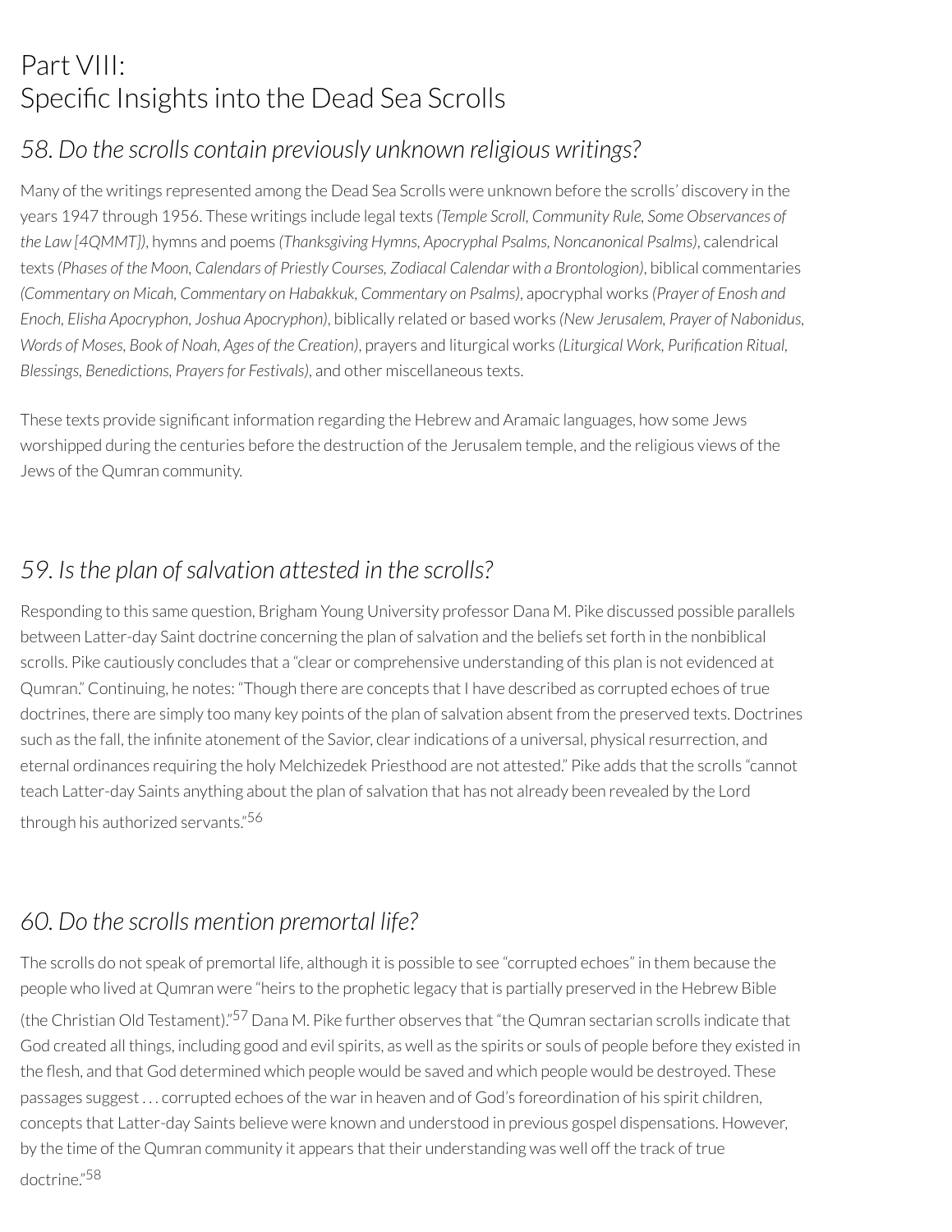# Part VIII: Specific Insights into the Dead Sea Scrolls

### *58. Do the scrolls contain previously unknown religious writings?*

Many of the writings represented among the Dead Sea Scrolls were unknown before the scrolls' discovery in the years 1947 through 1956. These writings include legal texts *(Temple Scroll, Community Rule, Some Observances of the Law [4QMMT])*, hymns and poems *(Thanksgiving Hymns, Apocryphal Psalms, Noncanonical Psalms)*, calendrical texts *(Phases of the Moon, Calendars of Priestly Courses, Zodiacal Calendar with a Brontologion)*, biblical commentaries *(Commentary on Micah, Commentary on Habakkuk, Commentary on Psalms)*, apocryphal works *(Prayer of Enosh and Enoch, Elisha Apocryphon, Joshua Apocryphon)*, biblically related or based works *(New Jerusalem, Prayer of Nabonidus, Words of Moses, Book of Noah, Ages of the Creation)*, prayers and liturgical works *(Liturgical Work, Purication Ritual, Blessings, Benedictions, Prayersfor Festivals)*, and other miscellaneous texts.

These texts provide significant information regarding the Hebrew and Aramaic languages, how some Jews worshipped during the centuries before the destruction of the Jerusalem temple, and the religious views of the Jews of the Qumran community.

### *59. Isthe plan ofsalvation attested in the scrolls?*

Responding to this same question, Brigham Young University professor Dana M. Pike discussed possible parallels between Latter-day Saint doctrine concerning the plan of salvation and the beliefs set forth in the nonbiblical scrolls. Pike cautiously concludes that a "clear or comprehensive understanding of this plan is not evidenced at Qumran." Continuing, he notes: "Though there are concepts that I have described as corrupted echoes of true doctrines, there are simply too many key points of the plan of salvation absent from the preserved texts. Doctrines such as the fall, the infinite atonement of the Savior, clear indications of a universal, physical resurrection, and eternal ordinances requiring the holy Melchizedek Priesthood are not attested." Pike adds that the scrolls "cannot teach Latter-day Saints anything about the plan of salvation that has not already been revealed by the Lord through his authorized servants." 56

### *60. Do the scrolls mention premortal life?*

The scrolls do not speak of premortal life, although it is possible to see "corrupted echoes" in them because the people who lived at Qumran were "heirs to the prophetic legacy that is partially preserved in the Hebrew Bible (the Christian Old Testament)."<sup>57</sup> Dana M. Pike further observes that "the Qumran sectarian scrolls indicate that God created all things, including good and evil spirits, as well as the spirits or souls of people before they existed in the flesh, and that God determined which people would be saved and which people would be destroyed. These passages suggest . . . corrupted echoes of the warin heaven and of God's foreordination of his spirit children, concepts that Latter-day Saints believe were known and understood in previous gospel dispensations. However, by the time of the Qumran community it appears that their understanding was well off the track of true doctrine." 58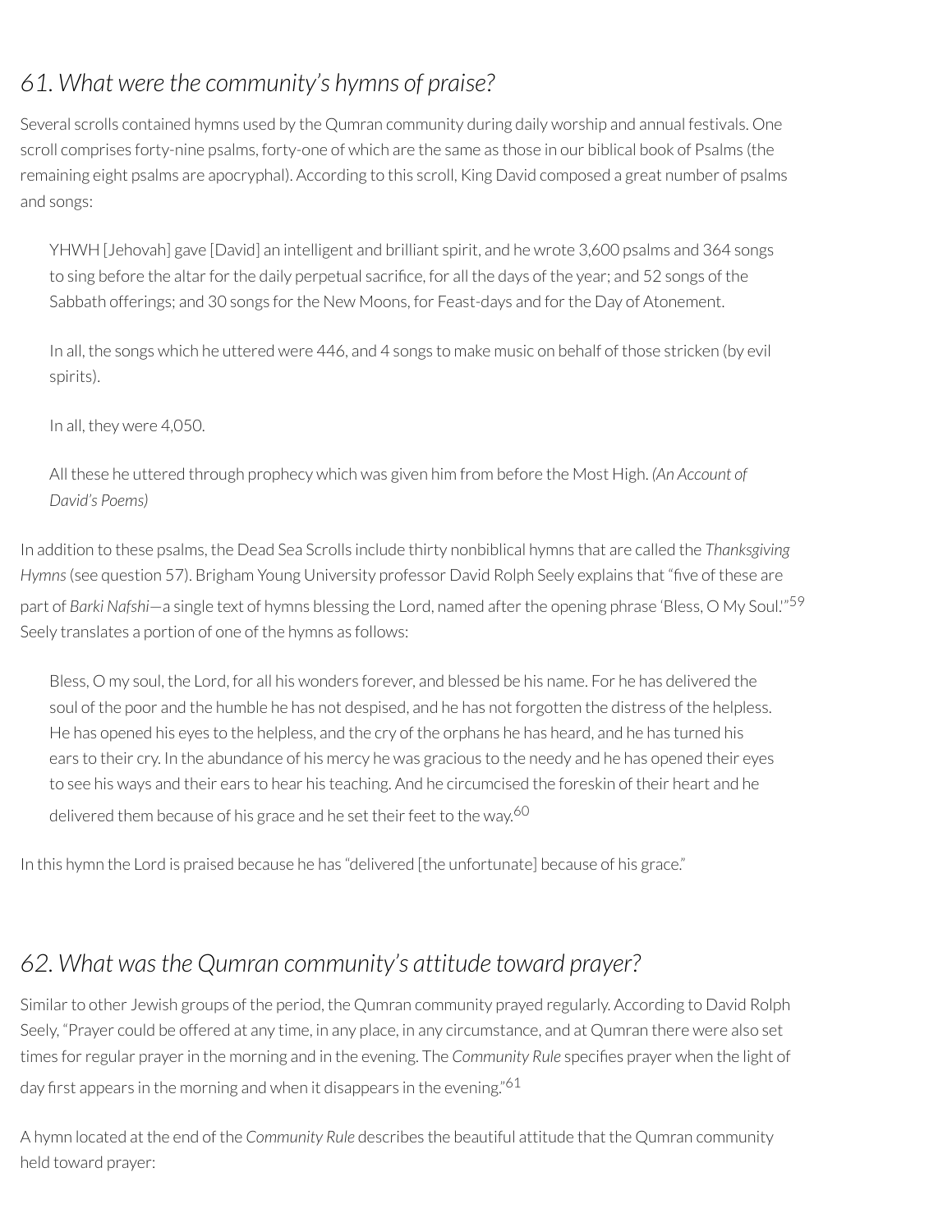### *61. What were the community's hymns of praise?*

Several scrolls contained hymns used by the Qumran community during daily worship and annual festivals. One scroll comprises forty-nine psalms, forty-one of which are the same as those in our biblical book of Psalms (the remaining eight psalms are apocryphal). According to this scroll, King David composed a great number of psalms and songs:

YHWH [Jehovah] gave [David] an intelligent and brilliant spirit, and he wrote 3,600 psalms and 364 songs to sing before the altar for the daily perpetual sacrifice, for all the days of the year; and 52 songs of the Sabbath offerings; and 30 songs for the New Moons, for Feast-days and for the Day of Atonement.

In all, the songs which he uttered were 446, and 4 songs to make music on behalf of those stricken (by evil spirits).

In all, they were 4,050.

All these he uttered through prophecy which was given him from before the Most High. *(An Account of David's Poems)*

In addition to these psalms, the Dead Sea Scrolls include thirty nonbiblical hymns that are called the *Thanksgiving Hymns* (see question 57). Brigham Young University professor David Rolph Seely explains that "five of these are part of *Barki Nafshi*—a single text of hymns blessing the Lord, named afterthe opening phrase 'Bless, O My Soul.'" 59 Seely translates a portion of one of the hymns as follows:

Bless, O my soul, the Lord, for all his wonders forever, and blessed be his name. For he has delivered the soul of the poor and the humble he has not despised, and he has not forgotten the distress of the helpless. He has opened his eyes to the helpless, and the cry of the orphans he has heard, and he has turned his ears to their cry. In the abundance of his mercy he was gracious to the needy and he has opened their eyes to see his ways and their ears to hear his teaching. And he circumcised the foreskin of their heart and he delivered them because of his grace and he set their feet to the way.<sup>60</sup>

In this hymn the Lord is praised because he has "delivered [the unfortunate] because of his grace."

### *62. What wasthe Qumran community's attitude toward prayer?*

Similar to other Jewish groups of the period, the Qumran community prayed regularly. According to David Rolph Seely, "Prayer could be offered at any time, in any place, in any circumstance, and at Qumran there were also set times for regular prayer in the morning and in the evening. The *Community Rule* specifies prayer when the light of day first appears in the morning and when it disappears in the evening."<sup>61</sup>

A hymn located at the end of the *Community Rule* describes the beautiful attitude that the Qumran community held toward prayer: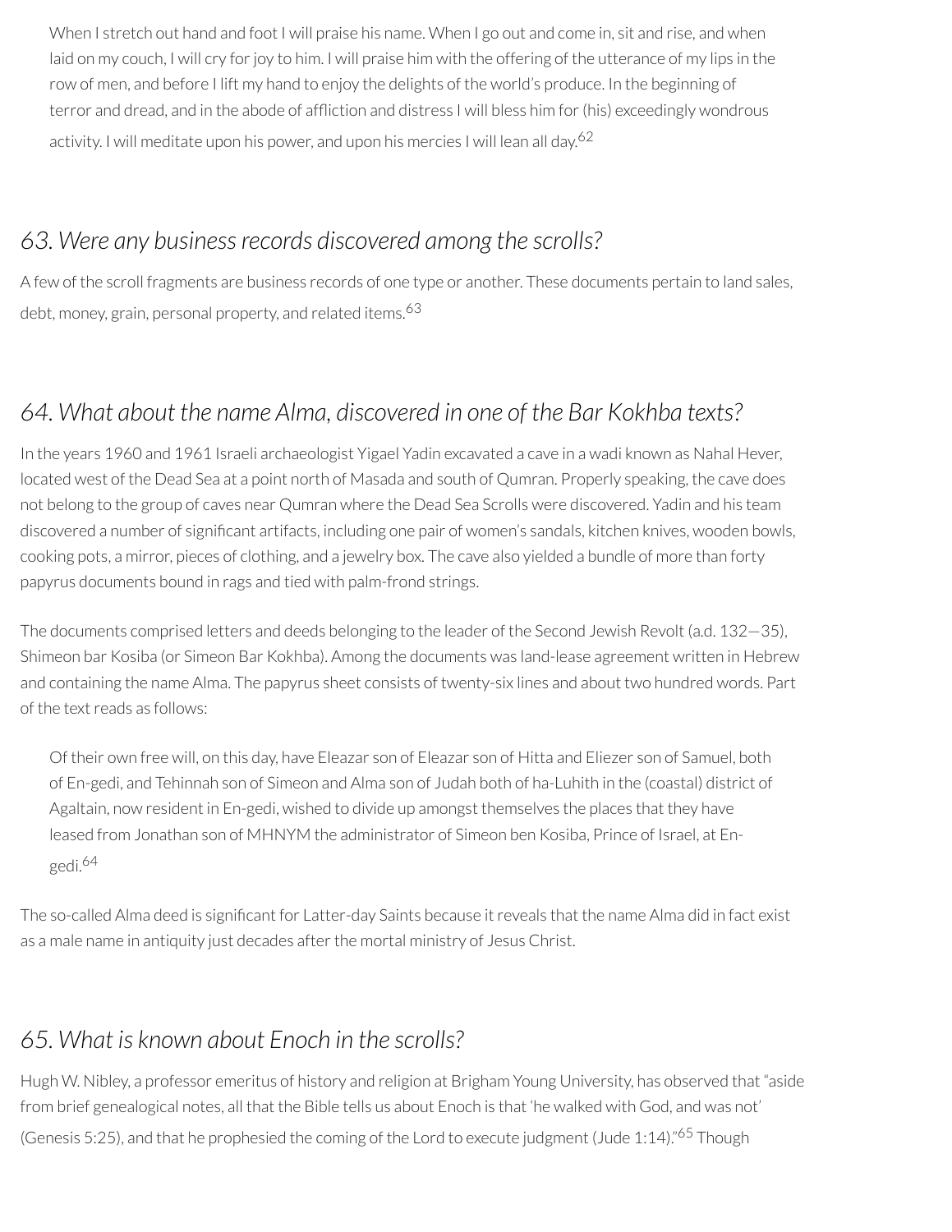When I stretch out hand and foot I will praise his name. When I go out and come in, sit and rise, and when laid on my couch, I will cry for joy to him. I will praise him with the offering of the utterance of my lips in the row of men, and before I lift my hand to enjoy the delights of the world's produce. In the beginning of terror and dread, and in the abode of affliction and distress I will bless him for (his) exceedingly wondrous activity. I will meditate upon his power, and upon his mercies I will lean all day. 62

#### *63. Were any businessrecords discovered among the scrolls?*

A few of the scroll fragments are business records of one type or another. These documents pertain to land sales, debt, money, grain, personal property, and related items. 63

### *64. What about the name Alma, discovered in one of the Bar Kokhba texts?*

In the years 1960 and 1961 Israeli archaeologist Yigael Yadin excavated a cave in a wadi known as Nahal Hever, located west of the Dead Sea at a point north of Masada and south of Qumran. Properly speaking, the cave does not belong to the group of caves near Qumran where the Dead Sea Scrolls were discovered. Yadin and his team discovered a number of significant artifacts, including one pair of women's sandals, kitchen knives, wooden bowls, cooking pots, a mirror, pieces of clothing, and a jewelry box. The cave also yielded a bundle of more than forty papyrus documents bound in rags and tied with palm-frond strings.

The documents comprised letters and deeds belonging to the leader of the Second Jewish Revolt (a.d. 132—35), Shimeon bar Kosiba (or Simeon Bar Kokhba). Among the documents was land-lease agreement written in Hebrew and containing the name Alma. The papyrus sheet consists of twenty-six lines and about two hundred words. Part of the textreads as follows:

Of their own free will, on this day, have Eleazar son of Eleazar son of Hitta and Eliezer son of Samuel, both of En-gedi, and Tehinnah son of Simeon and Alma son of Judah both of ha-Luhith in the (coastal) district of Agaltain, now resident in En-gedi, wished to divide up amongst themselves the places that they have leased from Jonathan son of MHNYM the administrator of Simeon ben Kosiba, Prince of Israel, at Engedi. 64

The so-called Alma deed is significant for Latter-day Saints because it reveals that the name Alma did in fact exist as a male name in antiquity just decades after the mortal ministry of Jesus Christ.

### *65. What is known about Enoch in the scrolls?*

Hugh W. Nibley, a professor emeritus of history and religion at Brigham Young University, has observed that "aside from brief genealogical notes, all that the Bible tells us about Enoch is that 'he walked with God, and was not' (Genesis 5:25), and that he prophesied the coming of the Lord to execute judgment (Jude 1:14)."<sup>65</sup> Though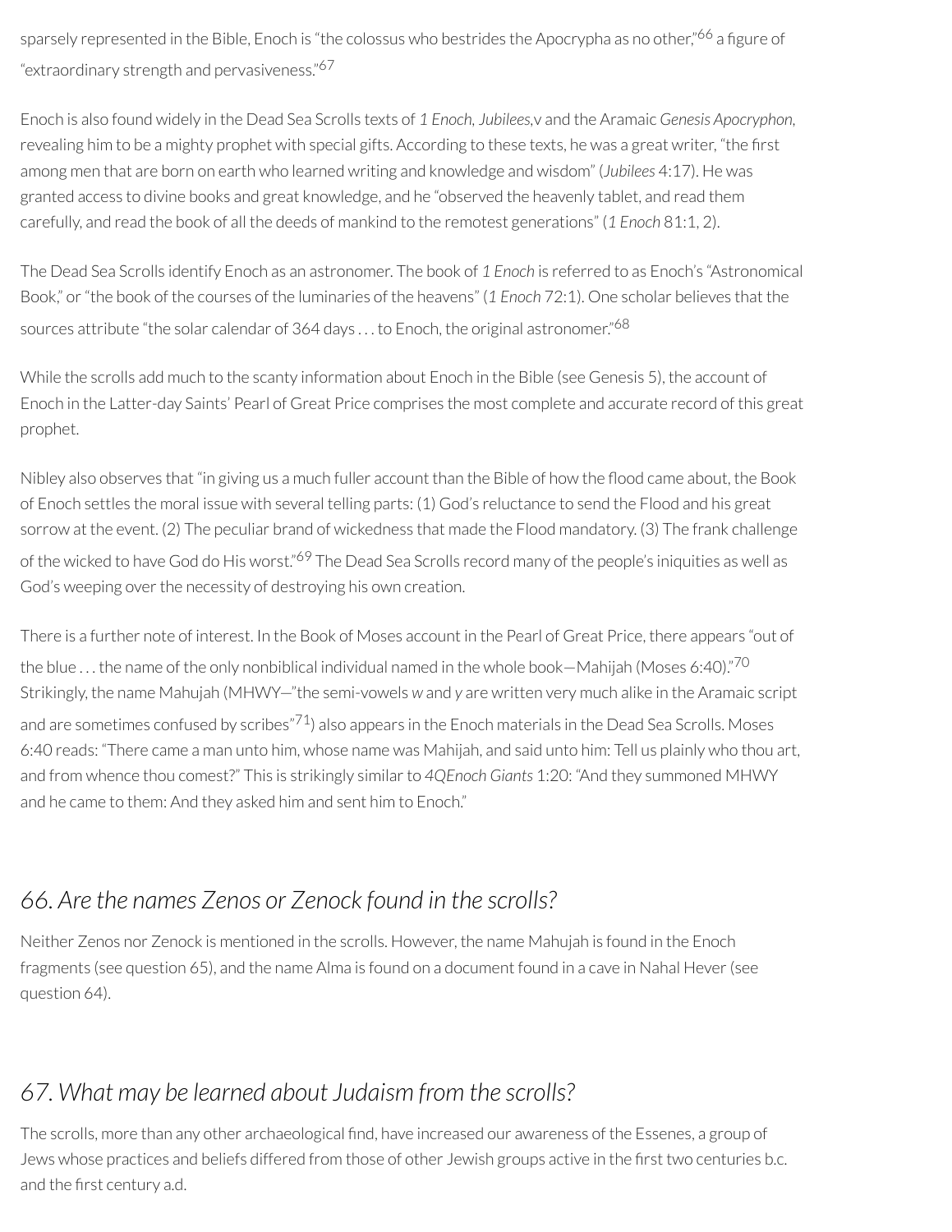sparsely represented in the Bible, Enoch is "the colossus who bestrides the Apocrypha as no other,"<sup>66</sup> a figure of "extraordinary strength and pervasiveness." 67

Enoch is also found widely in the Dead Sea Scrolls texts of *1 Enoch, Jubilees,*v and the Aramaic *Genesis Apocryphon,* revealing him to be a mighty prophet with special gifts. According to these texts, he was a great writer, "the first among men that are born on earth who learned writing and knowledge and wisdom" (*Jubilees* 4:17). He was granted access to divine books and great knowledge, and he "observed the heavenly tablet, and read them carefully, and read the book of all the deeds of mankind to the remotest generations" (*1 Enoch* 81:1, 2).

The Dead Sea Scrolls identify Enoch as an astronomer. The book of *1 Enoch* is referred to as Enoch's "Astronomical Book," or"the book of the courses of the luminaries of the heavens" (*1 Enoch* 72:1). One scholar believes that the sources attribute "the solar calendar of 364 days  $\ldots$  to Enoch, the original astronomer." $^{68}$ 

While the scrolls add much to the scanty information about Enoch in the Bible (see Genesis 5), the account of Enoch in the Latter-day Saints' Pearl of Great Price comprises the most complete and accurate record of this great prophet.

Nibley also observes that "in giving us a much fuller account than the Bible of how the flood came about, the Book of Enoch settles the moral issue with several telling parts: (1) God's reluctance to send the Flood and his great sorrow at the event. (2) The peculiar brand of wickedness that made the Flood mandatory. (3) The frank challenge of the wicked to have God do His worst."<sup>69</sup> The Dead Sea Scrolls record many of the people's iniquities as well as God's weeping over the necessity of destroying his own creation.

There is a further note of interest. In the Book of Moses account in the Pearl of Great Price, there appears "out of the blue  $\ldots$  the name of the only nonbiblical individual named in the whole book—Mahijah (Moses 6:40)." $^{70}$ Strikingly, the name Mahujah (MHWY—"the semi-vowels *w* and *y* are written very much alike in the Aramaic script and are sometimes confused by scribes"<sup>71</sup>) also appears in the Enoch materials in the Dead Sea Scrolls. Moses 6:40 reads: "There came a man unto him, whose name was Mahijah, and said unto him: Tell us plainly who thou art, and from whence thou comest?" This is strikingly similar to 4QEnoch Giants 1:20: "And they summoned MHWY and he came to them: And they asked him and sent him to Enoch."

### *66. Are the names Zenos or Zenock found in the scrolls?*

Neither Zenos nor Zenock is mentioned in the scrolls. However, the name Mahujah is found in the Enoch fragments (see question 65), and the name Alma is found on a document found in a cave in Nahal Hever(see question 64).

### *67. What may be learned about Judaism from the scrolls?*

The scrolls, more than any other archaeological find, have increased our awareness of the Essenes, a group of Jews whose practices and beliefs differed from those of other Jewish groups active in the first two centuries b.c. and the first century a.d.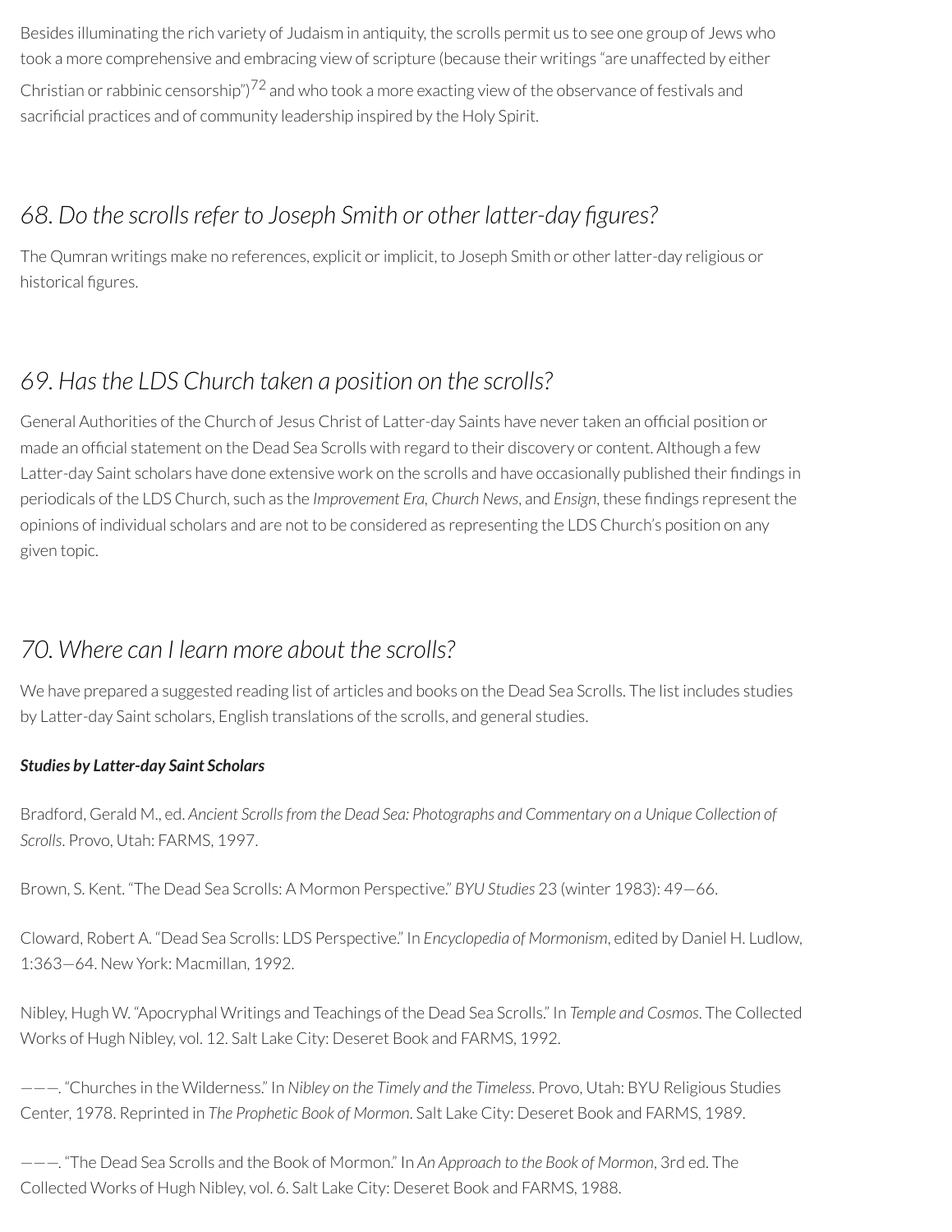Besides illuminating the rich variety of Judaism in antiquity, the scrolls permit us to see one group of Jews who took a more comprehensive and embracing view of scripture (because their writings "are unaffected by either Christian or rabbinic censorship") $72$  and who took a more exacting view of the observance of festivals and sacrificial practices and of community leadership inspired by the Holy Spirit.

#### *68. Do the scrollsrefer to Joseph Smith or other latter-day gures?*

The Qumran writings make no references, explicit orimplicit, to Joseph Smith or otherlatter-day religious or historical figures.

### *69. Hasthe LDS Church taken a position on the scrolls?*

General Authorities of the Church of Jesus Christ of Latter-day Saints have never taken an official position or made an official statement on the Dead Sea Scrolls with regard to their discovery or content. Although a few Latter-day Saint scholars have done extensive work on the scrolls and have occasionally published their findings in periodicals of the LDS Church, such as the *Improvement Era, Church News*, and *Ensign*, these ndings represent the opinions of individual scholars and are not to be considered as representing the LDS Church's position on any given topic.

### *70. Where can I learn more about the scrolls?*

We have prepared a suggested reading list of articles and books on the Dead Sea Scrolls. The list includes studies by Latter-day Saint scholars, English translations of the scrolls, and general studies.

#### *Studies by Latter-day Saint Scholars*

Bradford, Gerald M., ed. *Ancient Scrollsfrom the Dead Sea: Photographs and Commentary on a Unique Collection of Scrolls*. Provo, Utah: FARMS, 1997.

Brown, S. Kent. "The Dead Sea Scrolls: A Mormon Perspective." *BYU Studies* 23 (winter 1983): 49—66.

Cloward, Robert A. "Dead Sea Scrolls: LDS Perspective." In *Encyclopedia of Mormonism*, edited by Daniel H. Ludlow, 1:363—64. New York: Macmillan, 1992.

Nibley, Hugh W. "Apocryphal Writings and Teachings of the Dead Sea Scrolls." In *Temple and Cosmos*. The Collected Works of Hugh Nibley, vol. 12. Salt Lake City: Deseret Book and FARMS, 1992.

———. "Churches in the Wilderness." In *Nibley on the Timely and the Timeless*. Provo, Utah: BYU Religious Studies Center, 1978. Reprinted in *The Prophetic Book of Mormon*. Salt Lake City: Deseret Book and FARMS, 1989.

———. "The Dead Sea Scrolls and the Book of Mormon." In *An Approach to the Book of Mormon*, 3rd ed. The Collected Works of Hugh Nibley, vol. 6. Salt Lake City: Deseret Book and FARMS, 1988.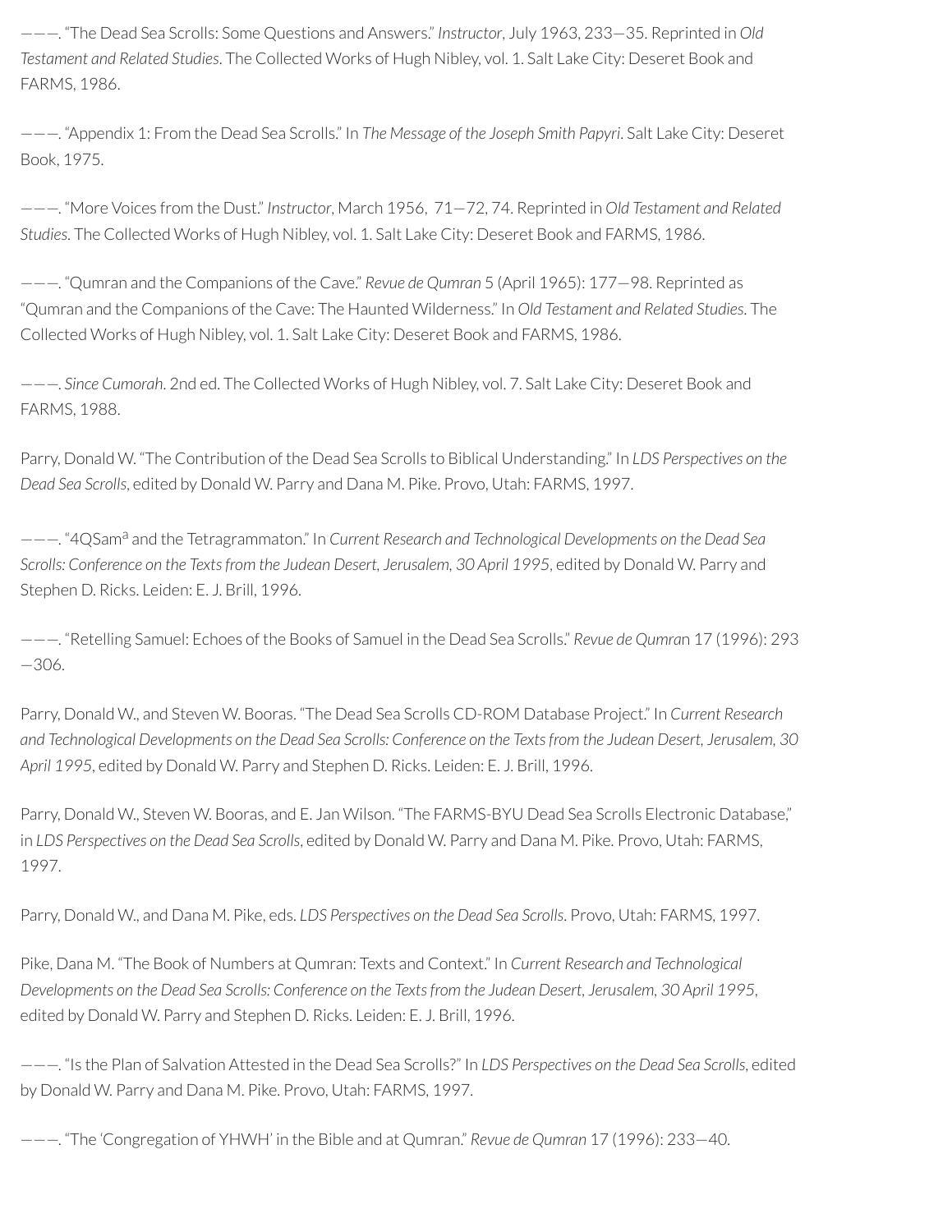———. "The Dead Sea Scrolls: Some Questions and Answers." *Instructor*, July 1963, 233—35. Reprinted in *Old Testament and Related Studies*. The Collected Works of Hugh Nibley, vol. 1. Salt Lake City: Deseret Book and FARMS, 1986.

———. "Appendix 1: From the Dead Sea Scrolls." In *The Message of the Joseph Smith Papyri*. Salt Lake City: Deseret Book, 1975.

———. "More Voices from the Dust." *Instructor*, March 1956, 71—72, 74. Reprinted in *Old Testament and Related Studies*. The Collected Works of Hugh Nibley, vol. 1. Salt Lake City: Deseret Book and FARMS, 1986.

———. "Qumran and the Companions of the Cave." *Revue de Qumran* 5 (April 1965): 177—98. Reprinted as "Qumran and the Companions of the Cave: The Haunted Wilderness." In *Old Testament and Related Studies*. The Collected Works of Hugh Nibley, vol. 1. Salt Lake City: Deseret Book and FARMS, 1986.

———. *Since Cumorah*. 2nd ed. The Collected Works of Hugh Nibley, vol. 7. Salt Lake City: Deseret Book and FARMS, 1988.

Parry, Donald W. "The Contribution of the Dead Sea Scrolls to Biblical Understanding." In *LDS Perspectives on the Dead Sea Scrolls*, edited by Donald W. Parry and Dana M. Pike. Provo, Utah: FARMS, 1997.

———. "4QSam<sup>a</sup> and the Tetragrammaton." In *Current Research and Technological Developments on the Dead Sea Scrolls: Conference on the Textsfrom the Judean Desert, Jerusalem, 30 April 1995*, edited by Donald W. Parry and Stephen D. Ricks. Leiden: E. J. Brill, 1996.

———. "Retelling Samuel: Echoes of the Books of Samuel in the Dead Sea Scrolls." *Revue de Qumra*n 17 (1996): 293 —306.

Parry, Donald W., and Steven W. Booras. "The Dead Sea Scrolls CD-ROM Database Project." In *Current Research* and Technological Developments on the Dead Sea Scrolls: Conference on the Texts from the Judean Desert, Jerusalem, 30 *April 1995*, edited by Donald W. Parry and Stephen D. Ricks. Leiden: E. J. Brill, 1996.

Parry, Donald W., Steven W. Booras, and E. Jan Wilson. "The FARMS-BYU Dead Sea Scrolls Electronic Database," in *LDS Perspectives on the Dead Sea Scrolls*, edited by Donald W. Parry and Dana M. Pike. Provo, Utah: FARMS, 1997.

Parry, Donald W., and Dana M. Pike, eds. *LDS Perspectives on the Dead Sea Scrolls*. Provo, Utah: FARMS, 1997.

Pike, Dana M. "The Book of Numbers at Qumran: Texts and Context." In *Current Research and Technological* Developments on the Dead Sea Scrolls: Conference on the Texts from the Judean Desert, Jerusalem, 30 April 1995, edited by Donald W. Parry and Stephen D. Ricks. Leiden: E. J. Brill, 1996.

———. "Is the Plan of Salvation Attested in the Dead Sea Scrolls?" In *LDS Perspectives on the Dead Sea Scrolls*, edited by Donald W. Parry and Dana M. Pike. Provo, Utah: FARMS, 1997.

———. "The 'Congregation of YHWH' in the Bible and at Qumran." *Revue de Qumran* 17 (1996): 233—40.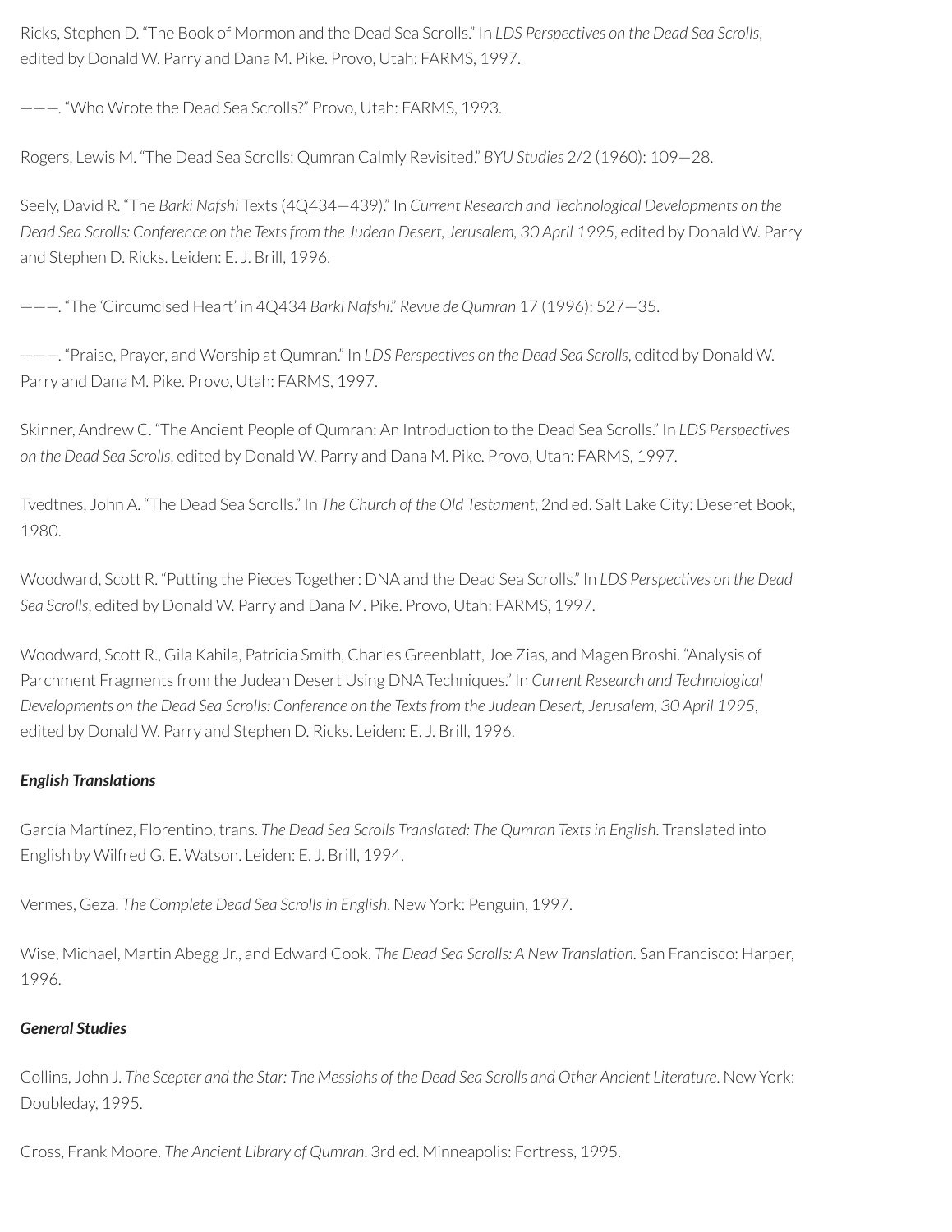Ricks, Stephen D. "The Book of Mormon and the Dead Sea Scrolls." In *LDS Perspectives on the Dead Sea Scrolls*, edited by Donald W. Parry and Dana M. Pike. Provo, Utah: FARMS, 1997.

———. "Who Wrote the Dead Sea Scrolls?" Provo, Utah: FARMS, 1993.

Rogers, Lewis M. "The Dead Sea Scrolls: Qumran Calmly Revisited." *BYU Studies* 2/2 (1960): 109—28.

Seely, David R. "The *Barki Nafshi* Texts (4Q434—439)." In *Current Research and Technological Developments on the Dead Sea Scrolls: Conference on the Textsfrom the Judean Desert, Jerusalem, 30 April 1995*, edited by Donald W. Parry and Stephen D. Ricks. Leiden: E. J. Brill, 1996.

———. "The 'Circumcised Heart' in 4Q434 *Barki Nafshi*." *Revue de Qumran* 17 (1996): 527—35.

———. "Praise, Prayer, and Worship at Qumran." In *LDS Perspectives on the Dead Sea Scrolls*, edited by Donald W. Parry and Dana M. Pike. Provo, Utah: FARMS, 1997.

Skinner, Andrew C. "The Ancient People of Qumran: An Introduction to the Dead Sea Scrolls." In *LDS Perspectives on the Dead Sea Scrolls*, edited by Donald W. Parry and Dana M. Pike. Provo, Utah: FARMS, 1997.

Tvedtnes, John A. "The Dead Sea Scrolls." In *The Church of the Old Testament*, 2nd ed. Salt Lake City: Deseret Book, 1980.

Woodward, Scott R. "Putting the Pieces Together: DNA and the Dead Sea Scrolls." In *LDS Perspectives on the Dead Sea Scrolls*, edited by Donald W. Parry and Dana M. Pike. Provo, Utah: FARMS, 1997.

Woodward, Scott R., Gila Kahila, Patricia Smith, Charles Greenblatt, Joe Zias, and Magen Broshi. "Analysis of Parchment Fragments from the Judean Desert Using DNA Techniques." In *Current Research and Technological* Developments on the Dead Sea Scrolls: Conference on the Texts from the Judean Desert, Jerusalem, 30 April 1995, edited by Donald W. Parry and Stephen D. Ricks. Leiden: E. J. Brill, 1996.

#### *English Translations*

García Martínez, Florentino, trans. *The Dead Sea Scrolls Translated: The Qumran Texts in English*. Translated into English by Wilfred G. E. Watson. Leiden: E. J. Brill, 1994.

Vermes, Geza. *The Complete Dead Sea Scrollsin English*. New York: Penguin, 1997.

Wise, Michael, Martin Abegg Jr., and Edward Cook. *The Dead Sea Scrolls: A New Translation*. San Francisco: Harper, 1996.

#### *General Studies*

Collins, John J. The Scepter and the Star: The Messiahs of the Dead Sea Scrolls and Other Ancient Literature. New York: Doubleday, 1995.

Cross, Frank Moore. *The Ancient Library of Qumran*. 3rd ed. Minneapolis: Fortress, 1995.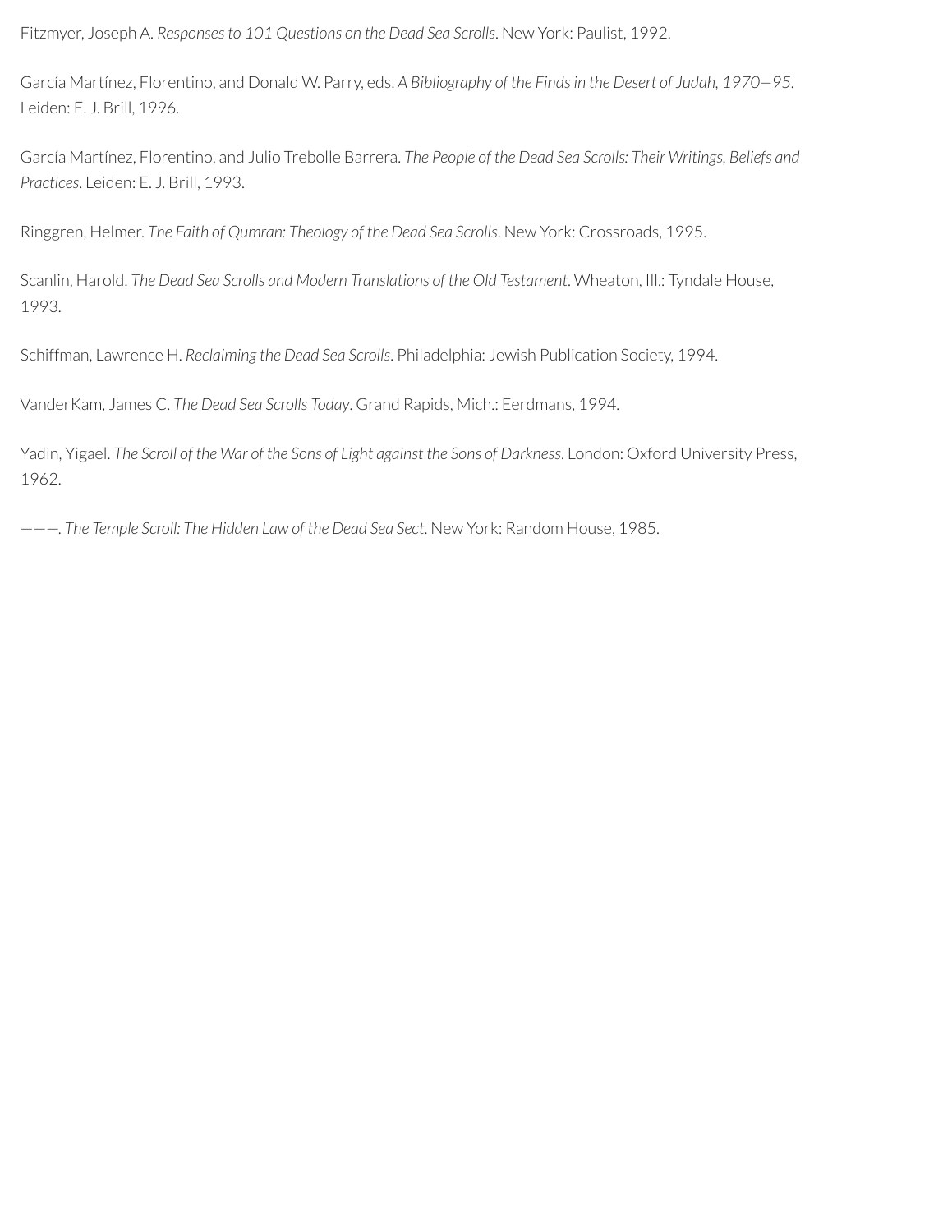Fitzmyer, Joseph A. *Responsesto 101 Questions on the Dead Sea Scrolls*. New York: Paulist, 1992.

García Martínez, Florentino, and Donald W. Parry, eds. *A Bibliography of the Findsin the Desert of Judah, 1970—95*. Leiden: E. J. Brill, 1996.

García Martínez, Florentino, and Julio Trebolle Barrera. *The People of the Dead Sea Scrolls: Their Writings, Beliefs and Practices*. Leiden: E. J. Brill, 1993.

Ringgren, Helmer. *The Faith of Qumran: Theology of the Dead Sea Scrolls*. New York: Crossroads, 1995.

Scanlin, Harold. *The Dead Sea Scrolls and Modern Translations of the Old Testament*. Wheaton, Ill.: Tyndale House, 1993.

Schiffman, Lawrence H. *Reclaiming the Dead Sea Scrolls*. Philadelphia: Jewish Publication Society, 1994.

VanderKam, James C. *The Dead Sea Scrolls Today*. Grand Rapids, Mich.: Eerdmans, 1994.

Yadin, Yigael. The Scroll of the War of the Sons of Light against the Sons of Darkness. London: Oxford University Press, 1962.

———. *The Temple Scroll: The Hidden Law of the Dead Sea Sect*. New York: Random House, 1985.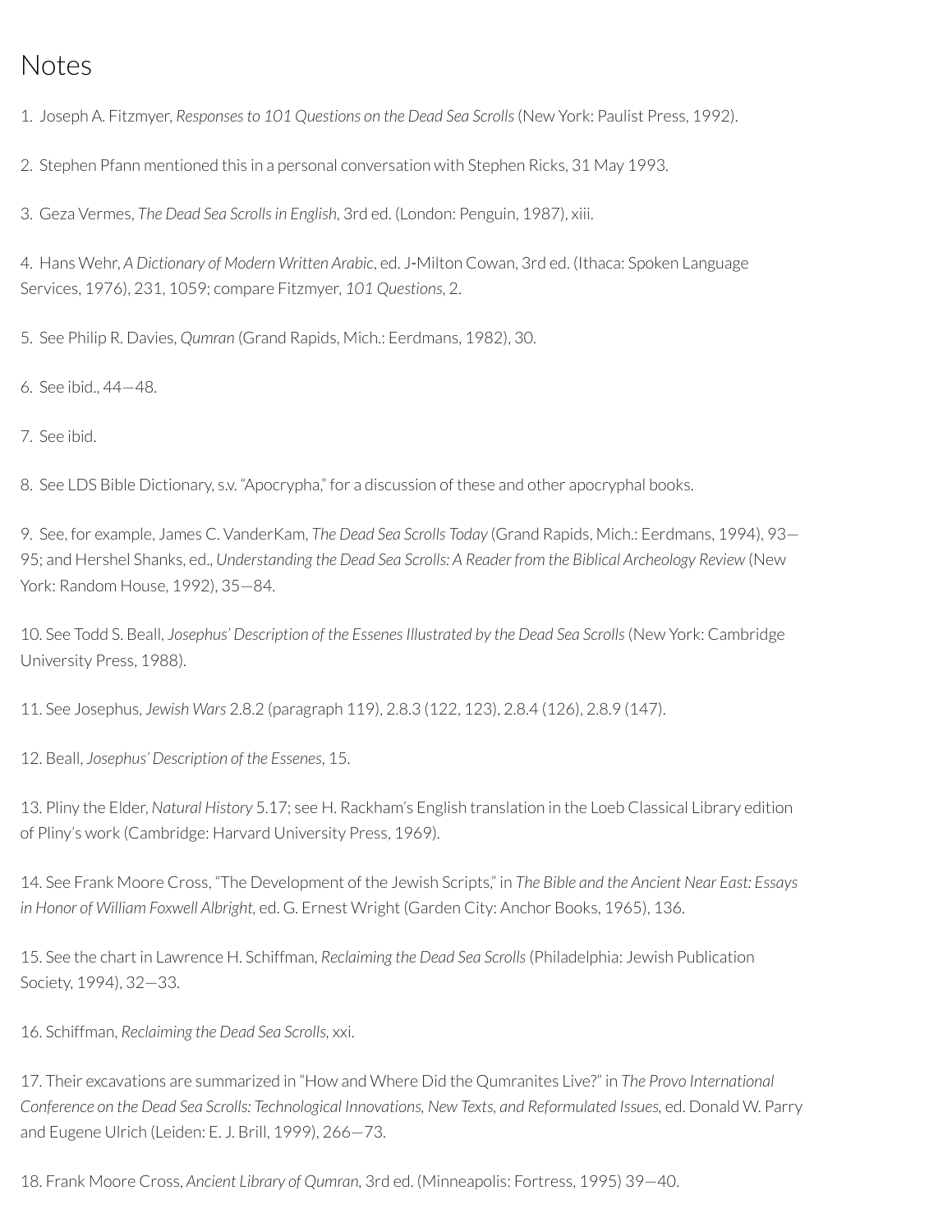## Notes

1. Joseph A. Fitzmyer, *Responsesto 101 Questions on the Dead Sea Scrolls*(New York: Paulist Press, 1992).

2. Stephen Pfann mentioned this in a personal conversation with Stephen Ricks, 31 May 1993.

3. Geza Vermes, *The Dead Sea Scrollsin English*, 3rd ed. (London: Penguin, 1987), xiii.

4. Hans Wehr, *A Dictionary of Modern Written Arabic*, ed. J‑Milton Cowan, 3rd ed. (Ithaca: Spoken Language Services, 1976), 231, 1059; compare Fitzmyer, *101 Questions*, 2.

5. See Philip R. Davies, *Qumran* (Grand Rapids, Mich.: Eerdmans, 1982), 30.

6. See ibid., 44—48.

7. See ibid.

8. See LDS Bible Dictionary, s.v. "Apocrypha," for a discussion of these and other apocryphal books.

9. See, for example, James C. VanderKam, *The Dead Sea Scrolls Today* (Grand Rapids, Mich.: Eerdmans, 1994), 93— 95; and Hershel Shanks, ed., *Understanding the Dead Sea Scrolls: A Reader from the Biblical Archeology Review* (New York: Random House, 1992), 35—84.

10. See Todd S. Beall, *Josephus' Description of the EssenesIllustrated by the Dead Sea Scrolls*(New York: Cambridge University Press, 1988).

11. See Josephus, *Jewish Wars* 2.8.2 (paragraph 119), 2.8.3 (122, 123), 2.8.4 (126), 2.8.9 (147).

12. Beall, *Josephus' Description of the Essenes*, 15.

13. Pliny the Elder, *Natural History* 5.17; see H. Rackham's English translation in the Loeb Classical Library edition of Pliny's work (Cambridge: Harvard University Press, 1969).

14. See Frank Moore Cross, "The Development of the Jewish Scripts," in *The Bible and the Ancient Near East: Essays in Honor of William Foxwell Albright,* ed. G. Ernest Wright (Garden City: Anchor Books, 1965), 136.

15. See the chart in Lawrence H. Schiffman, *Reclaiming the Dead Sea Scrolls*(Philadelphia: Jewish Publication Society, 1994), 32—33.

16. Schiffman, *Reclaiming the Dead Sea Scrolls,* xxi.

17. Their excavations are summarized in "How and Where Did the Qumranites Live?" in *The Provo International Conference on the Dead Sea Scrolls: Technological Innovations, New Texts, and Reformulated Issues,* ed. Donald W. Parry and Eugene Ulrich (Leiden: E. J. Brill, 1999), 266—73.

18. Frank Moore Cross, *Ancient Library of Qumran,* 3rd ed. (Minneapolis: Fortress, 1995) 39—40.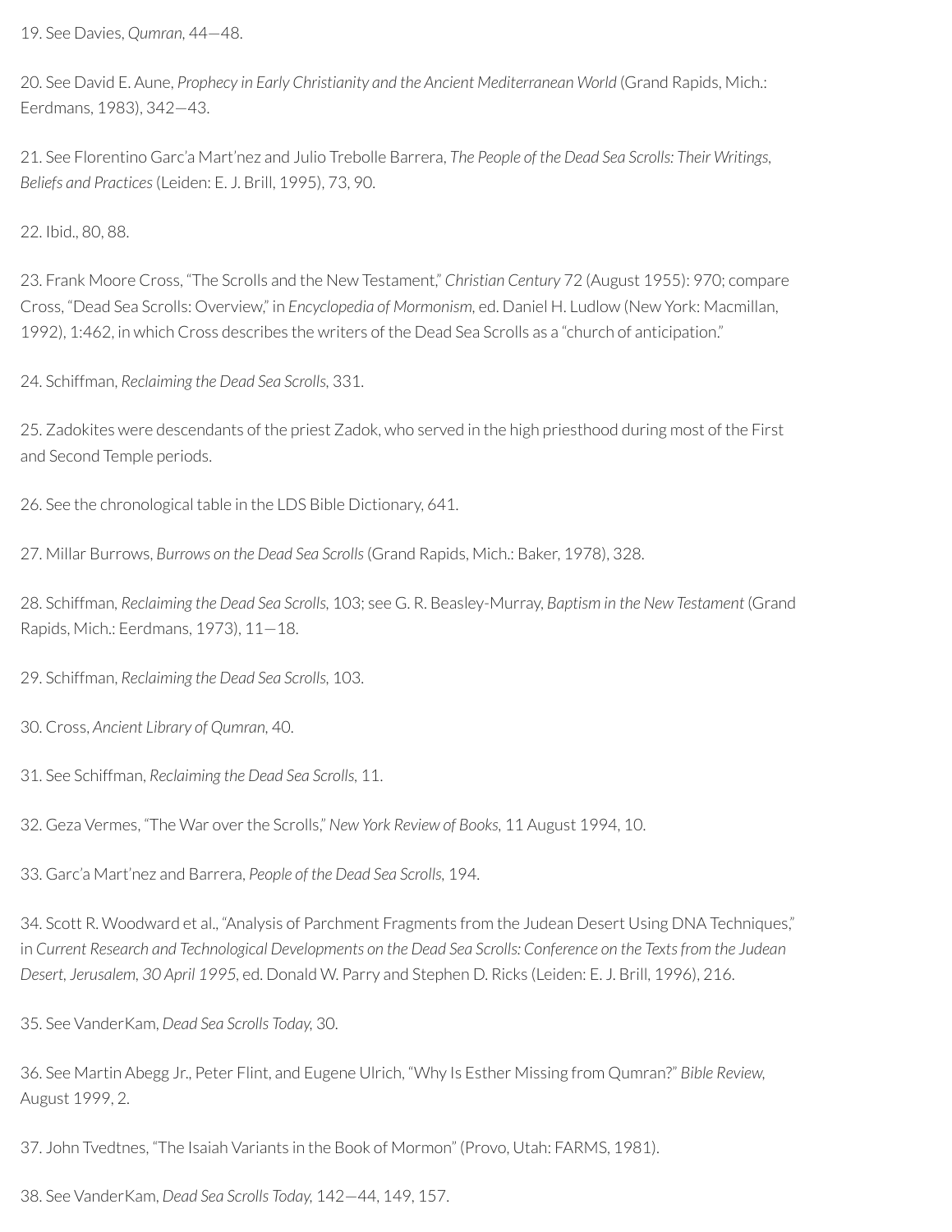19. See Davies, *Qumran,* 44—48.

20. See David E. Aune, *Prophecy in Early Christianity and the Ancient Mediterranean World* (Grand Rapids, Mich.: Eerdmans, 1983), 342—43.

21. See Florentino Garc'a Mart'nez and Julio Trebolle Barrera, *The People of the Dead Sea Scrolls: Their Writings, Beliefs and Practices*(Leiden: E. J. Brill, 1995), 73, 90.

22. Ibid., 80, 88.

23. Frank Moore Cross, "The Scrolls and the New Testament," *Christian Century* 72 (August 1955): 970; compare Cross, "Dead Sea Scrolls: Overview," in *Encyclopedia of Mormonism,* ed. Daniel H. Ludlow (New York: Macmillan, 1992), 1:462, in which Cross describes the writers of the Dead Sea Scrolls as a "church of anticipation."

24. Schiffman, *Reclaiming the Dead Sea Scrolls,* 331.

25. Zadokites were descendants of the priest Zadok, who served in the high priesthood during most of the First and Second Temple periods.

26. See the chronological table in the LDS Bible Dictionary, 641.

27. Millar Burrows, *Burrows on the Dead Sea Scrolls*(Grand Rapids, Mich.: Baker, 1978), 328.

28. Schiffman*, Reclaiming the Dead Sea Scrolls,* 103; see G. R. Beasley-Murray, *Baptism in the New Testament* (Grand Rapids, Mich.: Eerdmans, 1973), 11—18.

29. Schiffman, *Reclaiming the Dead Sea Scrolls,* 103.

30. Cross, *Ancient Library of Qumran,* 40.

31. See Schiffman, *Reclaiming the Dead Sea Scrolls,* 11.

32. Geza Vermes, "The War overthe Scrolls," *New York Review of Books,* 11 August 1994, 10.

33. Garc'a Mart'nez and Barrera, *People of the Dead Sea Scrolls,* 194.

34. Scott R. Woodward et al., "Analysis of Parchment Fragments from the Judean Desert Using DNA Techniques," in Current Research and Technological Developments on the Dead Sea Scrolls: Conference on the Texts from the Judean *Desert, Jerusalem, 30 April 1995,* ed. Donald W. Parry and Stephen D. Ricks (Leiden: E. J. Brill, 1996), 216.

35. See VanderKam, *Dead Sea Scrolls Today,* 30.

36. See Martin Abegg Jr., Peter Flint, and Eugene Ulrich, "Why Is Esther Missing from Qumran?" *Bible Review,* August 1999, 2.

37. John Tvedtnes, "The Isaiah Variants in the Book of Mormon" (Provo, Utah: FARMS, 1981).

38. See VanderKam, *Dead Sea Scrolls Today,* 142—44, 149, 157.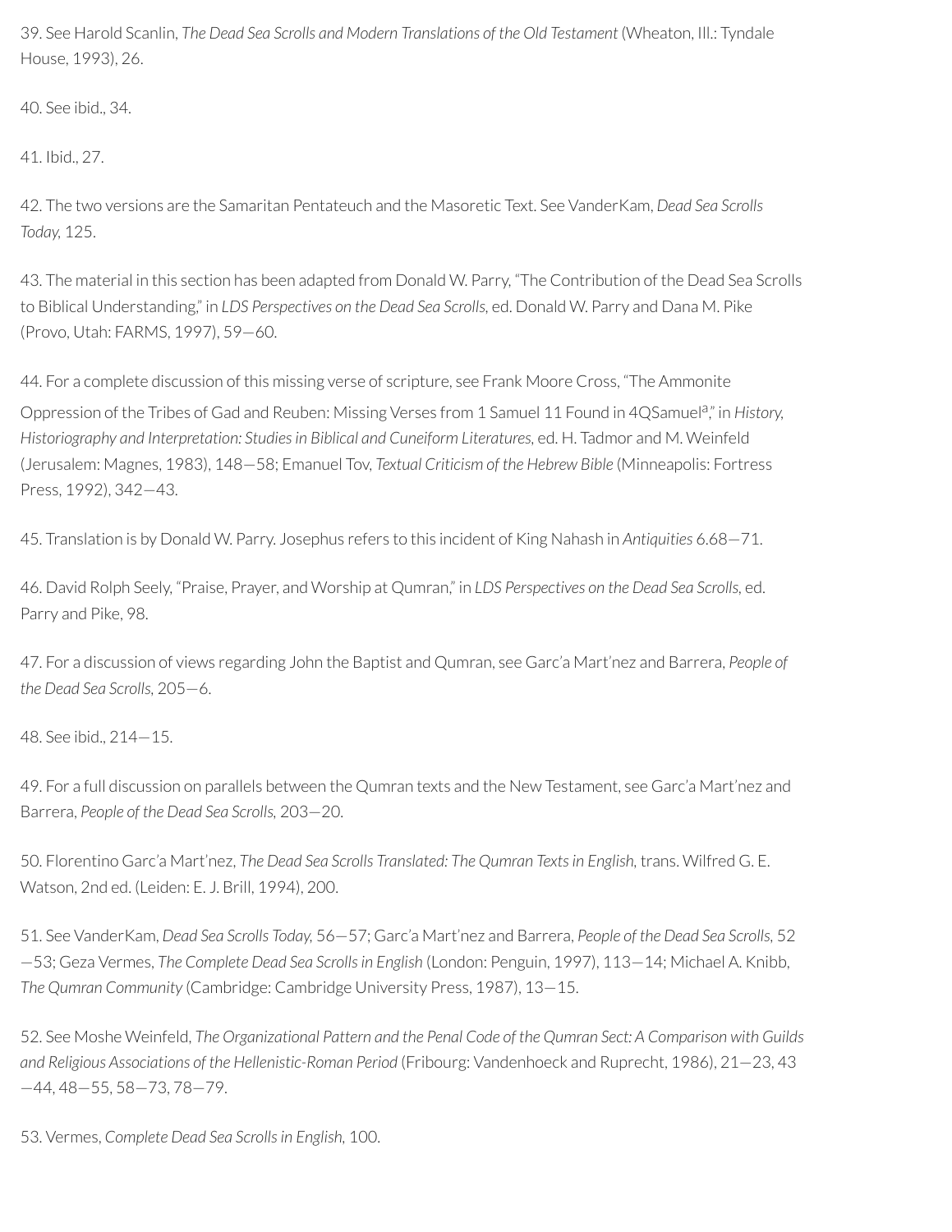39. See Harold Scanlin, *The Dead Sea Scrolls and Modern Translations of the Old Testament* (Wheaton, Ill.: Tyndale House, 1993), 26.

40. See ibid., 34.

41. Ibid., 27.

42. The two versions are the Samaritan Pentateuch and the Masoretic Text. See VanderKam, *Dead Sea Scrolls Today,* 125.

43. The material in this section has been adapted from Donald W. Parry, "The Contribution of the Dead Sea Scrolls to Biblical Understanding," in *LDS Perspectives on the Dead Sea Scrolls,* ed. Donald W. Parry and Dana M. Pike (Provo, Utah: FARMS, 1997), 59—60.

44. For a complete discussion of this missing verse of scripture, see Frank Moore Cross, "The Ammonite

Oppression of the Tribes of Gad and Reuben: Missing Verses from 1 Samuel 11 Found in 4QSamuel<sup>a</sup>," in History, *Historiography and Interpretation: Studiesin Biblical and Cuneiform Literatures,* ed. H. Tadmor and M. Weinfeld (Jerusalem: Magnes, 1983), 148—58; Emanuel Tov, *Textual Criticism of the Hebrew Bible* (Minneapolis: Fortress Press, 1992), 342—43.

45. Translation is by Donald W. Parry. Josephus refers to this incident of King Nahash in *Antiquities* 6.68—71.

46. David Rolph Seely, "Praise, Prayer, and Worship at Qumran," in *LDS Perspectives on the Dead Sea Scrolls,* ed. Parry and Pike, 98.

47. For a discussion of views regarding John the Baptist and Qumran, see Garc'a Mart'nez and Barrera, *People of the Dead Sea Scrolls,* 205—6.

48. See ibid., 214—15.

49. For a full discussion on parallels between the Qumran texts and the New Testament, see Garc'a Mart'nez and Barrera, *People of the Dead Sea Scrolls,* 203—20.

50. Florentino Garc'a Mart'nez, *The Dead Sea Scrolls Translated: The Qumran Textsin English,* trans. Wilfred G. E. Watson, 2nd ed. (Leiden: E. J. Brill, 1994), 200.

51. See VanderKam, *Dead Sea Scrolls Today,* 56—57; Garc'a Mart'nez and Barrera, *People of the Dead Sea Scrolls,* 52 —53; Geza Vermes, *The Complete Dead Sea Scrollsin English* (London: Penguin, 1997), 113—14; Michael A. Knibb, *The Qumran Community* (Cambridge: Cambridge University Press, 1987), 13—15.

52. See Moshe Weinfeld, *The Organizational Pattern and the Penal Code of the Qumran Sect: A Comparison with Guilds and Religious Associations of the Hellenistic-Roman Period* (Fribourg: Vandenhoeck and Ruprecht, 1986), 21—23, 43 —44, 48—55, 58—73, 78—79.

53. Vermes, *Complete Dead Sea Scrollsin English,* 100.